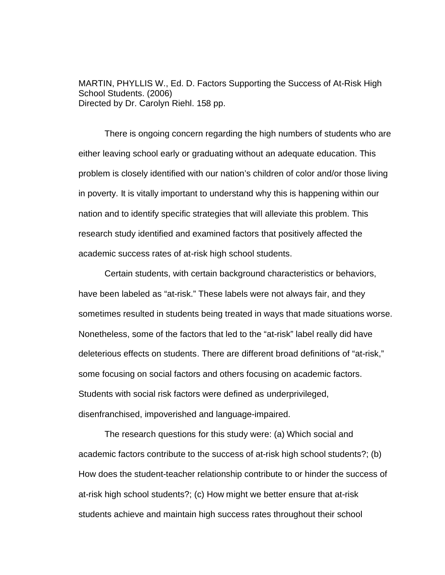MARTIN, PHYLLIS W., Ed. D. Factors Supporting the Success of At-Risk High School Students. (2006) Directed by Dr. Carolyn Riehl. 158 pp.

There is ongoing concern regarding the high numbers of students who are either leaving school early or graduating without an adequate education. This problem is closely identified with our nation's children of color and/or those living in poverty. It is vitally important to understand why this is happening within our nation and to identify specific strategies that will alleviate this problem. This research study identified and examined factors that positively affected the academic success rates of at-risk high school students.

Certain students, with certain background characteristics or behaviors, have been labeled as "at-risk." These labels were not always fair, and they sometimes resulted in students being treated in ways that made situations worse. Nonetheless, some of the factors that led to the "at-risk" label really did have deleterious effects on students. There are different broad definitions of "at-risk," some focusing on social factors and others focusing on academic factors. Students with social risk factors were defined as underprivileged, disenfranchised, impoverished and language-impaired.

The research questions for this study were: (a) Which social and academic factors contribute to the success of at-risk high school students?; (b) How does the student-teacher relationship contribute to or hinder the success of at-risk high school students?; (c) How might we better ensure that at-risk students achieve and maintain high success rates throughout their school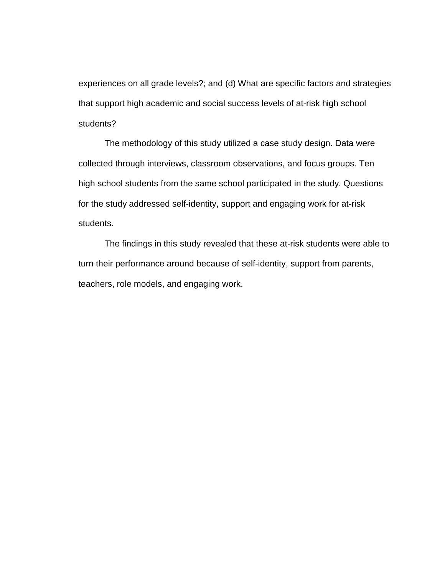experiences on all grade levels?; and (d) What are specific factors and strategies that support high academic and social success levels of at-risk high school students?

The methodology of this study utilized a case study design. Data were collected through interviews, classroom observations, and focus groups. Ten high school students from the same school participated in the study. Questions for the study addressed self-identity, support and engaging work for at-risk students.

The findings in this study revealed that these at-risk students were able to turn their performance around because of self-identity, support from parents, teachers, role models, and engaging work.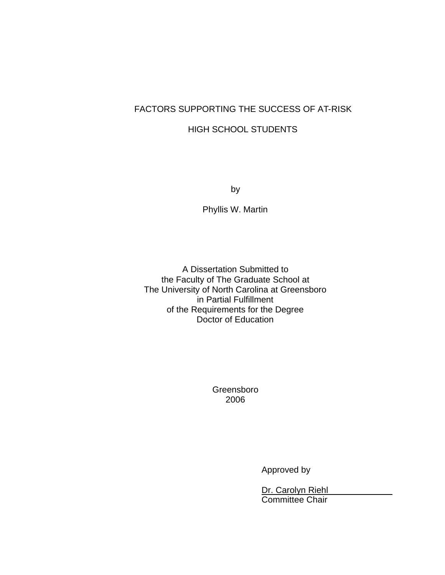## FACTORS SUPPORTING THE SUCCESS OF AT-RISK

### HIGH SCHOOL STUDENTS

by

Phyllis W. Martin

A Dissertation Submitted to the Faculty of The Graduate School at The University of North Carolina at Greensboro in Partial Fulfillment of the Requirements for the Degree Doctor of Education

> Greensboro 2006

> > Approved by

Dr. Carolyn Riehl Committee Chair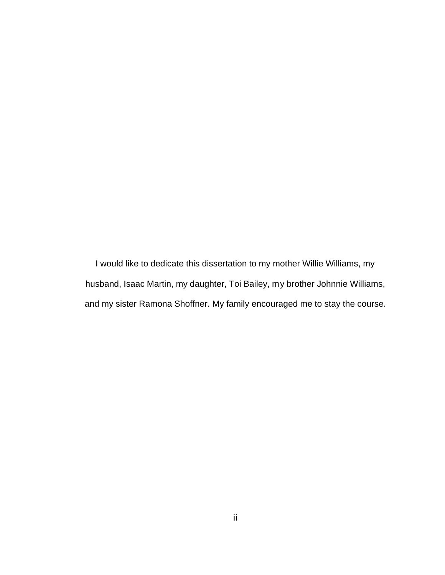I would like to dedicate this dissertation to my mother Willie Williams, my husband, Isaac Martin, my daughter, Toi Bailey, my brother Johnnie Williams, and my sister Ramona Shoffner. My family encouraged me to stay the course.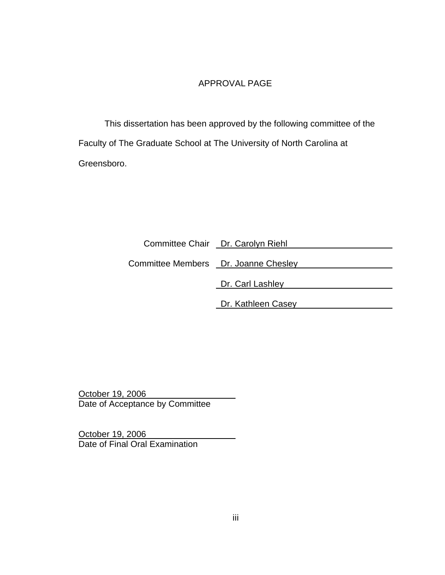### APPROVAL PAGE

This dissertation has been approved by the following committee of the Faculty of The Graduate School at The University of North Carolina at Greensboro.

|                                      | Committee Chair Dr. Carolyn Riehl |
|--------------------------------------|-----------------------------------|
| Committee Members Dr. Joanne Chesley |                                   |
|                                      | Dr. Carl Lashley                  |
|                                      | Dr. Kathleen Casey                |

October 19, 2006 Date of Acceptance by Committee

October 19, 2006 Date of Final Oral Examination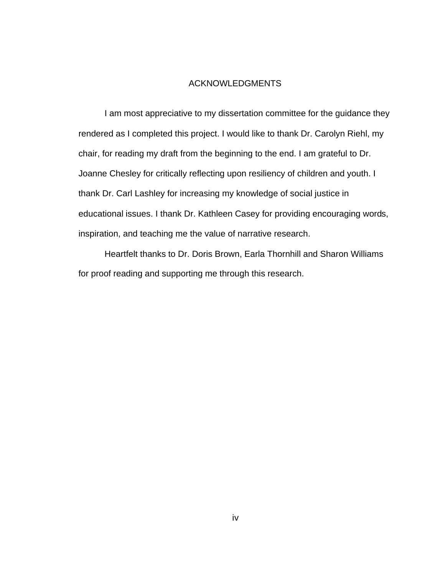#### ACKNOWLEDGMENTS

I am most appreciative to my dissertation committee for the guidance they rendered as I completed this project. I would like to thank Dr. Carolyn Riehl, my chair, for reading my draft from the beginning to the end. I am grateful to Dr. Joanne Chesley for critically reflecting upon resiliency of children and youth. I thank Dr. Carl Lashley for increasing my knowledge of social justice in educational issues. I thank Dr. Kathleen Casey for providing encouraging words, inspiration, and teaching me the value of narrative research.

Heartfelt thanks to Dr. Doris Brown, Earla Thornhill and Sharon Williams for proof reading and supporting me through this research.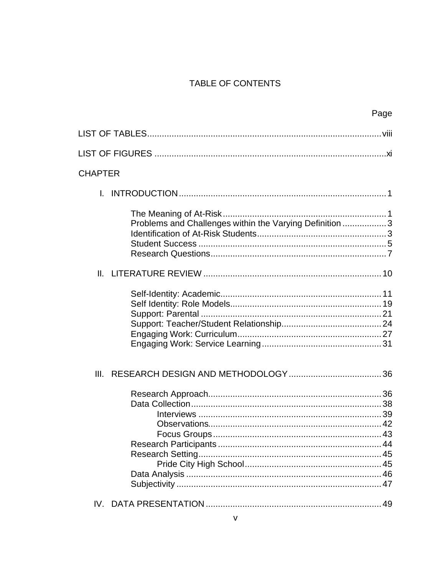### TABLE OF CONTENTS

| Page                                                     |  |
|----------------------------------------------------------|--|
|                                                          |  |
|                                                          |  |
| <b>CHAPTER</b>                                           |  |
| L.                                                       |  |
| Problems and Challenges within the Varying Definition  3 |  |
| Ⅱ.                                                       |  |
|                                                          |  |
| III.                                                     |  |
|                                                          |  |
|                                                          |  |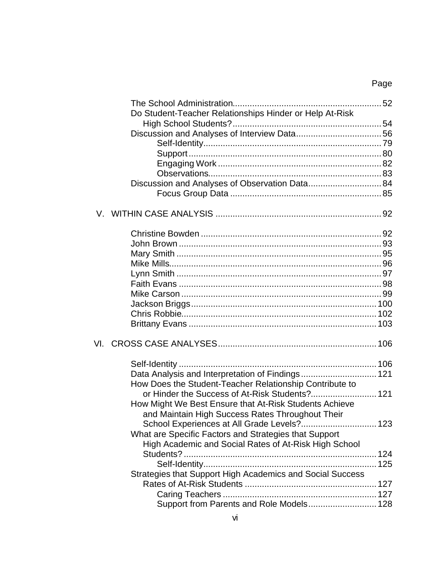# Page

| Do Student-Teacher Relationships Hinder or Help At-Risk   |  |
|-----------------------------------------------------------|--|
|                                                           |  |
|                                                           |  |
|                                                           |  |
|                                                           |  |
|                                                           |  |
|                                                           |  |
| Discussion and Analyses of Observation Data 84            |  |
|                                                           |  |
|                                                           |  |
|                                                           |  |
|                                                           |  |
|                                                           |  |
|                                                           |  |
|                                                           |  |
|                                                           |  |
|                                                           |  |
|                                                           |  |
|                                                           |  |
|                                                           |  |
|                                                           |  |
|                                                           |  |
|                                                           |  |
| How Does the Student-Teacher Relationship Contribute to   |  |
| or Hinder the Success of At-Risk Students? 121            |  |
| How Might We Best Ensure that At-Risk Students Achieve    |  |
| and Maintain High Success Rates Throughout Their          |  |
| School Experiences at All Grade Levels? 123               |  |
| What are Specific Factors and Strategies that Support     |  |
| High Academic and Social Rates of At-Risk High School     |  |
|                                                           |  |
|                                                           |  |
| Strategies that Support High Academics and Social Success |  |
|                                                           |  |
|                                                           |  |
| Support from Parents and Role Models 128                  |  |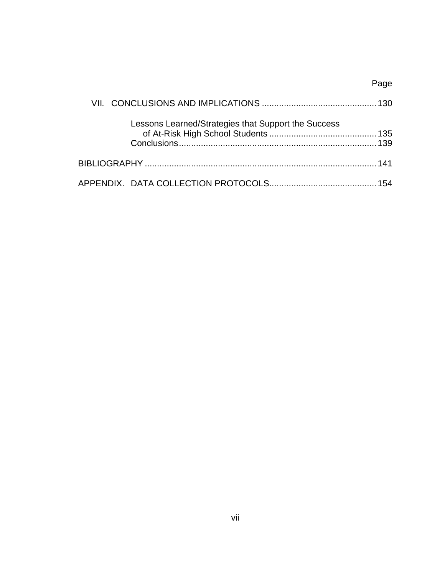|                                                     | Page |
|-----------------------------------------------------|------|
|                                                     |      |
| Lessons Learned/Strategies that Support the Success |      |
|                                                     |      |
|                                                     |      |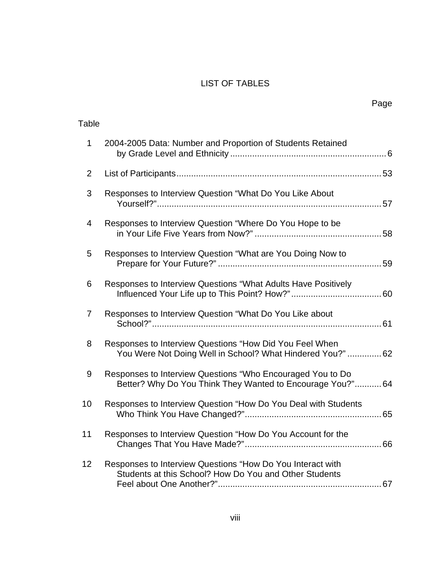### LIST OF TABLES

Table

| $\mathbf{1}$   | 2004-2005 Data: Number and Proportion of Students Retained                                                               |  |
|----------------|--------------------------------------------------------------------------------------------------------------------------|--|
| $\overline{2}$ |                                                                                                                          |  |
| 3              | Responses to Interview Question "What Do You Like About                                                                  |  |
| 4              | Responses to Interview Question "Where Do You Hope to be                                                                 |  |
| 5              | Responses to Interview Question "What are You Doing Now to                                                               |  |
| 6              | Responses to Interview Questions "What Adults Have Positively                                                            |  |
| $\overline{7}$ | Responses to Interview Question "What Do You Like about                                                                  |  |
| 8              | Responses to Interview Questions "How Did You Feel When<br>You Were Not Doing Well in School? What Hindered You?" 62     |  |
| 9              | Responses to Interview Questions "Who Encouraged You to Do<br>Better? Why Do You Think They Wanted to Encourage You?" 64 |  |
| 10             | Responses to Interview Question "How Do You Deal with Students                                                           |  |
| 11             | Responses to Interview Question "How Do You Account for the                                                              |  |
| 12             | Responses to Interview Questions "How Do You Interact with<br>Students at this School? How Do You and Other Students     |  |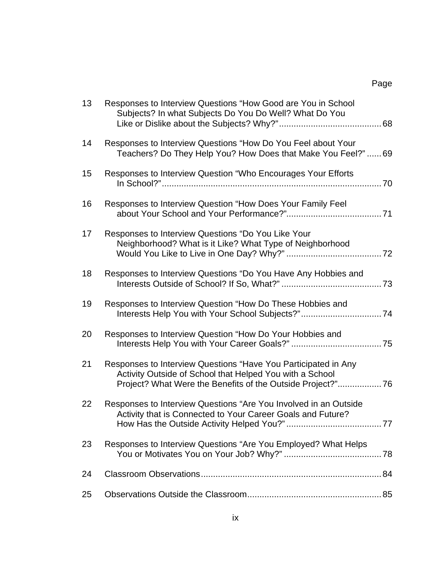| 13 | Responses to Interview Questions "How Good are You in School<br>Subjects? In what Subjects Do You Do Well? What Do You                                                                   |  |
|----|------------------------------------------------------------------------------------------------------------------------------------------------------------------------------------------|--|
| 14 | Responses to Interview Questions "How Do You Feel about Your<br>Teachers? Do They Help You? How Does that Make You Feel?"69                                                              |  |
| 15 | Responses to Interview Question "Who Encourages Your Efforts                                                                                                                             |  |
| 16 | Responses to Interview Question "How Does Your Family Feel                                                                                                                               |  |
| 17 | Responses to Interview Questions "Do You Like Your<br>Neighborhood? What is it Like? What Type of Neighborhood                                                                           |  |
| 18 | Responses to Interview Questions "Do You Have Any Hobbies and                                                                                                                            |  |
| 19 | Responses to Interview Question "How Do These Hobbies and<br>Interests Help You with Your School Subjects?"74                                                                            |  |
| 20 | Responses to Interview Question "How Do Your Hobbies and                                                                                                                                 |  |
| 21 | Responses to Interview Questions "Have You Participated in Any<br>Activity Outside of School that Helped You with a School<br>Project? What Were the Benefits of the Outside Project?"76 |  |
| 22 | Responses to Interview Questions "Are You Involved in an Outside<br>Activity that is Connected to Your Career Goals and Future?                                                          |  |
| 23 | Responses to Interview Questions "Are You Employed? What Helps                                                                                                                           |  |
| 24 |                                                                                                                                                                                          |  |
| 25 |                                                                                                                                                                                          |  |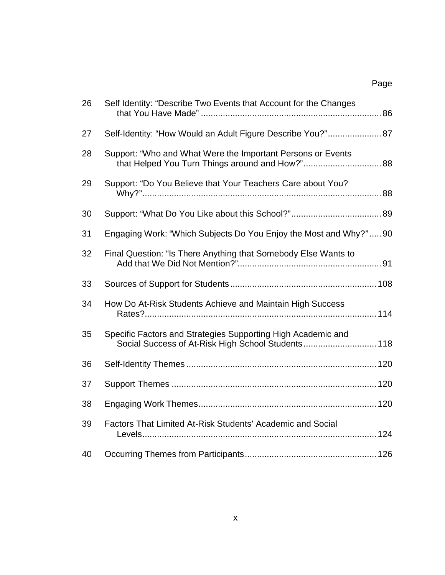| 26 | Self Identity: "Describe Two Events that Account for the Changes                                                   |  |
|----|--------------------------------------------------------------------------------------------------------------------|--|
| 27 | Self-Identity: "How Would an Adult Figure Describe You?" 87                                                        |  |
| 28 | Support: "Who and What Were the Important Persons or Events                                                        |  |
| 29 | Support: "Do You Believe that Your Teachers Care about You?                                                        |  |
| 30 |                                                                                                                    |  |
| 31 | Engaging Work: "Which Subjects Do You Enjoy the Most and Why?"90                                                   |  |
| 32 | Final Question: "Is There Anything that Somebody Else Wants to                                                     |  |
| 33 |                                                                                                                    |  |
| 34 | How Do At-Risk Students Achieve and Maintain High Success                                                          |  |
| 35 | Specific Factors and Strategies Supporting High Academic and<br>Social Success of At-Risk High School Students 118 |  |
| 36 |                                                                                                                    |  |
| 37 |                                                                                                                    |  |
| 38 |                                                                                                                    |  |
| 39 | Factors That Limited At-Risk Students' Academic and Social                                                         |  |
| 40 |                                                                                                                    |  |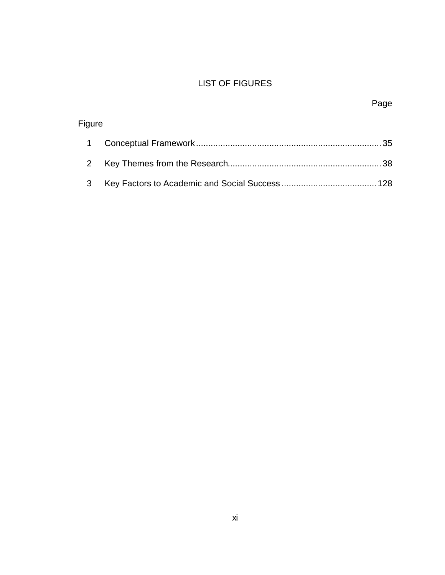## LIST OF FIGURES

| Figure |  |
|--------|--|
|        |  |
|        |  |
| 3      |  |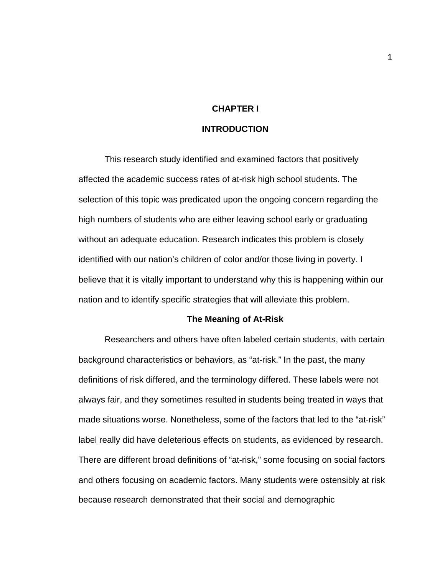#### **CHAPTER I**

#### **INTRODUCTION**

This research study identified and examined factors that positively affected the academic success rates of at-risk high school students. The selection of this topic was predicated upon the ongoing concern regarding the high numbers of students who are either leaving school early or graduating without an adequate education. Research indicates this problem is closely identified with our nation's children of color and/or those living in poverty. I believe that it is vitally important to understand why this is happening within our nation and to identify specific strategies that will alleviate this problem.

#### **The Meaning of At-Risk**

Researchers and others have often labeled certain students, with certain background characteristics or behaviors, as "at-risk." In the past, the many definitions of risk differed, and the terminology differed. These labels were not always fair, and they sometimes resulted in students being treated in ways that made situations worse. Nonetheless, some of the factors that led to the "at-risk" label really did have deleterious effects on students, as evidenced by research. There are different broad definitions of "at-risk," some focusing on social factors and others focusing on academic factors. Many students were ostensibly at risk because research demonstrated that their social and demographic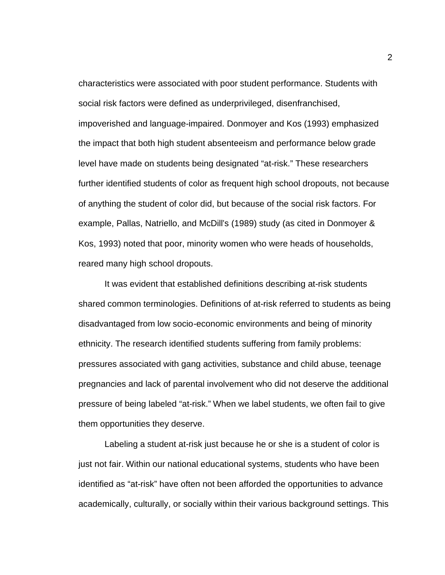characteristics were associated with poor student performance. Students with social risk factors were defined as underprivileged, disenfranchised, impoverished and language-impaired. Donmoyer and Kos (1993) emphasized the impact that both high student absenteeism and performance below grade level have made on students being designated "at-risk." These researchers further identified students of color as frequent high school dropouts, not because of anything the student of color did, but because of the social risk factors. For example, Pallas, Natriello, and McDill's (1989) study (as cited in Donmoyer & Kos, 1993) noted that poor, minority women who were heads of households, reared many high school dropouts.

It was evident that established definitions describing at-risk students shared common terminologies. Definitions of at-risk referred to students as being disadvantaged from low socio-economic environments and being of minority ethnicity. The research identified students suffering from family problems: pressures associated with gang activities, substance and child abuse, teenage pregnancies and lack of parental involvement who did not deserve the additional pressure of being labeled "at-risk." When we label students, we often fail to give them opportunities they deserve.

Labeling a student at-risk just because he or she is a student of color is just not fair. Within our national educational systems, students who have been identified as "at-risk" have often not been afforded the opportunities to advance academically, culturally, or socially within their various background settings. This

2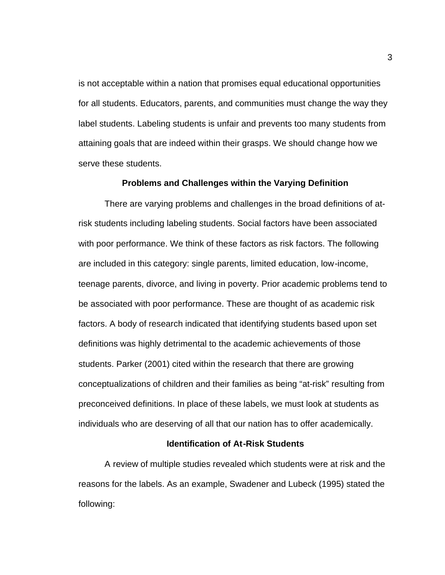is not acceptable within a nation that promises equal educational opportunities for all students. Educators, parents, and communities must change the way they label students. Labeling students is unfair and prevents too many students from attaining goals that are indeed within their grasps. We should change how we serve these students.

#### **Problems and Challenges within the Varying Definition**

There are varying problems and challenges in the broad definitions of atrisk students including labeling students. Social factors have been associated with poor performance. We think of these factors as risk factors. The following are included in this category: single parents, limited education, low-income, teenage parents, divorce, and living in poverty. Prior academic problems tend to be associated with poor performance. These are thought of as academic risk factors. A body of research indicated that identifying students based upon set definitions was highly detrimental to the academic achievements of those students. Parker (2001) cited within the research that there are growing conceptualizations of children and their families as being "at-risk" resulting from preconceived definitions. In place of these labels, we must look at students as individuals who are deserving of all that our nation has to offer academically.

#### **Identification of At-Risk Students**

A review of multiple studies revealed which students were at risk and the reasons for the labels. As an example, Swadener and Lubeck (1995) stated the following: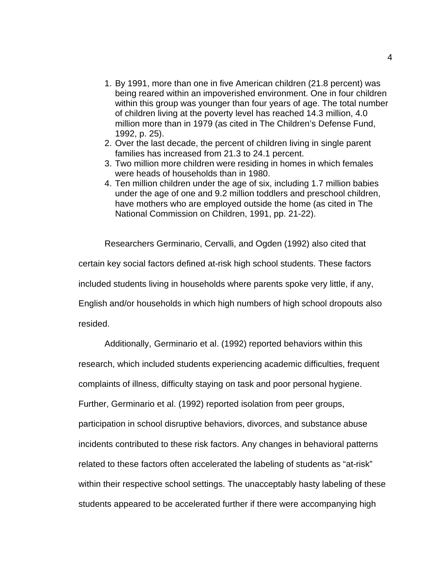- 1. By 1991, more than one in five American children (21.8 percent) was being reared within an impoverished environment. One in four children within this group was younger than four years of age. The total number of children living at the poverty level has reached 14.3 million, 4.0 million more than in 1979 (as cited in The Children's Defense Fund, 1992, p. 25).
- 2. Over the last decade, the percent of children living in single parent families has increased from 21.3 to 24.1 percent.
- 3. Two million more children were residing in homes in which females were heads of households than in 1980.
- 4. Ten million children under the age of six, including 1.7 million babies under the age of one and 9.2 million toddlers and preschool children, have mothers who are employed outside the home (as cited in The National Commission on Children, 1991, pp. 21-22).

Researchers Germinario, Cervalli, and Ogden (1992) also cited that certain key social factors defined at-risk high school students. These factors included students living in households where parents spoke very little, if any, English and/or households in which high numbers of high school dropouts also resided.

Additionally, Germinario et al. (1992) reported behaviors within this

research, which included students experiencing academic difficulties, frequent

complaints of illness, difficulty staying on task and poor personal hygiene.

Further, Germinario et al. (1992) reported isolation from peer groups,

participation in school disruptive behaviors, divorces, and substance abuse

incidents contributed to these risk factors. Any changes in behavioral patterns

related to these factors often accelerated the labeling of students as "at-risk"

within their respective school settings. The unacceptably hasty labeling of these

students appeared to be accelerated further if there were accompanying high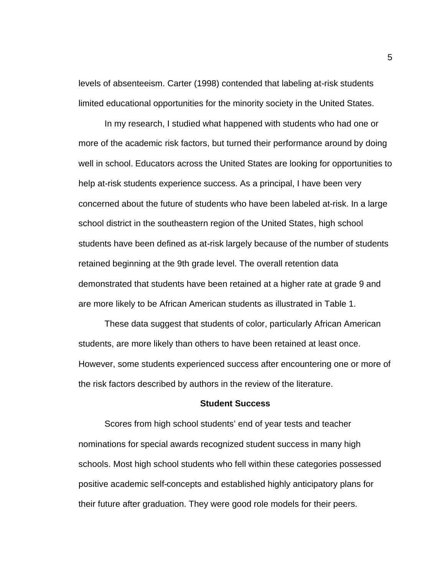levels of absenteeism. Carter (1998) contended that labeling at-risk students limited educational opportunities for the minority society in the United States.

In my research, I studied what happened with students who had one or more of the academic risk factors, but turned their performance around by doing well in school. Educators across the United States are looking for opportunities to help at-risk students experience success. As a principal, I have been very concerned about the future of students who have been labeled at-risk. In a large school district in the southeastern region of the United States, high school students have been defined as at-risk largely because of the number of students retained beginning at the 9th grade level. The overall retention data demonstrated that students have been retained at a higher rate at grade 9 and are more likely to be African American students as illustrated in Table 1.

These data suggest that students of color, particularly African American students, are more likely than others to have been retained at least once. However, some students experienced success after encountering one or more of the risk factors described by authors in the review of the literature.

#### **Student Success**

Scores from high school students' end of year tests and teacher nominations for special awards recognized student success in many high schools. Most high school students who fell within these categories possessed positive academic self-concepts and established highly anticipatory plans for their future after graduation. They were good role models for their peers.

5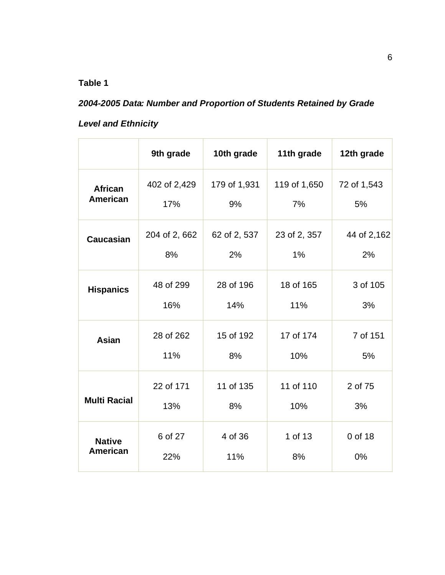## **Table 1**

# *2004-2005 Data: Number and Proportion of Students Retained by Grade*

# *Level and Ethnicity*

|                     | 9th grade     | 10th grade   | 11th grade   | 12th grade  |
|---------------------|---------------|--------------|--------------|-------------|
| <b>African</b>      | 402 of 2,429  | 179 of 1,931 | 119 of 1,650 | 72 of 1,543 |
| <b>American</b>     | 17%           | 9%           | 7%           | 5%          |
| <b>Caucasian</b>    | 204 of 2, 662 | 62 of 2, 537 | 23 of 2, 357 | 44 of 2,162 |
|                     | 8%            | 2%           | $1\%$        | 2%          |
| <b>Hispanics</b>    | 48 of 299     | 28 of 196    | 18 of 165    | 3 of 105    |
|                     | 16%           | 14%          | 11%          | 3%          |
| <b>Asian</b>        | 28 of 262     | 15 of 192    | 17 of 174    | 7 of 151    |
|                     | 11%           | 8%           | 10%          | 5%          |
| <b>Multi Racial</b> | 22 of 171     | 11 of 135    | 11 of 110    | 2 of 75     |
|                     | 13%           | 8%           | 10%          | 3%          |
| <b>Native</b>       | 6 of 27       | 4 of 36      | 1 of 13      | 0 of 18     |
| <b>American</b>     | 22%           | 11%          | 8%           | 0%          |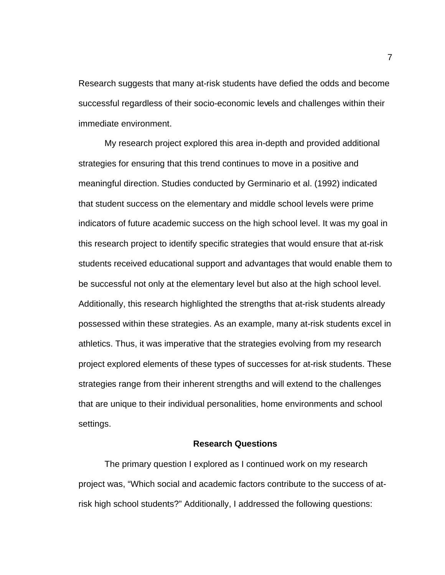Research suggests that many at-risk students have defied the odds and become successful regardless of their socio-economic levels and challenges within their immediate environment.

My research project explored this area in-depth and provided additional strategies for ensuring that this trend continues to move in a positive and meaningful direction. Studies conducted by Germinario et al. (1992) indicated that student success on the elementary and middle school levels were prime indicators of future academic success on the high school level. It was my goal in this research project to identify specific strategies that would ensure that at-risk students received educational support and advantages that would enable them to be successful not only at the elementary level but also at the high school level. Additionally, this research highlighted the strengths that at-risk students already possessed within these strategies. As an example, many at-risk students excel in athletics. Thus, it was imperative that the strategies evolving from my research project explored elements of these types of successes for at-risk students. These strategies range from their inherent strengths and will extend to the challenges that are unique to their individual personalities, home environments and school settings.

#### **Research Questions**

The primary question I explored as I continued work on my research project was, "Which social and academic factors contribute to the success of atrisk high school students?" Additionally, I addressed the following questions: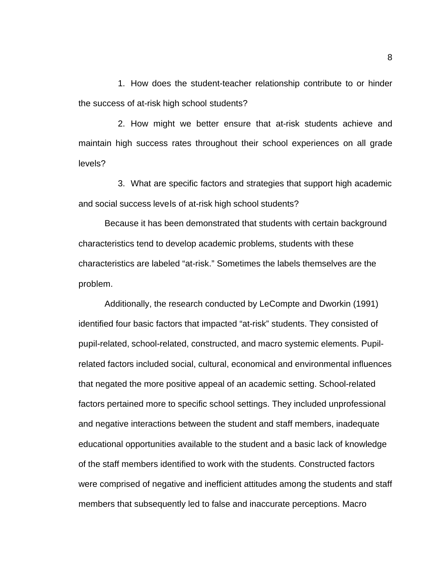1. How does the student-teacher relationship contribute to or hinder the success of at-risk high school students?

2. How might we better ensure that at-risk students achieve and maintain high success rates throughout their school experiences on all grade levels?

3. What are specific factors and strategies that support high academic and social success levels of at-risk high school students?

Because it has been demonstrated that students with certain background characteristics tend to develop academic problems, students with these characteristics are labeled "at-risk." Sometimes the labels themselves are the problem.

Additionally, the research conducted by LeCompte and Dworkin (1991) identified four basic factors that impacted "at-risk" students. They consisted of pupil-related, school-related, constructed, and macro systemic elements. Pupilrelated factors included social, cultural, economical and environmental influences that negated the more positive appeal of an academic setting. School-related factors pertained more to specific school settings. They included unprofessional and negative interactions between the student and staff members, inadequate educational opportunities available to the student and a basic lack of knowledge of the staff members identified to work with the students. Constructed factors were comprised of negative and inefficient attitudes among the students and staff members that subsequently led to false and inaccurate perceptions. Macro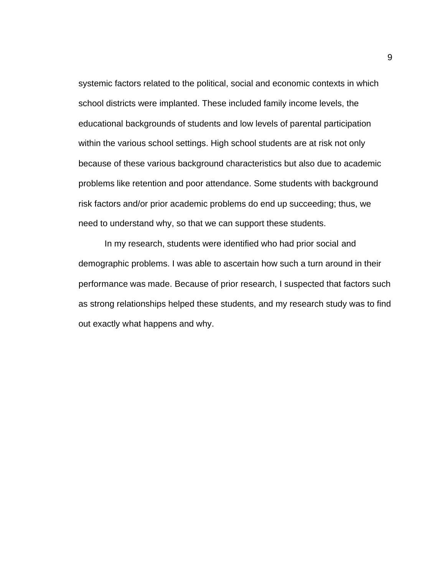systemic factors related to the political, social and economic contexts in which school districts were implanted. These included family income levels, the educational backgrounds of students and low levels of parental participation within the various school settings. High school students are at risk not only because of these various background characteristics but also due to academic problems like retention and poor attendance. Some students with background risk factors and/or prior academic problems do end up succeeding; thus, we need to understand why, so that we can support these students.

In my research, students were identified who had prior social and demographic problems. I was able to ascertain how such a turn around in their performance was made. Because of prior research, I suspected that factors such as strong relationships helped these students, and my research study was to find out exactly what happens and why.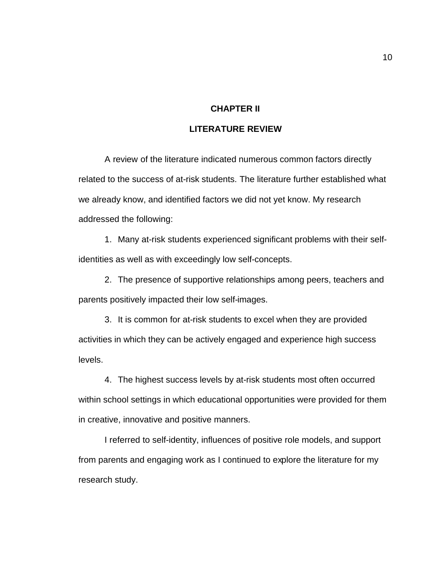### **CHAPTER II**

#### **LITERATURE REVIEW**

A review of the literature indicated numerous common factors directly related to the success of at-risk students. The literature further established what we already know, and identified factors we did not yet know. My research addressed the following:

1. Many at-risk students experienced significant problems with their selfidentities as well as with exceedingly low self-concepts.

2. The presence of supportive relationships among peers, teachers and parents positively impacted their low self-images.

3. It is common for at-risk students to excel when they are provided activities in which they can be actively engaged and experience high success levels.

4. The highest success levels by at-risk students most often occurred within school settings in which educational opportunities were provided for them in creative, innovative and positive manners.

I referred to self-identity, influences of positive role models, and support from parents and engaging work as I continued to explore the literature for my research study.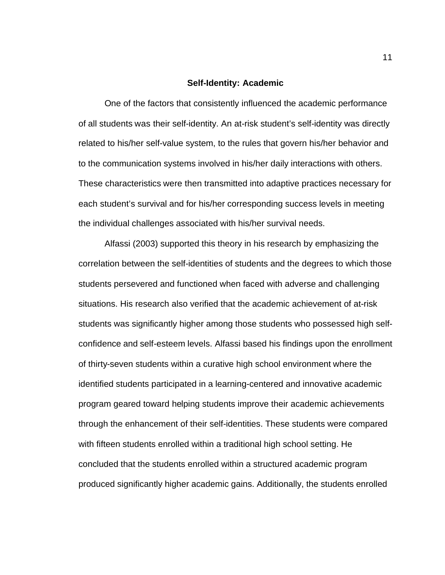#### **Self-Identity: Academic**

One of the factors that consistently influenced the academic performance of all students was their self-identity. An at-risk student's self-identity was directly related to his/her self-value system, to the rules that govern his/her behavior and to the communication systems involved in his/her daily interactions with others. These characteristics were then transmitted into adaptive practices necessary for each student's survival and for his/her corresponding success levels in meeting the individual challenges associated with his/her survival needs.

Alfassi (2003) supported this theory in his research by emphasizing the correlation between the self-identities of students and the degrees to which those students persevered and functioned when faced with adverse and challenging situations. His research also verified that the academic achievement of at-risk students was significantly higher among those students who possessed high selfconfidence and self-esteem levels. Alfassi based his findings upon the enrollment of thirty-seven students within a curative high school environment where the identified students participated in a learning-centered and innovative academic program geared toward helping students improve their academic achievements through the enhancement of their self-identities. These students were compared with fifteen students enrolled within a traditional high school setting. He concluded that the students enrolled within a structured academic program produced significantly higher academic gains. Additionally, the students enrolled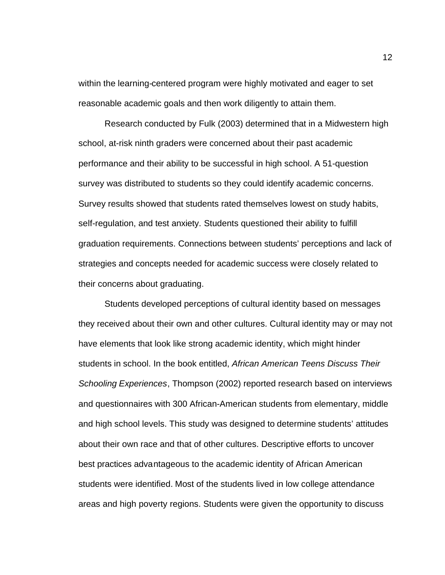within the learning-centered program were highly motivated and eager to set reasonable academic goals and then work diligently to attain them.

Research conducted by Fulk (2003) determined that in a Midwestern high school, at-risk ninth graders were concerned about their past academic performance and their ability to be successful in high school. A 51-question survey was distributed to students so they could identify academic concerns. Survey results showed that students rated themselves lowest on study habits, self-regulation, and test anxiety. Students questioned their ability to fulfill graduation requirements. Connections between students' perceptions and lack of strategies and concepts needed for academic success were closely related to their concerns about graduating.

Students developed perceptions of cultural identity based on messages they received about their own and other cultures. Cultural identity may or may not have elements that look like strong academic identity, which might hinder students in school. In the book entitled, *African American Teens Discuss Their Schooling Experiences*, Thompson (2002) reported research based on interviews and questionnaires with 300 African-American students from elementary, middle and high school levels. This study was designed to determine students' attitudes about their own race and that of other cultures. Descriptive efforts to uncover best practices advantageous to the academic identity of African American students were identified. Most of the students lived in low college attendance areas and high poverty regions. Students were given the opportunity to discuss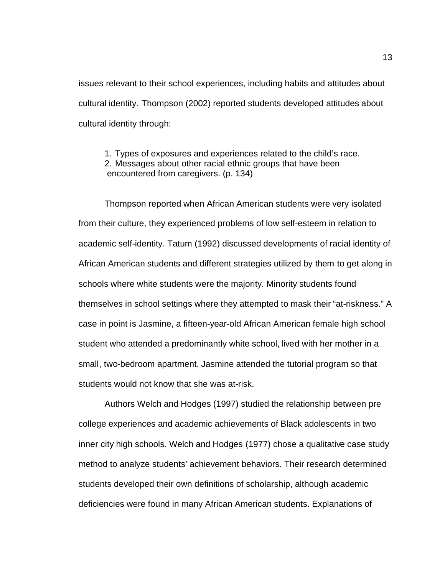issues relevant to their school experiences, including habits and attitudes about cultural identity. Thompson (2002) reported students developed attitudes about cultural identity through:

1. Types of exposures and experiences related to the child's race. 2. Messages about other racial ethnic groups that have been encountered from caregivers. (p. 134)

Thompson reported when African American students were very isolated from their culture, they experienced problems of low self-esteem in relation to academic self-identity. Tatum (1992) discussed developments of racial identity of African American students and different strategies utilized by them to get along in schools where white students were the majority. Minority students found themselves in school settings where they attempted to mask their "at-riskness." A case in point is Jasmine, a fifteen-year-old African American female high school student who attended a predominantly white school, lived with her mother in a small, two-bedroom apartment. Jasmine attended the tutorial program so that students would not know that she was at-risk.

Authors Welch and Hodges (1997) studied the relationship between pre college experiences and academic achievements of Black adolescents in two inner city high schools. Welch and Hodges (1977) chose a qualitative case study method to analyze students' achievement behaviors. Their research determined students developed their own definitions of scholarship, although academic deficiencies were found in many African American students. Explanations of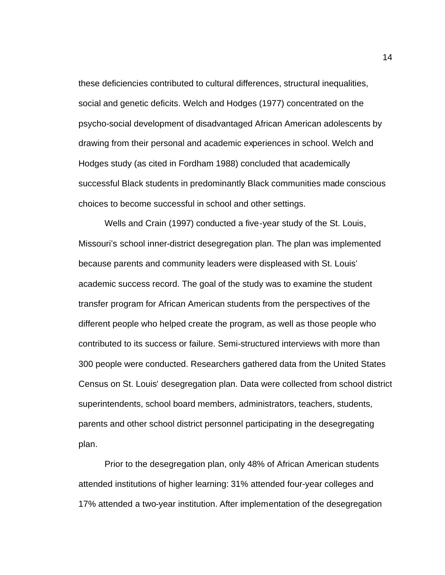these deficiencies contributed to cultural differences, structural inequalities, social and genetic deficits. Welch and Hodges (1977) concentrated on the psycho-social development of disadvantaged African American adolescents by drawing from their personal and academic experiences in school. Welch and Hodges study (as cited in Fordham 1988) concluded that academically successful Black students in predominantly Black communities made conscious choices to become successful in school and other settings.

Wells and Crain (1997) conducted a five-year study of the St. Louis, Missouri's school inner-district desegregation plan. The plan was implemented because parents and community leaders were displeased with St. Louis' academic success record. The goal of the study was to examine the student transfer program for African American students from the perspectives of the different people who helped create the program, as well as those people who contributed to its success or failure. Semi-structured interviews with more than 300 people were conducted. Researchers gathered data from the United States Census on St. Louis' desegregation plan. Data were collected from school district superintendents, school board members, administrators, teachers, students, parents and other school district personnel participating in the desegregating plan.

Prior to the desegregation plan, only 48% of African American students attended institutions of higher learning: 31% attended four-year colleges and 17% attended a two-year institution. After implementation of the desegregation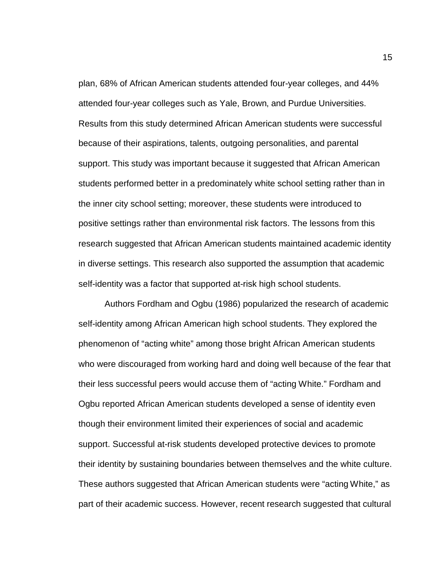plan, 68% of African American students attended four-year colleges, and 44% attended four-year colleges such as Yale, Brown, and Purdue Universities. Results from this study determined African American students were successful because of their aspirations, talents, outgoing personalities, and parental support. This study was important because it suggested that African American students performed better in a predominately white school setting rather than in the inner city school setting; moreover, these students were introduced to positive settings rather than environmental risk factors. The lessons from this research suggested that African American students maintained academic identity in diverse settings. This research also supported the assumption that academic self-identity was a factor that supported at-risk high school students.

Authors Fordham and Ogbu (1986) popularized the research of academic self-identity among African American high school students. They explored the phenomenon of "acting white" among those bright African American students who were discouraged from working hard and doing well because of the fear that their less successful peers would accuse them of "acting White." Fordham and Ogbu reported African American students developed a sense of identity even though their environment limited their experiences of social and academic support. Successful at-risk students developed protective devices to promote their identity by sustaining boundaries between themselves and the white culture. These authors suggested that African American students were "acting White," as part of their academic success. However, recent research suggested that cultural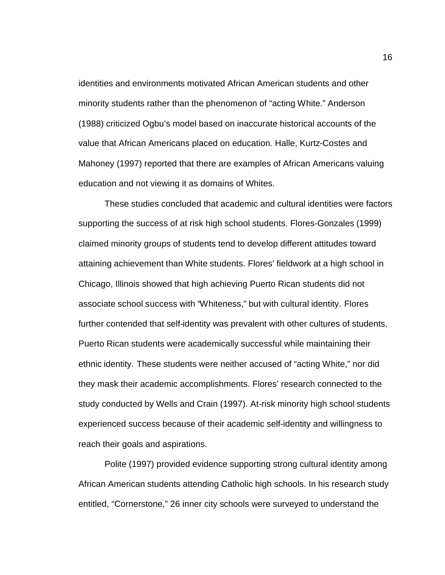identities and environments motivated African American students and other minority students rather than the phenomenon of "acting White." Anderson (1988) criticized Ogbu's model based on inaccurate historical accounts of the value that African Americans placed on education. Halle, Kurtz-Costes and Mahoney (1997) reported that there are examples of African Americans valuing education and not viewing it as domains of Whites.

These studies concluded that academic and cultural identities were factors supporting the success of at risk high school students. Flores-Gonzales (1999) claimed minority groups of students tend to develop different attitudes toward attaining achievement than White students. Flores' fieldwork at a high school in Chicago, Illinois showed that high achieving Puerto Rican students did not associate school success with "Whiteness," but with cultural identity. Flores further contended that self-identity was prevalent with other cultures of students. Puerto Rican students were academically successful while maintaining their ethnic identity. These students were neither accused of "acting White," nor did they mask their academic accomplishments. Flores' research connected to the study conducted by Wells and Crain (1997). At-risk minority high school students experienced success because of their academic self-identity and willingness to reach their goals and aspirations.

Polite (1997) provided evidence supporting strong cultural identity among African American students attending Catholic high schools. In his research study entitled, "Cornerstone," 26 inner city schools were surveyed to understand the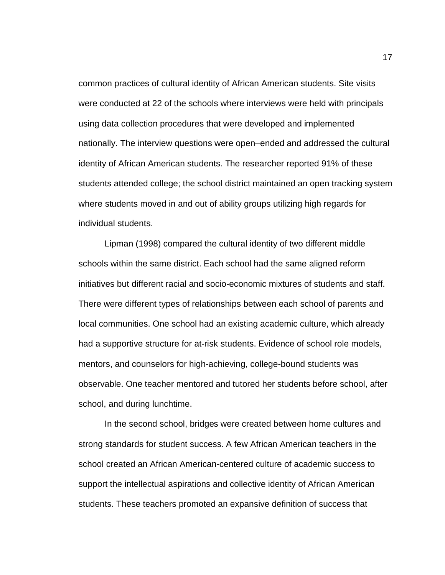common practices of cultural identity of African American students. Site visits were conducted at 22 of the schools where interviews were held with principals using data collection procedures that were developed and implemented nationally. The interview questions were open–ended and addressed the cultural identity of African American students. The researcher reported 91% of these students attended college; the school district maintained an open tracking system where students moved in and out of ability groups utilizing high regards for individual students.

Lipman (1998) compared the cultural identity of two different middle schools within the same district. Each school had the same aligned reform initiatives but different racial and socio-economic mixtures of students and staff. There were different types of relationships between each school of parents and local communities. One school had an existing academic culture, which already had a supportive structure for at-risk students. Evidence of school role models, mentors, and counselors for high-achieving, college-bound students was observable. One teacher mentored and tutored her students before school, after school, and during lunchtime.

In the second school, bridges were created between home cultures and strong standards for student success. A few African American teachers in the school created an African American-centered culture of academic success to support the intellectual aspirations and collective identity of African American students. These teachers promoted an expansive definition of success that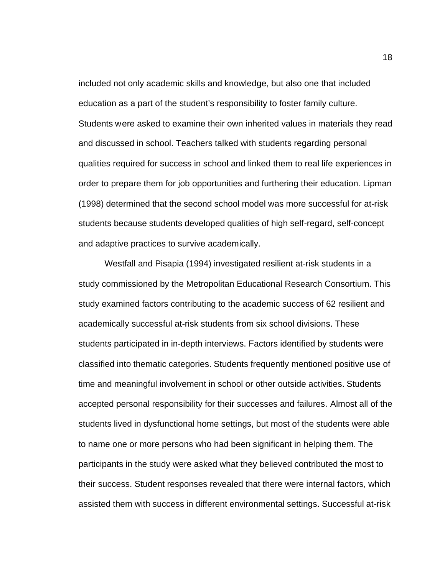included not only academic skills and knowledge, but also one that included education as a part of the student's responsibility to foster family culture. Students were asked to examine their own inherited values in materials they read and discussed in school. Teachers talked with students regarding personal qualities required for success in school and linked them to real life experiences in order to prepare them for job opportunities and furthering their education. Lipman (1998) determined that the second school model was more successful for at-risk students because students developed qualities of high self-regard, self-concept and adaptive practices to survive academically.

Westfall and Pisapia (1994) investigated resilient at-risk students in a study commissioned by the Metropolitan Educational Research Consortium. This study examined factors contributing to the academic success of 62 resilient and academically successful at-risk students from six school divisions. These students participated in in-depth interviews. Factors identified by students were classified into thematic categories. Students frequently mentioned positive use of time and meaningful involvement in school or other outside activities. Students accepted personal responsibility for their successes and failures. Almost all of the students lived in dysfunctional home settings, but most of the students were able to name one or more persons who had been significant in helping them. The participants in the study were asked what they believed contributed the most to their success. Student responses revealed that there were internal factors, which assisted them with success in different environmental settings. Successful at-risk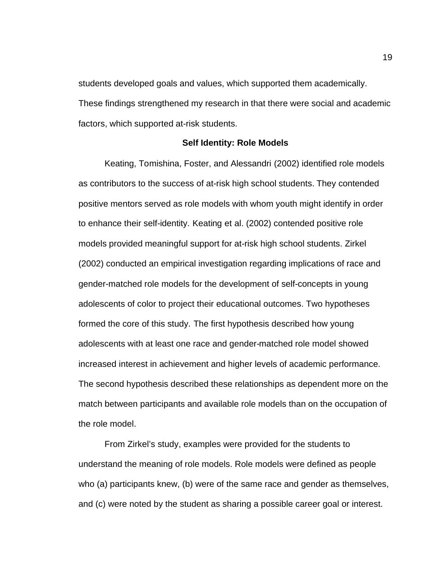students developed goals and values, which supported them academically. These findings strengthened my research in that there were social and academic factors, which supported at-risk students.

#### **Self Identity: Role Models**

Keating, Tomishina, Foster, and Alessandri (2002) identified role models as contributors to the success of at-risk high school students. They contended positive mentors served as role models with whom youth might identify in order to enhance their self-identity. Keating et al. (2002) contended positive role models provided meaningful support for at-risk high school students. Zirkel (2002) conducted an empirical investigation regarding implications of race and gender-matched role models for the development of self-concepts in young adolescents of color to project their educational outcomes. Two hypotheses formed the core of this study. The first hypothesis described how young adolescents with at least one race and gender-matched role model showed increased interest in achievement and higher levels of academic performance. The second hypothesis described these relationships as dependent more on the match between participants and available role models than on the occupation of the role model.

From Zirkel's study, examples were provided for the students to understand the meaning of role models. Role models were defined as people who (a) participants knew, (b) were of the same race and gender as themselves, and (c) were noted by the student as sharing a possible career goal or interest.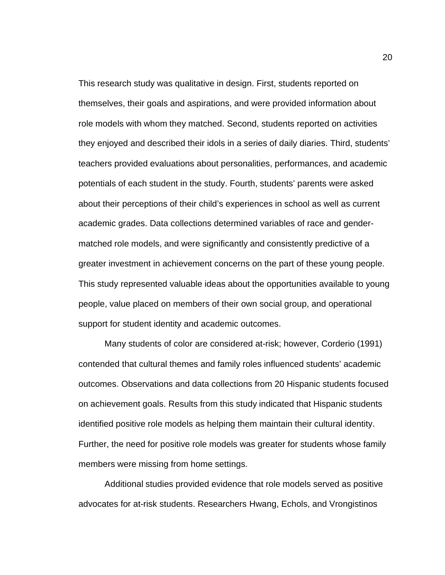This research study was qualitative in design. First, students reported on themselves, their goals and aspirations, and were provided information about role models with whom they matched. Second, students reported on activities they enjoyed and described their idols in a series of daily diaries. Third, students' teachers provided evaluations about personalities, performances, and academic potentials of each student in the study. Fourth, students' parents were asked about their perceptions of their child's experiences in school as well as current academic grades. Data collections determined variables of race and gendermatched role models, and were significantly and consistently predictive of a greater investment in achievement concerns on the part of these young people. This study represented valuable ideas about the opportunities available to young people, value placed on members of their own social group, and operational support for student identity and academic outcomes.

Many students of color are considered at-risk; however, Corderio (1991) contended that cultural themes and family roles influenced students' academic outcomes. Observations and data collections from 20 Hispanic students focused on achievement goals. Results from this study indicated that Hispanic students identified positive role models as helping them maintain their cultural identity. Further, the need for positive role models was greater for students whose family members were missing from home settings.

Additional studies provided evidence that role models served as positive advocates for at-risk students. Researchers Hwang, Echols, and Vrongistinos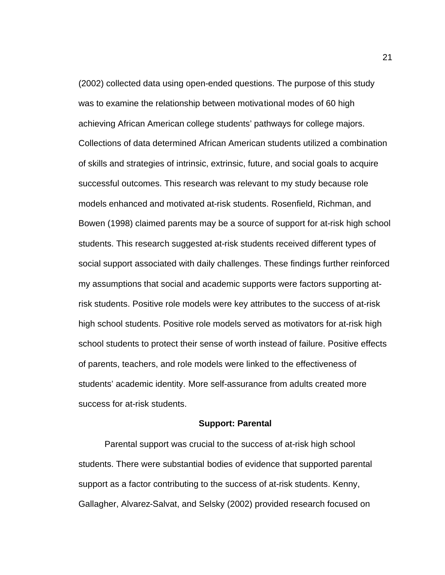(2002) collected data using open-ended questions. The purpose of this study was to examine the relationship between motivational modes of 60 high achieving African American college students' pathways for college majors. Collections of data determined African American students utilized a combination of skills and strategies of intrinsic, extrinsic, future, and social goals to acquire successful outcomes. This research was relevant to my study because role models enhanced and motivated at-risk students. Rosenfield, Richman, and Bowen (1998) claimed parents may be a source of support for at-risk high school students. This research suggested at-risk students received different types of social support associated with daily challenges. These findings further reinforced my assumptions that social and academic supports were factors supporting atrisk students. Positive role models were key attributes to the success of at-risk high school students. Positive role models served as motivators for at-risk high school students to protect their sense of worth instead of failure. Positive effects of parents, teachers, and role models were linked to the effectiveness of students' academic identity. More self-assurance from adults created more success for at-risk students.

#### **Support: Parental**

Parental support was crucial to the success of at-risk high school students. There were substantial bodies of evidence that supported parental support as a factor contributing to the success of at-risk students. Kenny, Gallagher, Alvarez-Salvat, and Selsky (2002) provided research focused on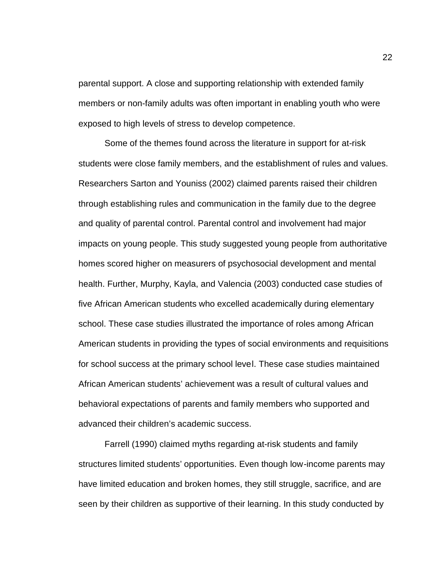parental support. A close and supporting relationship with extended family members or non-family adults was often important in enabling youth who were exposed to high levels of stress to develop competence.

Some of the themes found across the literature in support for at-risk students were close family members, and the establishment of rules and values. Researchers Sarton and Youniss (2002) claimed parents raised their children through establishing rules and communication in the family due to the degree and quality of parental control. Parental control and involvement had major impacts on young people. This study suggested young people from authoritative homes scored higher on measurers of psychosocial development and mental health. Further, Murphy, Kayla, and Valencia (2003) conducted case studies of five African American students who excelled academically during elementary school. These case studies illustrated the importance of roles among African American students in providing the types of social environments and requisitions for school success at the primary school level. These case studies maintained African American students' achievement was a result of cultural values and behavioral expectations of parents and family members who supported and advanced their children's academic success.

Farrell (1990) claimed myths regarding at-risk students and family structures limited students' opportunities. Even though low-income parents may have limited education and broken homes, they still struggle, sacrifice, and are seen by their children as supportive of their learning. In this study conducted by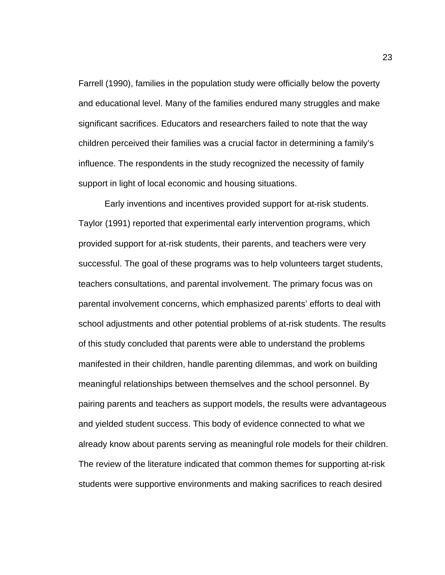Farrell (1990), families in the population study were officially below the poverty and educational level. Many of the families endured many struggles and make significant sacrifices. Educators and researchers failed to note that the way children perceived their families was a crucial factor in determining a family's influence. The respondents in the study recognized the necessity of family support in light of local economic and housing situations.

Early inventions and incentives provided support for at-risk students. Taylor (1991) reported that experimental early intervention programs, which provided support for at-risk students, their parents, and teachers were very successful. The goal of these programs was to help volunteers target students, teachers consultations, and parental involvement. The primary focus was on parental involvement concerns, which emphasized parents' efforts to deal with school adjustments and other potential problems of at-risk students. The results of this study concluded that parents were able to understand the problems manifested in their children, handle parenting dilemmas, and work on building meaningful relationships between themselves and the school personnel. By pairing parents and teachers as support models, the results were advantageous and yielded student success. This body of evidence connected to what we already know about parents serving as meaningful role models for their children. The review of the literature indicated that common themes for supporting at-risk students were supportive environments and making sacrifices to reach desired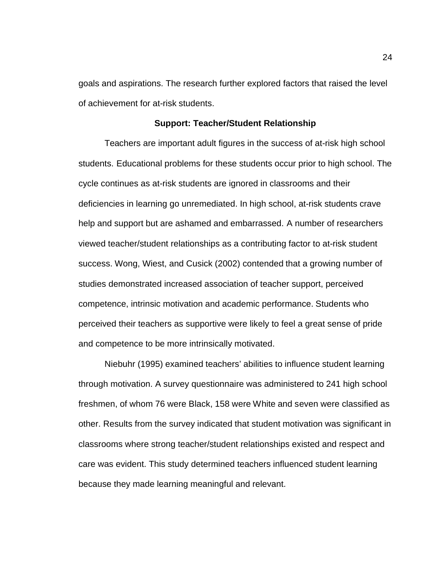goals and aspirations. The research further explored factors that raised the level of achievement for at-risk students.

#### **Support: Teacher/Student Relationship**

Teachers are important adult figures in the success of at-risk high school students. Educational problems for these students occur prior to high school. The cycle continues as at-risk students are ignored in classrooms and their deficiencies in learning go unremediated. In high school, at-risk students crave help and support but are ashamed and embarrassed. A number of researchers viewed teacher/student relationships as a contributing factor to at-risk student success. Wong, Wiest, and Cusick (2002) contended that a growing number of studies demonstrated increased association of teacher support, perceived competence, intrinsic motivation and academic performance. Students who perceived their teachers as supportive were likely to feel a great sense of pride and competence to be more intrinsically motivated.

Niebuhr (1995) examined teachers' abilities to influence student learning through motivation. A survey questionnaire was administered to 241 high school freshmen, of whom 76 were Black, 158 were White and seven were classified as other. Results from the survey indicated that student motivation was significant in classrooms where strong teacher/student relationships existed and respect and care was evident. This study determined teachers influenced student learning because they made learning meaningful and relevant.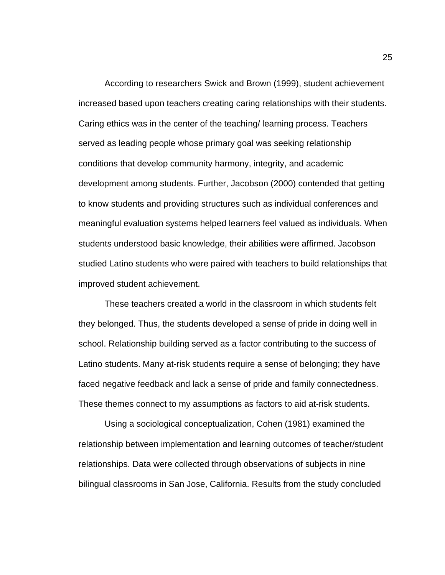According to researchers Swick and Brown (1999), student achievement increased based upon teachers creating caring relationships with their students. Caring ethics was in the center of the teaching/ learning process. Teachers served as leading people whose primary goal was seeking relationship conditions that develop community harmony, integrity, and academic development among students. Further, Jacobson (2000) contended that getting to know students and providing structures such as individual conferences and meaningful evaluation systems helped learners feel valued as individuals. When students understood basic knowledge, their abilities were affirmed. Jacobson studied Latino students who were paired with teachers to build relationships that improved student achievement.

These teachers created a world in the classroom in which students felt they belonged. Thus, the students developed a sense of pride in doing well in school. Relationship building served as a factor contributing to the success of Latino students. Many at-risk students require a sense of belonging; they have faced negative feedback and lack a sense of pride and family connectedness. These themes connect to my assumptions as factors to aid at-risk students.

Using a sociological conceptualization, Cohen (1981) examined the relationship between implementation and learning outcomes of teacher/student relationships. Data were collected through observations of subjects in nine bilingual classrooms in San Jose, California. Results from the study concluded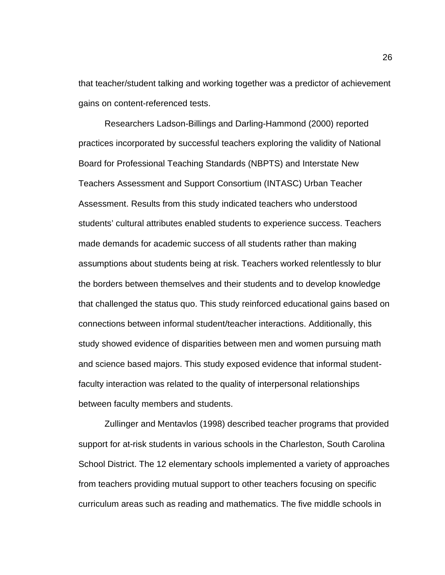that teacher/student talking and working together was a predictor of achievement gains on content-referenced tests.

Researchers Ladson-Billings and Darling-Hammond (2000) reported practices incorporated by successful teachers exploring the validity of National Board for Professional Teaching Standards (NBPTS) and Interstate New Teachers Assessment and Support Consortium (INTASC) Urban Teacher Assessment. Results from this study indicated teachers who understood students' cultural attributes enabled students to experience success. Teachers made demands for academic success of all students rather than making assumptions about students being at risk. Teachers worked relentlessly to blur the borders between themselves and their students and to develop knowledge that challenged the status quo. This study reinforced educational gains based on connections between informal student/teacher interactions. Additionally, this study showed evidence of disparities between men and women pursuing math and science based majors. This study exposed evidence that informal studentfaculty interaction was related to the quality of interpersonal relationships between faculty members and students.

Zullinger and Mentavlos (1998) described teacher programs that provided support for at-risk students in various schools in the Charleston, South Carolina School District. The 12 elementary schools implemented a variety of approaches from teachers providing mutual support to other teachers focusing on specific curriculum areas such as reading and mathematics. The five middle schools in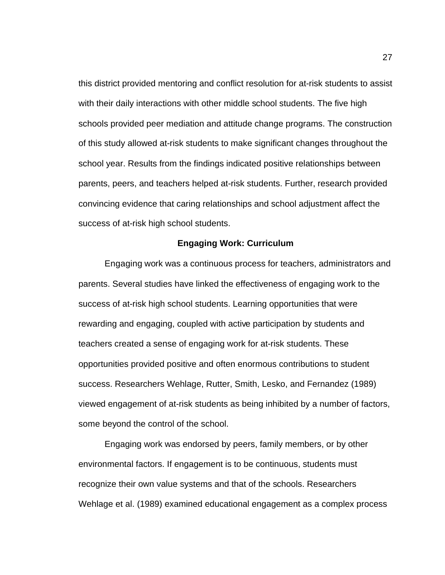this district provided mentoring and conflict resolution for at-risk students to assist with their daily interactions with other middle school students. The five high schools provided peer mediation and attitude change programs. The construction of this study allowed at-risk students to make significant changes throughout the school year. Results from the findings indicated positive relationships between parents, peers, and teachers helped at-risk students. Further, research provided convincing evidence that caring relationships and school adjustment affect the success of at-risk high school students.

### **Engaging Work: Curriculum**

Engaging work was a continuous process for teachers, administrators and parents. Several studies have linked the effectiveness of engaging work to the success of at-risk high school students. Learning opportunities that were rewarding and engaging, coupled with active participation by students and teachers created a sense of engaging work for at-risk students. These opportunities provided positive and often enormous contributions to student success. Researchers Wehlage, Rutter, Smith, Lesko, and Fernandez (1989) viewed engagement of at-risk students as being inhibited by a number of factors, some beyond the control of the school.

Engaging work was endorsed by peers, family members, or by other environmental factors. If engagement is to be continuous, students must recognize their own value systems and that of the schools. Researchers Wehlage et al. (1989) examined educational engagement as a complex process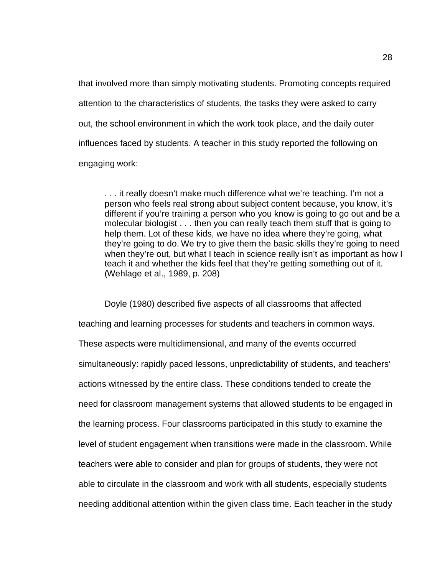that involved more than simply motivating students. Promoting concepts required attention to the characteristics of students, the tasks they were asked to carry out, the school environment in which the work took place, and the daily outer influences faced by students. A teacher in this study reported the following on engaging work:

. . . it really doesn't make much difference what we're teaching. I'm not a person who feels real strong about subject content because, you know, it's different if you're training a person who you know is going to go out and be a molecular biologist . . . then you can really teach them stuff that is going to help them. Lot of these kids, we have no idea where they're going, what they're going to do. We try to give them the basic skills they're going to need when they're out, but what I teach in science really isn't as important as how I teach it and whether the kids feel that they're getting something out of it. (Wehlage et al., 1989, p. 208)

Doyle (1980) described five aspects of all classrooms that affected teaching and learning processes for students and teachers in common ways. These aspects were multidimensional, and many of the events occurred simultaneously: rapidly paced lessons, unpredictability of students, and teachers' actions witnessed by the entire class. These conditions tended to create the need for classroom management systems that allowed students to be engaged in the learning process. Four classrooms participated in this study to examine the level of student engagement when transitions were made in the classroom. While teachers were able to consider and plan for groups of students, they were not able to circulate in the classroom and work with all students, especially students needing additional attention within the given class time. Each teacher in the study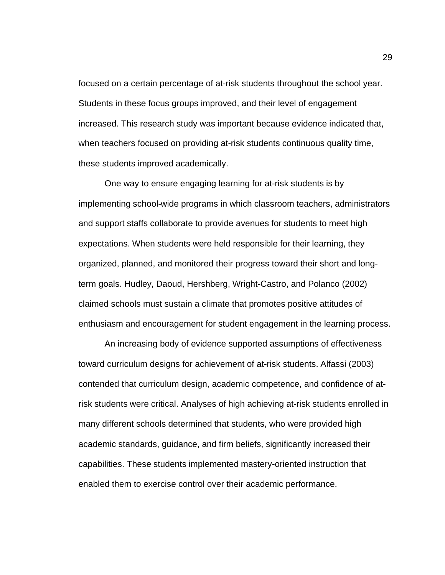focused on a certain percentage of at-risk students throughout the school year. Students in these focus groups improved, and their level of engagement increased. This research study was important because evidence indicated that, when teachers focused on providing at-risk students continuous quality time, these students improved academically.

One way to ensure engaging learning for at-risk students is by implementing school-wide programs in which classroom teachers, administrators and support staffs collaborate to provide avenues for students to meet high expectations. When students were held responsible for their learning, they organized, planned, and monitored their progress toward their short and longterm goals. Hudley, Daoud, Hershberg, Wright-Castro, and Polanco (2002) claimed schools must sustain a climate that promotes positive attitudes of enthusiasm and encouragement for student engagement in the learning process.

An increasing body of evidence supported assumptions of effectiveness toward curriculum designs for achievement of at-risk students. Alfassi (2003) contended that curriculum design, academic competence, and confidence of atrisk students were critical. Analyses of high achieving at-risk students enrolled in many different schools determined that students, who were provided high academic standards, guidance, and firm beliefs, significantly increased their capabilities. These students implemented mastery-oriented instruction that enabled them to exercise control over their academic performance.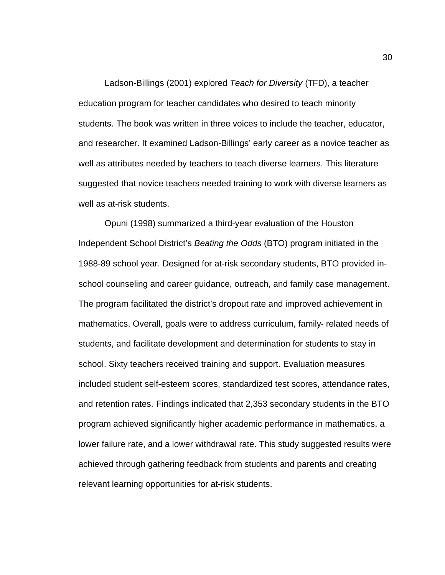Ladson-Billings (2001) explored *Teach for Diversity* (TFD), a teacher education program for teacher candidates who desired to teach minority students. The book was written in three voices to include the teacher, educator, and researcher. It examined Ladson-Billings' early career as a novice teacher as well as attributes needed by teachers to teach diverse learners. This literature suggested that novice teachers needed training to work with diverse learners as well as at-risk students.

Opuni (1998) summarized a third-year evaluation of the Houston Independent School District's *Beating the Odds* (BTO) program initiated in the 1988-89 school year. Designed for at-risk secondary students, BTO provided inschool counseling and career guidance, outreach, and family case management. The program facilitated the district's dropout rate and improved achievement in mathematics. Overall, goals were to address curriculum, family- related needs of students, and facilitate development and determination for students to stay in school. Sixty teachers received training and support. Evaluation measures included student self-esteem scores, standardized test scores, attendance rates, and retention rates. Findings indicated that 2,353 secondary students in the BTO program achieved significantly higher academic performance in mathematics, a lower failure rate, and a lower withdrawal rate. This study suggested results were achieved through gathering feedback from students and parents and creating relevant learning opportunities for at-risk students.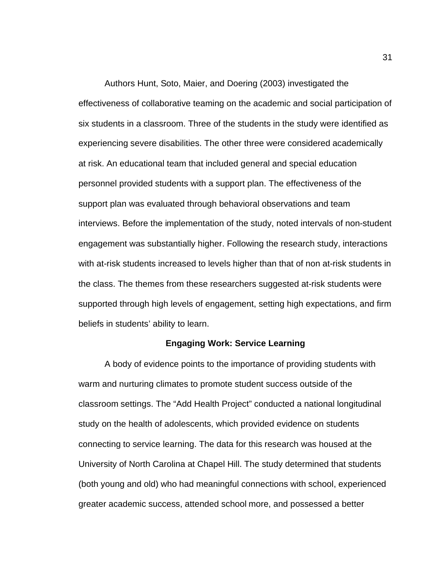Authors Hunt, Soto, Maier, and Doering (2003) investigated the effectiveness of collaborative teaming on the academic and social participation of six students in a classroom. Three of the students in the study were identified as experiencing severe disabilities. The other three were considered academically at risk. An educational team that included general and special education personnel provided students with a support plan. The effectiveness of the support plan was evaluated through behavioral observations and team interviews. Before the implementation of the study, noted intervals of non-student engagement was substantially higher. Following the research study, interactions with at-risk students increased to levels higher than that of non at-risk students in the class. The themes from these researchers suggested at-risk students were supported through high levels of engagement, setting high expectations, and firm beliefs in students' ability to learn.

### **Engaging Work: Service Learning**

A body of evidence points to the importance of providing students with warm and nurturing climates to promote student success outside of the classroom settings. The "Add Health Project" conducted a national longitudinal study on the health of adolescents, which provided evidence on students connecting to service learning. The data for this research was housed at the University of North Carolina at Chapel Hill. The study determined that students (both young and old) who had meaningful connections with school, experienced greater academic success, attended school more, and possessed a better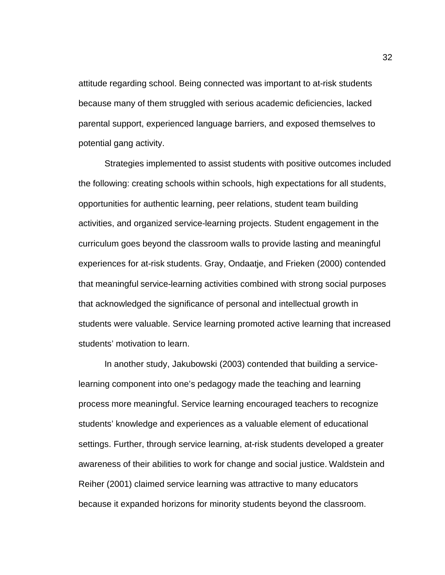attitude regarding school. Being connected was important to at-risk students because many of them struggled with serious academic deficiencies, lacked parental support, experienced language barriers, and exposed themselves to potential gang activity.

Strategies implemented to assist students with positive outcomes included the following: creating schools within schools, high expectations for all students, opportunities for authentic learning, peer relations, student team building activities, and organized service-learning projects. Student engagement in the curriculum goes beyond the classroom walls to provide lasting and meaningful experiences for at-risk students. Gray, Ondaatje, and Frieken (2000) contended that meaningful service-learning activities combined with strong social purposes that acknowledged the significance of personal and intellectual growth in students were valuable. Service learning promoted active learning that increased students' motivation to learn.

In another study, Jakubowski (2003) contended that building a servicelearning component into one's pedagogy made the teaching and learning process more meaningful. Service learning encouraged teachers to recognize students' knowledge and experiences as a valuable element of educational settings. Further, through service learning, at-risk students developed a greater awareness of their abilities to work for change and social justice. Waldstein and Reiher (2001) claimed service learning was attractive to many educators because it expanded horizons for minority students beyond the classroom.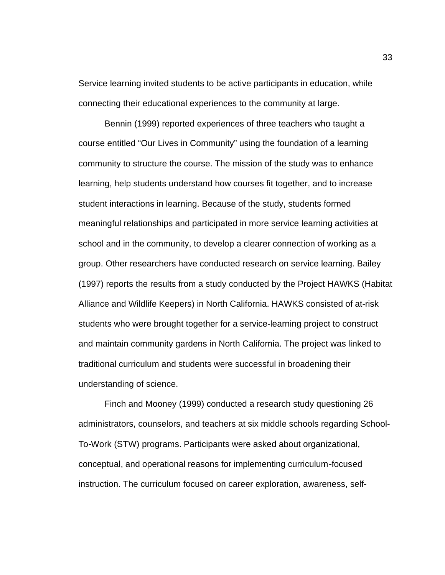Service learning invited students to be active participants in education, while connecting their educational experiences to the community at large.

Bennin (1999) reported experiences of three teachers who taught a course entitled "Our Lives in Community" using the foundation of a learning community to structure the course. The mission of the study was to enhance learning, help students understand how courses fit together, and to increase student interactions in learning. Because of the study, students formed meaningful relationships and participated in more service learning activities at school and in the community, to develop a clearer connection of working as a group. Other researchers have conducted research on service learning. Bailey (1997) reports the results from a study conducted by the Project HAWKS (Habitat Alliance and Wildlife Keepers) in North California. HAWKS consisted of at-risk students who were brought together for a service-learning project to construct and maintain community gardens in North California. The project was linked to traditional curriculum and students were successful in broadening their understanding of science.

Finch and Mooney (1999) conducted a research study questioning 26 administrators, counselors, and teachers at six middle schools regarding School-To-Work (STW) programs. Participants were asked about organizational, conceptual, and operational reasons for implementing curriculum-focused instruction. The curriculum focused on career exploration, awareness, self-

33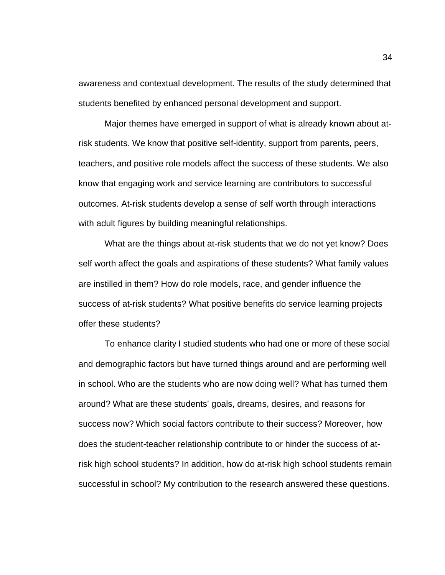awareness and contextual development. The results of the study determined that students benefited by enhanced personal development and support.

Major themes have emerged in support of what is already known about atrisk students. We know that positive self-identity, support from parents, peers, teachers, and positive role models affect the success of these students. We also know that engaging work and service learning are contributors to successful outcomes. At-risk students develop a sense of self worth through interactions with adult figures by building meaningful relationships.

What are the things about at-risk students that we do not yet know? Does self worth affect the goals and aspirations of these students? What family values are instilled in them? How do role models, race, and gender influence the success of at-risk students? What positive benefits do service learning projects offer these students?

To enhance clarity I studied students who had one or more of these social and demographic factors but have turned things around and are performing well in school. Who are the students who are now doing well? What has turned them around? What are these students' goals, dreams, desires, and reasons for success now? Which social factors contribute to their success? Moreover, how does the student-teacher relationship contribute to or hinder the success of atrisk high school students? In addition, how do at-risk high school students remain successful in school? My contribution to the research answered these questions.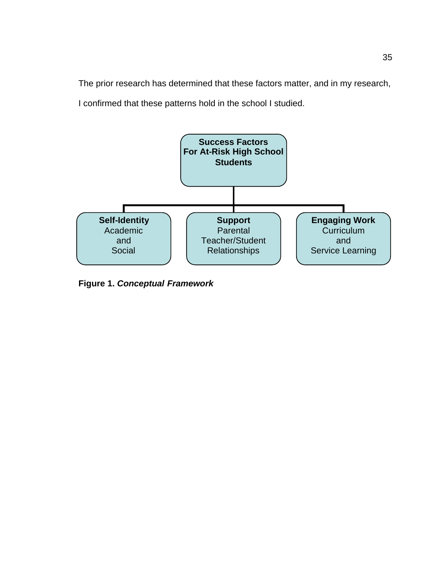The prior research has determined that these factors matter, and in my research, I confirmed that these patterns hold in the school I studied.



**Figure 1.** *Conceptual Framework*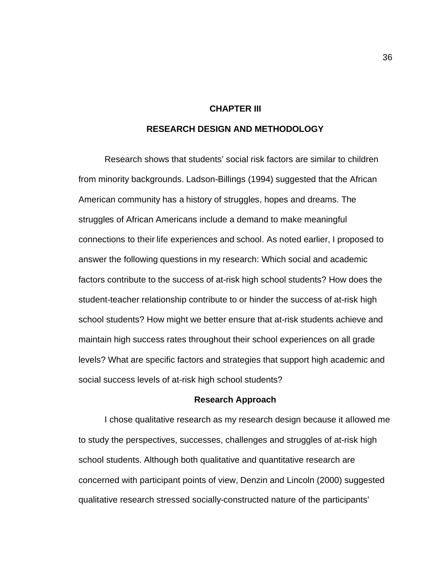# **CHAPTER III**

# **RESEARCH DESIGN AND METHODOLOGY**

Research shows that students' social risk factors are similar to children from minority backgrounds. Ladson-Billings (1994) suggested that the African American community has a history of struggles, hopes and dreams. The struggles of African Americans include a demand to make meaningful connections to their life experiences and school. As noted earlier, I proposed to answer the following questions in my research: Which social and academic factors contribute to the success of at-risk high school students? How does the student-teacher relationship contribute to or hinder the success of at-risk high school students? How might we better ensure that at-risk students achieve and maintain high success rates throughout their school experiences on all grade levels? What are specific factors and strategies that support high academic and social success levels of at-risk high school students?

#### **Research Approach**

I chose qualitative research as my research design because it allowed me to study the perspectives, successes, challenges and struggles of at-risk high school students. Although both qualitative and quantitative research are concerned with participant points of view, Denzin and Lincoln (2000) suggested qualitative research stressed socially-constructed nature of the participants'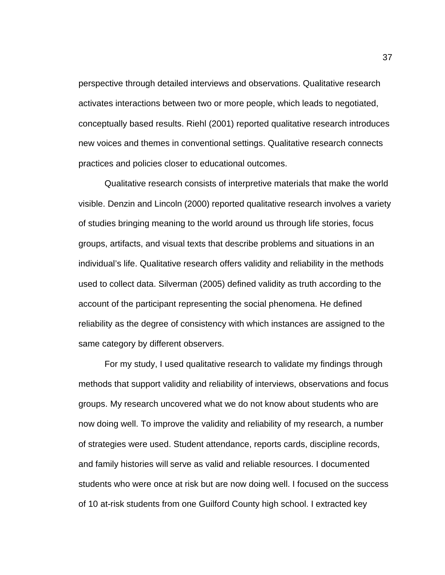perspective through detailed interviews and observations. Qualitative research activates interactions between two or more people, which leads to negotiated, conceptually based results. Riehl (2001) reported qualitative research introduces new voices and themes in conventional settings. Qualitative research connects practices and policies closer to educational outcomes.

Qualitative research consists of interpretive materials that make the world visible. Denzin and Lincoln (2000) reported qualitative research involves a variety of studies bringing meaning to the world around us through life stories, focus groups, artifacts, and visual texts that describe problems and situations in an individual's life. Qualitative research offers validity and reliability in the methods used to collect data. Silverman (2005) defined validity as truth according to the account of the participant representing the social phenomena. He defined reliability as the degree of consistency with which instances are assigned to the same category by different observers.

For my study, I used qualitative research to validate my findings through methods that support validity and reliability of interviews, observations and focus groups. My research uncovered what we do not know about students who are now doing well. To improve the validity and reliability of my research, a number of strategies were used. Student attendance, reports cards, discipline records, and family histories will serve as valid and reliable resources. I documented students who were once at risk but are now doing well. I focused on the success of 10 at-risk students from one Guilford County high school. I extracted key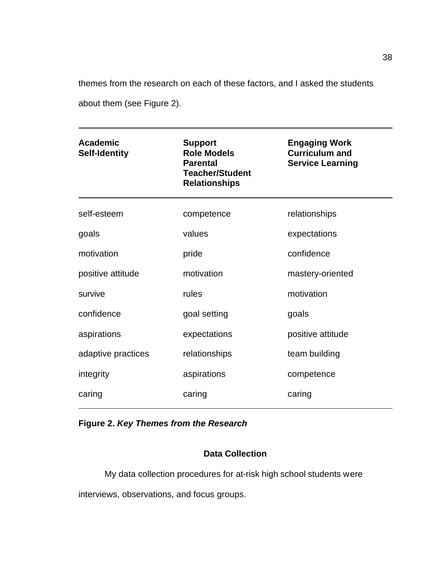themes from the research on each of these factors, and I asked the students about them (see Figure 2).

| <b>Academic</b><br><b>Self-Identity</b> | <b>Support</b><br><b>Role Models</b><br><b>Parental</b><br><b>Teacher/Student</b><br><b>Relationships</b> | <b>Engaging Work</b><br><b>Curriculum and</b><br><b>Service Learning</b> |
|-----------------------------------------|-----------------------------------------------------------------------------------------------------------|--------------------------------------------------------------------------|
| self-esteem                             | competence                                                                                                | relationships                                                            |
| goals                                   | values                                                                                                    | expectations                                                             |
| motivation                              | pride                                                                                                     | confidence                                                               |
| positive attitude                       | motivation                                                                                                | mastery-oriented                                                         |
| survive                                 | rules                                                                                                     | motivation                                                               |
| confidence                              | goal setting                                                                                              | goals                                                                    |
| aspirations                             | expectations                                                                                              | positive attitude                                                        |
| adaptive practices                      | relationships                                                                                             | team building                                                            |
| integrity                               | aspirations                                                                                               | competence                                                               |
| caring                                  | caring                                                                                                    | caring                                                                   |

# **Figure 2.** *Key Themes from the Research*

# **Data Collection**

My data collection procedures for at-risk high school students were interviews, observations, and focus groups.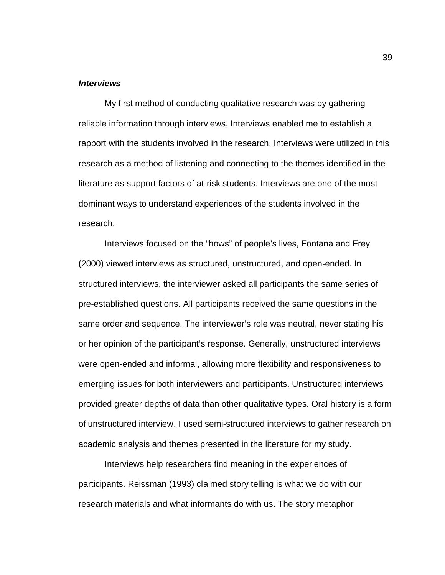# *Interviews*

 My first method of conducting qualitative research was by gathering reliable information through interviews. Interviews enabled me to establish a rapport with the students involved in the research. Interviews were utilized in this research as a method of listening and connecting to the themes identified in the literature as support factors of at-risk students. Interviews are one of the most dominant ways to understand experiences of the students involved in the research.

 Interviews focused on the "hows" of people's lives, Fontana and Frey (2000) viewed interviews as structured, unstructured, and open-ended. In structured interviews, the interviewer asked all participants the same series of pre-established questions. All participants received the same questions in the same order and sequence. The interviewer's role was neutral, never stating his or her opinion of the participant's response. Generally, unstructured interviews were open-ended and informal, allowing more flexibility and responsiveness to emerging issues for both interviewers and participants. Unstructured interviews provided greater depths of data than other qualitative types. Oral history is a form of unstructured interview. I used semi-structured interviews to gather research on academic analysis and themes presented in the literature for my study.

 Interviews help researchers find meaning in the experiences of participants. Reissman (1993) claimed story telling is what we do with our research materials and what informants do with us. The story metaphor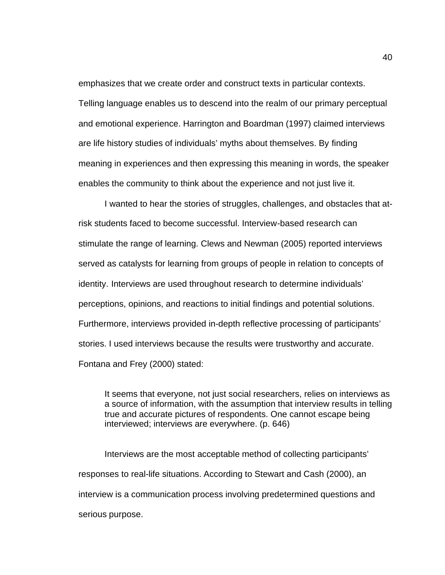emphasizes that we create order and construct texts in particular contexts. Telling language enables us to descend into the realm of our primary perceptual and emotional experience. Harrington and Boardman (1997) claimed interviews are life history studies of individuals' myths about themselves. By finding meaning in experiences and then expressing this meaning in words, the speaker enables the community to think about the experience and not just live it.

 I wanted to hear the stories of struggles, challenges, and obstacles that atrisk students faced to become successful. Interview-based research can stimulate the range of learning. Clews and Newman (2005) reported interviews served as catalysts for learning from groups of people in relation to concepts of identity. Interviews are used throughout research to determine individuals' perceptions, opinions, and reactions to initial findings and potential solutions. Furthermore, interviews provided in-depth reflective processing of participants' stories. I used interviews because the results were trustworthy and accurate. Fontana and Frey (2000) stated:

It seems that everyone, not just social researchers, relies on interviews as a source of information, with the assumption that interview results in telling true and accurate pictures of respondents. One cannot escape being interviewed; interviews are everywhere. (p. 646)

Interviews are the most acceptable method of collecting participants' responses to real-life situations. According to Stewart and Cash (2000), an interview is a communication process involving predetermined questions and serious purpose.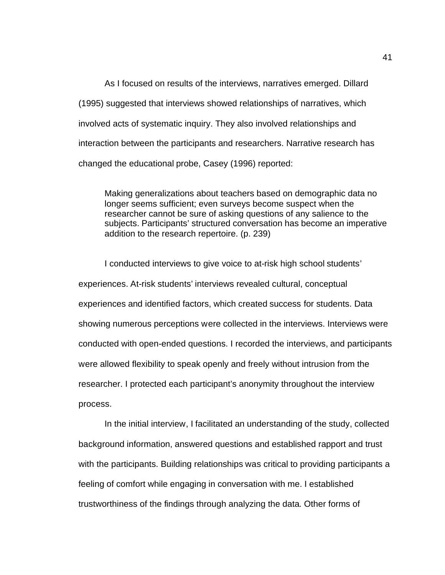As I focused on results of the interviews, narratives emerged. Dillard (1995) suggested that interviews showed relationships of narratives, which involved acts of systematic inquiry. They also involved relationships and interaction between the participants and researchers. Narrative research has changed the educational probe, Casey (1996) reported:

Making generalizations about teachers based on demographic data no longer seems sufficient; even surveys become suspect when the researcher cannot be sure of asking questions of any salience to the subjects. Participants' structured conversation has become an imperative addition to the research repertoire. (p. 239)

 I conducted interviews to give voice to at-risk high school students' experiences. At-risk students' interviews revealed cultural, conceptual experiences and identified factors, which created success for students. Data showing numerous perceptions were collected in the interviews. Interviews were conducted with open-ended questions. I recorded the interviews, and participants were allowed flexibility to speak openly and freely without intrusion from the researcher. I protected each participant's anonymity throughout the interview process.

 In the initial interview, I facilitated an understanding of the study, collected background information, answered questions and established rapport and trust with the participants. Building relationships was critical to providing participants a feeling of comfort while engaging in conversation with me. I established trustworthiness of the findings through analyzing the data. Other forms of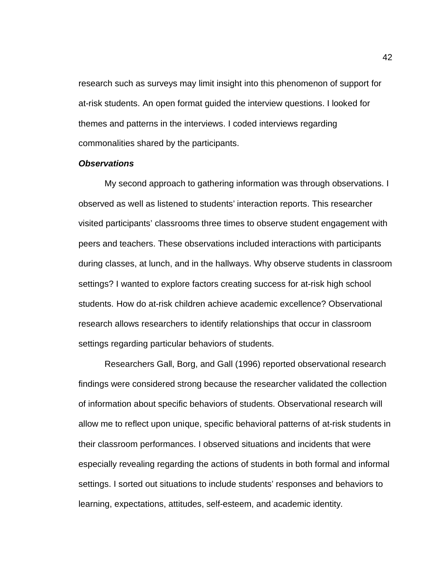research such as surveys may limit insight into this phenomenon of support for at-risk students. An open format guided the interview questions. I looked for themes and patterns in the interviews. I coded interviews regarding commonalities shared by the participants.

### *Observations*

 My second approach to gathering information was through observations. I observed as well as listened to students' interaction reports. This researcher visited participants' classrooms three times to observe student engagement with peers and teachers. These observations included interactions with participants during classes, at lunch, and in the hallways. Why observe students in classroom settings? I wanted to explore factors creating success for at-risk high school students. How do at-risk children achieve academic excellence? Observational research allows researchers to identify relationships that occur in classroom settings regarding particular behaviors of students.

 Researchers Gall, Borg, and Gall (1996) reported observational research findings were considered strong because the researcher validated the collection of information about specific behaviors of students. Observational research will allow me to reflect upon unique, specific behavioral patterns of at-risk students in their classroom performances. I observed situations and incidents that were especially revealing regarding the actions of students in both formal and informal settings. I sorted out situations to include students' responses and behaviors to learning, expectations, attitudes, self-esteem, and academic identity.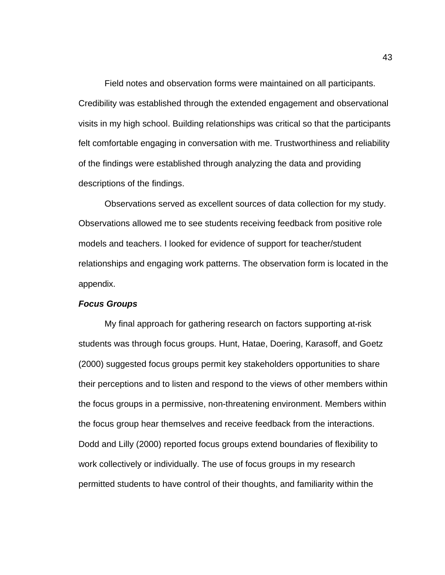Field notes and observation forms were maintained on all participants. Credibility was established through the extended engagement and observational visits in my high school. Building relationships was critical so that the participants felt comfortable engaging in conversation with me. Trustworthiness and reliability of the findings were established through analyzing the data and providing descriptions of the findings.

 Observations served as excellent sources of data collection for my study. Observations allowed me to see students receiving feedback from positive role models and teachers. I looked for evidence of support for teacher/student relationships and engaging work patterns. The observation form is located in the appendix.

# *Focus Groups*

My final approach for gathering research on factors supporting at-risk students was through focus groups. Hunt, Hatae, Doering, Karasoff, and Goetz (2000) suggested focus groups permit key stakeholders opportunities to share their perceptions and to listen and respond to the views of other members within the focus groups in a permissive, non-threatening environment. Members within the focus group hear themselves and receive feedback from the interactions. Dodd and Lilly (2000) reported focus groups extend boundaries of flexibility to work collectively or individually. The use of focus groups in my research permitted students to have control of their thoughts, and familiarity within the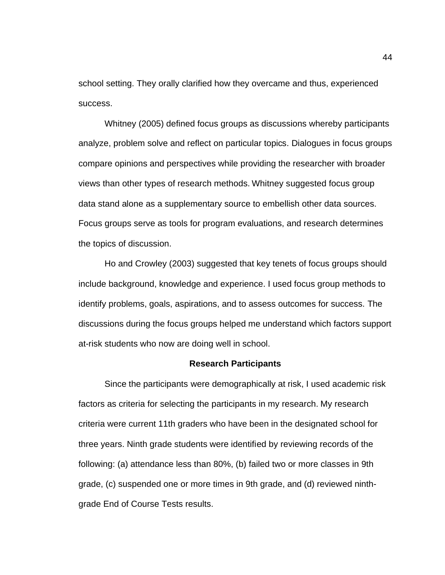school setting. They orally clarified how they overcame and thus, experienced success.

 Whitney (2005) defined focus groups as discussions whereby participants analyze, problem solve and reflect on particular topics. Dialogues in focus groups compare opinions and perspectives while providing the researcher with broader views than other types of research methods. Whitney suggested focus group data stand alone as a supplementary source to embellish other data sources. Focus groups serve as tools for program evaluations, and research determines the topics of discussion.

 Ho and Crowley (2003) suggested that key tenets of focus groups should include background, knowledge and experience. I used focus group methods to identify problems, goals, aspirations, and to assess outcomes for success. The discussions during the focus groups helped me understand which factors support at-risk students who now are doing well in school.

#### **Research Participants**

 Since the participants were demographically at risk, I used academic risk factors as criteria for selecting the participants in my research. My research criteria were current 11th graders who have been in the designated school for three years. Ninth grade students were identified by reviewing records of the following: (a) attendance less than 80%, (b) failed two or more classes in 9th grade, (c) suspended one or more times in 9th grade, and (d) reviewed ninthgrade End of Course Tests results.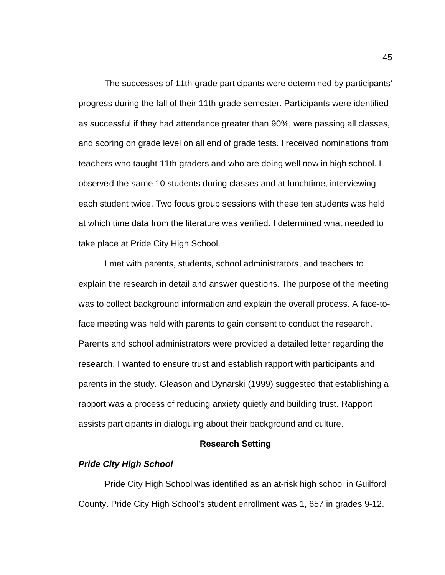The successes of 11th-grade participants were determined by participants' progress during the fall of their 11th-grade semester. Participants were identified as successful if they had attendance greater than 90%, were passing all classes, and scoring on grade level on all end of grade tests. I received nominations from teachers who taught 11th graders and who are doing well now in high school. I observed the same 10 students during classes and at lunchtime, interviewing each student twice. Two focus group sessions with these ten students was held at which time data from the literature was verified. I determined what needed to take place at Pride City High School.

 I met with parents, students, school administrators, and teachers to explain the research in detail and answer questions. The purpose of the meeting was to collect background information and explain the overall process. A face-toface meeting was held with parents to gain consent to conduct the research. Parents and school administrators were provided a detailed letter regarding the research. I wanted to ensure trust and establish rapport with participants and parents in the study. Gleason and Dynarski (1999) suggested that establishing a rapport was a process of reducing anxiety quietly and building trust. Rapport assists participants in dialoguing about their background and culture.

## **Research Setting**

# *Pride City High School*

Pride City High School was identified as an at-risk high school in Guilford County. Pride City High School's student enrollment was 1, 657 in grades 9-12.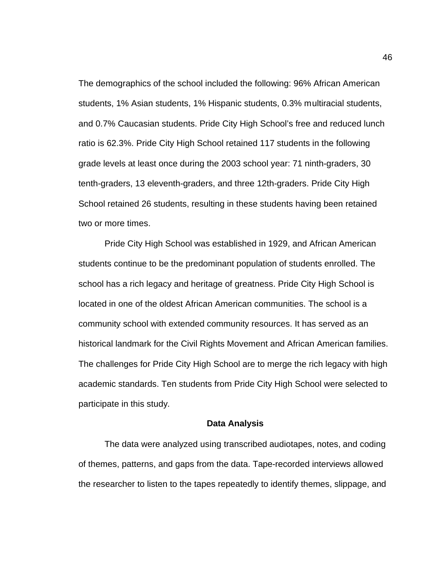The demographics of the school included the following: 96% African American students, 1% Asian students, 1% Hispanic students, 0.3% multiracial students, and 0.7% Caucasian students. Pride City High School's free and reduced lunch ratio is 62.3%. Pride City High School retained 117 students in the following grade levels at least once during the 2003 school year: 71 ninth-graders, 30 tenth-graders, 13 eleventh-graders, and three 12th-graders. Pride City High School retained 26 students, resulting in these students having been retained two or more times.

 Pride City High School was established in 1929, and African American students continue to be the predominant population of students enrolled. The school has a rich legacy and heritage of greatness. Pride City High School is located in one of the oldest African American communities. The school is a community school with extended community resources. It has served as an historical landmark for the Civil Rights Movement and African American families. The challenges for Pride City High School are to merge the rich legacy with high academic standards. Ten students from Pride City High School were selected to participate in this study.

#### **Data Analysis**

The data were analyzed using transcribed audiotapes, notes, and coding of themes, patterns, and gaps from the data. Tape-recorded interviews allowed the researcher to listen to the tapes repeatedly to identify themes, slippage, and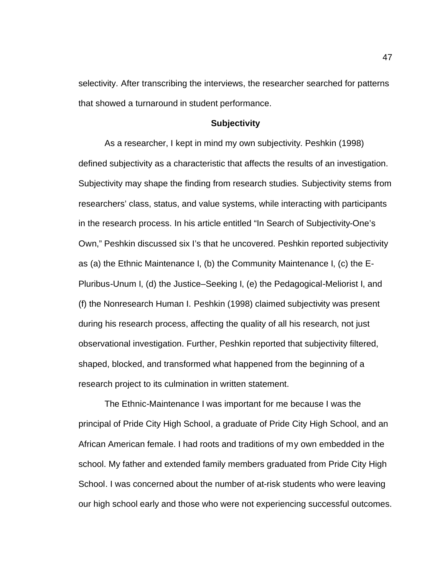selectivity. After transcribing the interviews, the researcher searched for patterns that showed a turnaround in student performance.

# **Subjectivity**

 As a researcher, I kept in mind my own subjectivity. Peshkin (1998) defined subjectivity as a characteristic that affects the results of an investigation. Subjectivity may shape the finding from research studies. Subjectivity stems from researchers' class, status, and value systems, while interacting with participants in the research process. In his article entitled "In Search of Subjectivity-One's Own," Peshkin discussed six I's that he uncovered. Peshkin reported subjectivity as (a) the Ethnic Maintenance I, (b) the Community Maintenance I, (c) the E-Pluribus-Unum I, (d) the Justice–Seeking I, (e) the Pedagogical-Meliorist I, and (f) the Nonresearch Human I. Peshkin (1998) claimed subjectivity was present during his research process, affecting the quality of all his research, not just observational investigation. Further, Peshkin reported that subjectivity filtered, shaped, blocked, and transformed what happened from the beginning of a research project to its culmination in written statement.

The Ethnic-Maintenance I was important for me because I was the principal of Pride City High School, a graduate of Pride City High School, and an African American female. I had roots and traditions of my own embedded in the school. My father and extended family members graduated from Pride City High School. I was concerned about the number of at-risk students who were leaving our high school early and those who were not experiencing successful outcomes.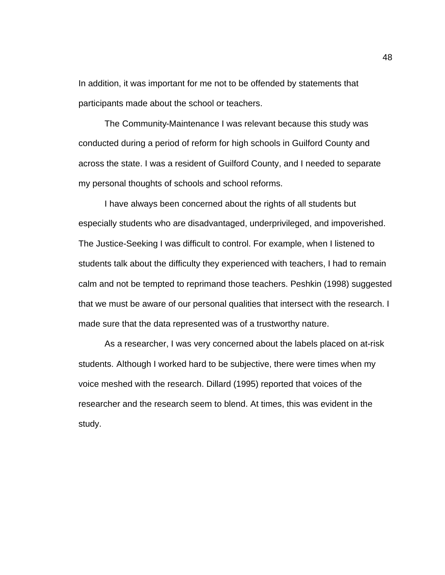In addition, it was important for me not to be offended by statements that participants made about the school or teachers.

The Community-Maintenance I was relevant because this study was conducted during a period of reform for high schools in Guilford County and across the state. I was a resident of Guilford County, and I needed to separate my personal thoughts of schools and school reforms.

I have always been concerned about the rights of all students but especially students who are disadvantaged, underprivileged, and impoverished. The Justice-Seeking I was difficult to control. For example, when I listened to students talk about the difficulty they experienced with teachers, I had to remain calm and not be tempted to reprimand those teachers. Peshkin (1998) suggested that we must be aware of our personal qualities that intersect with the research. I made sure that the data represented was of a trustworthy nature.

 As a researcher, I was very concerned about the labels placed on at-risk students. Although I worked hard to be subjective, there were times when my voice meshed with the research. Dillard (1995) reported that voices of the researcher and the research seem to blend. At times, this was evident in the study.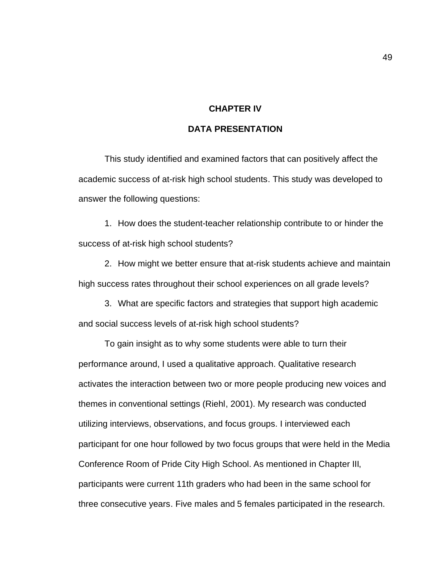# **CHAPTER IV**

# **DATA PRESENTATION**

This study identified and examined factors that can positively affect the academic success of at-risk high school students. This study was developed to answer the following questions:

1. How does the student-teacher relationship contribute to or hinder the success of at-risk high school students?

2. How might we better ensure that at-risk students achieve and maintain high success rates throughout their school experiences on all grade levels?

3. What are specific factors and strategies that support high academic and social success levels of at-risk high school students?

To gain insight as to why some students were able to turn their performance around, I used a qualitative approach. Qualitative research activates the interaction between two or more people producing new voices and themes in conventional settings (Riehl, 2001). My research was conducted utilizing interviews, observations, and focus groups. I interviewed each participant for one hour followed by two focus groups that were held in the Media Conference Room of Pride City High School. As mentioned in Chapter III, participants were current 11th graders who had been in the same school for three consecutive years. Five males and 5 females participated in the research.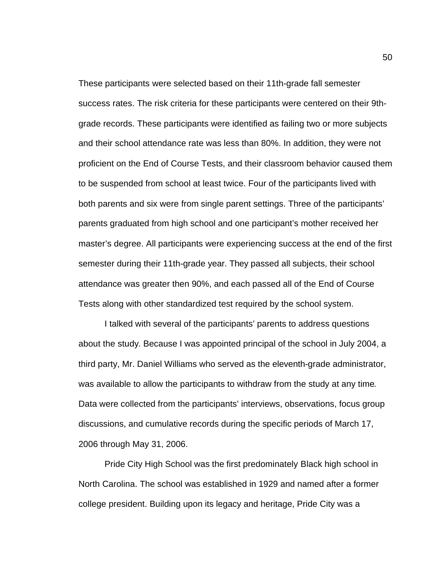These participants were selected based on their 11th-grade fall semester success rates. The risk criteria for these participants were centered on their 9thgrade records. These participants were identified as failing two or more subjects and their school attendance rate was less than 80%. In addition, they were not proficient on the End of Course Tests, and their classroom behavior caused them to be suspended from school at least twice. Four of the participants lived with both parents and six were from single parent settings. Three of the participants' parents graduated from high school and one participant's mother received her master's degree. All participants were experiencing success at the end of the first semester during their 11th-grade year. They passed all subjects, their school attendance was greater then 90%, and each passed all of the End of Course Tests along with other standardized test required by the school system.

I talked with several of the participants' parents to address questions about the study. Because I was appointed principal of the school in July 2004, a third party, Mr. Daniel Williams who served as the eleventh-grade administrator, was available to allow the participants to withdraw from the study at any time. Data were collected from the participants' interviews, observations, focus group discussions, and cumulative records during the specific periods of March 17, 2006 through May 31, 2006.

Pride City High School was the first predominately Black high school in North Carolina. The school was established in 1929 and named after a former college president. Building upon its legacy and heritage, Pride City was a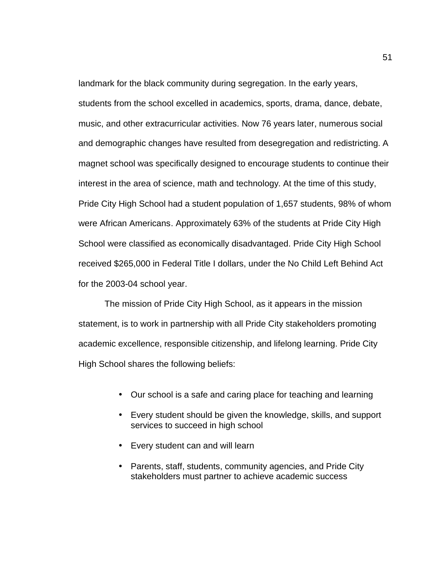landmark for the black community during segregation. In the early years, students from the school excelled in academics, sports, drama, dance, debate, music, and other extracurricular activities. Now 76 years later, numerous social and demographic changes have resulted from desegregation and redistricting. A magnet school was specifically designed to encourage students to continue their interest in the area of science, math and technology. At the time of this study, Pride City High School had a student population of 1,657 students, 98% of whom were African Americans. Approximately 63% of the students at Pride City High School were classified as economically disadvantaged. Pride City High School received \$265,000 in Federal Title I dollars, under the No Child Left Behind Act for the 2003-04 school year.

The mission of Pride City High School, as it appears in the mission statement, is to work in partnership with all Pride City stakeholders promoting academic excellence, responsible citizenship, and lifelong learning. Pride City High School shares the following beliefs:

- Our school is a safe and caring place for teaching and learning
- Every student should be given the knowledge, skills, and support services to succeed in high school
- Every student can and will learn
- Parents, staff, students, community agencies, and Pride City stakeholders must partner to achieve academic success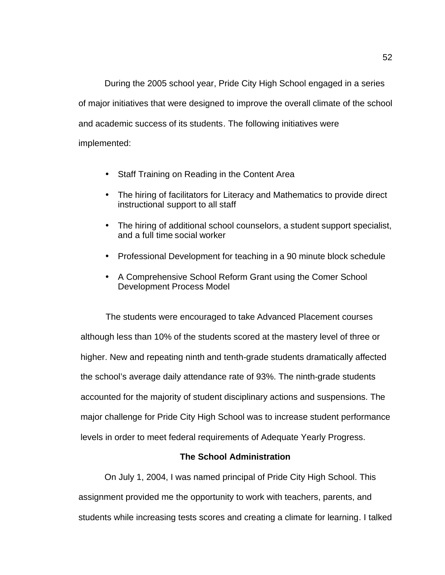During the 2005 school year, Pride City High School engaged in a series of major initiatives that were designed to improve the overall climate of the school and academic success of its students. The following initiatives were implemented:

- Staff Training on Reading in the Content Area
- The hiring of facilitators for Literacy and Mathematics to provide direct instructional support to all staff
- The hiring of additional school counselors, a student support specialist, and a full time social worker
- Professional Development for teaching in a 90 minute block schedule
- A Comprehensive School Reform Grant using the Comer School Development Process Model

The students were encouraged to take Advanced Placement courses although less than 10% of the students scored at the mastery level of three or higher. New and repeating ninth and tenth-grade students dramatically affected the school's average daily attendance rate of 93%. The ninth-grade students accounted for the majority of student disciplinary actions and suspensions. The major challenge for Pride City High School was to increase student performance levels in order to meet federal requirements of Adequate Yearly Progress.

# **The School Administration**

On July 1, 2004, I was named principal of Pride City High School. This assignment provided me the opportunity to work with teachers, parents, and students while increasing tests scores and creating a climate for learning. I talked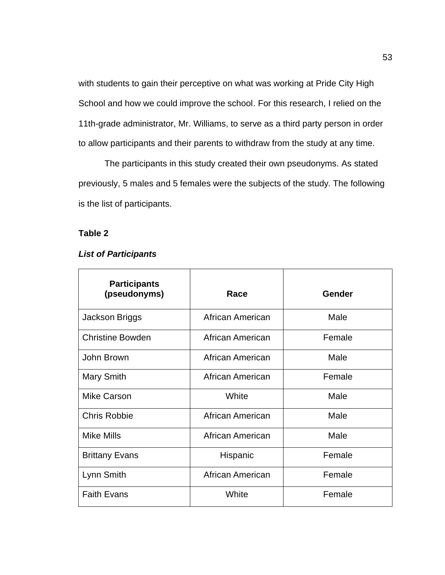with students to gain their perceptive on what was working at Pride City High School and how we could improve the school. For this research, I relied on the 11th-grade administrator, Mr. Williams, to serve as a third party person in order to allow participants and their parents to withdraw from the study at any time.

The participants in this study created their own pseudonyms. As stated previously, 5 males and 5 females were the subjects of the study. The following is the list of participants.

# **Table 2**

# *List of Participants*

| <b>Participants</b><br>(pseudonyms) | Race             | <b>Gender</b> |
|-------------------------------------|------------------|---------------|
| Jackson Briggs                      | African American | Male          |
| <b>Christine Bowden</b>             | African American | Female        |
| John Brown                          | African American | Male          |
| <b>Mary Smith</b>                   | African American | Female        |
| <b>Mike Carson</b>                  | White            | Male          |
| <b>Chris Robbie</b>                 | African American | Male          |
| <b>Mike Mills</b>                   | African American | Male          |
| <b>Brittany Evans</b>               | Hispanic         | Female        |
| Lynn Smith                          | African American | Female        |
| <b>Faith Evans</b>                  | White            | Female        |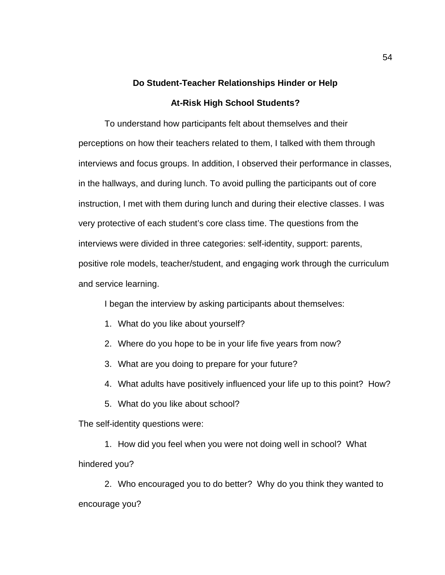# **Do Student-Teacher Relationships Hinder or Help At-Risk High School Students?**

To understand how participants felt about themselves and their perceptions on how their teachers related to them, I talked with them through interviews and focus groups. In addition, I observed their performance in classes, in the hallways, and during lunch. To avoid pulling the participants out of core instruction, I met with them during lunch and during their elective classes. I was very protective of each student's core class time. The questions from the interviews were divided in three categories: self-identity, support: parents, positive role models, teacher/student, and engaging work through the curriculum and service learning.

I began the interview by asking participants about themselves:

- 1. What do you like about yourself?
- 2. Where do you hope to be in your life five years from now?
- 3. What are you doing to prepare for your future?
- 4. What adults have positively influenced your life up to this point? How?
- 5. What do you like about school?

The self-identity questions were:

1. How did you feel when you were not doing well in school? What hindered you?

2. Who encouraged you to do better? Why do you think they wanted to encourage you?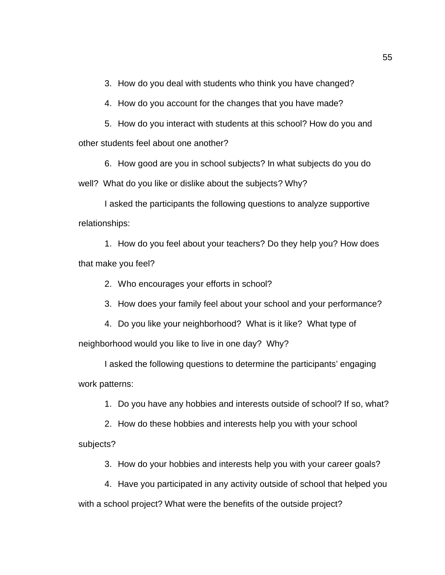3. How do you deal with students who think you have changed?

4. How do you account for the changes that you have made?

5. How do you interact with students at this school? How do you and other students feel about one another?

6. How good are you in school subjects? In what subjects do you do well? What do you like or dislike about the subjects? Why?

I asked the participants the following questions to analyze supportive relationships:

1. How do you feel about your teachers? Do they help you? How does that make you feel?

2. Who encourages your efforts in school?

3. How does your family feel about your school and your performance?

4. Do you like your neighborhood? What is it like? What type of neighborhood would you like to live in one day? Why?

I asked the following questions to determine the participants' engaging work patterns:

1. Do you have any hobbies and interests outside of school? If so, what?

2. How do these hobbies and interests help you with your school subjects?

3. How do your hobbies and interests help you with your career goals?

4. Have you participated in any activity outside of school that helped you with a school project? What were the benefits of the outside project?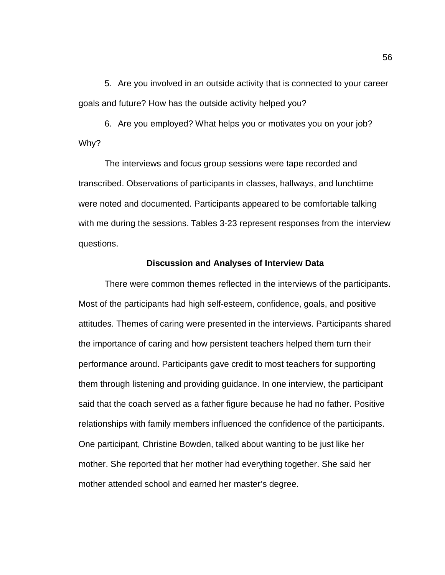5. Are you involved in an outside activity that is connected to your career goals and future? How has the outside activity helped you?

6. Are you employed? What helps you or motivates you on your job? Why?

The interviews and focus group sessions were tape recorded and transcribed. Observations of participants in classes, hallways, and lunchtime were noted and documented. Participants appeared to be comfortable talking with me during the sessions. Tables 3-23 represent responses from the interview questions.

### **Discussion and Analyses of Interview Data**

There were common themes reflected in the interviews of the participants. Most of the participants had high self-esteem, confidence, goals, and positive attitudes. Themes of caring were presented in the interviews. Participants shared the importance of caring and how persistent teachers helped them turn their performance around. Participants gave credit to most teachers for supporting them through listening and providing guidance. In one interview, the participant said that the coach served as a father figure because he had no father. Positive relationships with family members influenced the confidence of the participants. One participant, Christine Bowden, talked about wanting to be just like her mother. She reported that her mother had everything together. She said her mother attended school and earned her master's degree.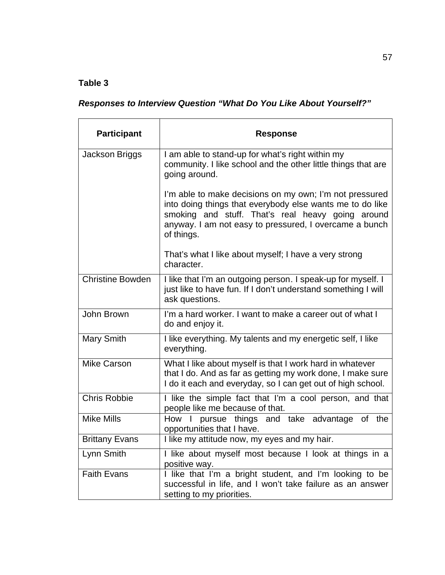# **Table 3**

|  |  |  |  |  |  |  |  | <b>Responses to Interview Question "What Do You Like About Yourself?"</b> |
|--|--|--|--|--|--|--|--|---------------------------------------------------------------------------|
|--|--|--|--|--|--|--|--|---------------------------------------------------------------------------|

| <b>Participant</b>      | <b>Response</b>                                                                                                                                                                                                                                   |
|-------------------------|---------------------------------------------------------------------------------------------------------------------------------------------------------------------------------------------------------------------------------------------------|
| Jackson Briggs          | I am able to stand-up for what's right within my<br>community. I like school and the other little things that are<br>going around.                                                                                                                |
|                         | I'm able to make decisions on my own; I'm not pressured<br>into doing things that everybody else wants me to do like<br>smoking and stuff. That's real heavy going around<br>anyway. I am not easy to pressured, I overcame a bunch<br>of things. |
|                         | That's what I like about myself; I have a very strong<br>character.                                                                                                                                                                               |
| <b>Christine Bowden</b> | I like that I'm an outgoing person. I speak-up for myself. I<br>just like to have fun. If I don't understand something I will<br>ask questions.                                                                                                   |
| John Brown              | I'm a hard worker. I want to make a career out of what I<br>do and enjoy it.                                                                                                                                                                      |
| Mary Smith              | I like everything. My talents and my energetic self, I like<br>everything.                                                                                                                                                                        |
| <b>Mike Carson</b>      | What I like about myself is that I work hard in whatever<br>that I do. And as far as getting my work done, I make sure<br>I do it each and everyday, so I can get out of high school.                                                             |
| <b>Chris Robbie</b>     | I like the simple fact that I'm a cool person, and that<br>people like me because of that.                                                                                                                                                        |
| <b>Mike Mills</b>       | pursue things and take advantage of<br>How I<br>the<br>opportunities that I have.                                                                                                                                                                 |
| <b>Brittany Evans</b>   | I like my attitude now, my eyes and my hair.                                                                                                                                                                                                      |
| Lynn Smith              | I like about myself most because I look at things in a<br>positive way.                                                                                                                                                                           |
| <b>Faith Evans</b>      | I like that I'm a bright student, and I'm looking to be<br>successful in life, and I won't take failure as an answer<br>setting to my priorities.                                                                                                 |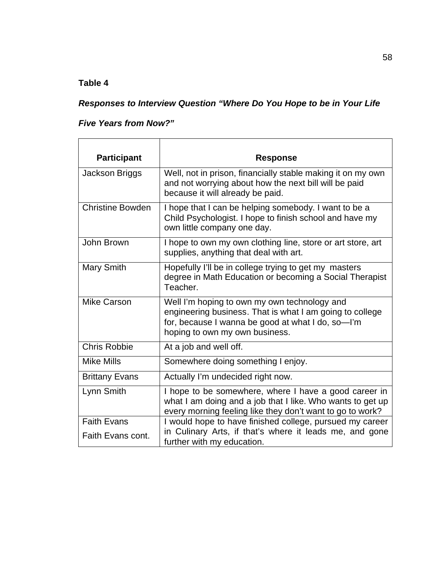# **Table 4**

# *Responses to Interview Question "Where Do You Hope to be in Your Life*

# *Five Years from Now?"*

| <b>Participant</b>      | <b>Response</b>                                                                                                                                                                                 |
|-------------------------|-------------------------------------------------------------------------------------------------------------------------------------------------------------------------------------------------|
|                         |                                                                                                                                                                                                 |
| Jackson Briggs          | Well, not in prison, financially stable making it on my own<br>and not worrying about how the next bill will be paid<br>because it will already be paid.                                        |
| <b>Christine Bowden</b> | I hope that I can be helping somebody. I want to be a<br>Child Psychologist. I hope to finish school and have my<br>own little company one day.                                                 |
| John Brown              | I hope to own my own clothing line, store or art store, art<br>supplies, anything that deal with art.                                                                                           |
| Mary Smith              | Hopefully I'll be in college trying to get my masters<br>degree in Math Education or becoming a Social Therapist<br>Teacher.                                                                    |
| <b>Mike Carson</b>      | Well I'm hoping to own my own technology and<br>engineering business. That is what I am going to college<br>for, because I wanna be good at what I do, so-I'm<br>hoping to own my own business. |
| <b>Chris Robbie</b>     | At a job and well off.                                                                                                                                                                          |
| <b>Mike Mills</b>       | Somewhere doing something I enjoy.                                                                                                                                                              |
| <b>Brittany Evans</b>   | Actually I'm undecided right now.                                                                                                                                                               |
| Lynn Smith              | I hope to be somewhere, where I have a good career in<br>what I am doing and a job that I like. Who wants to get up<br>every morning feeling like they don't want to go to work?                |
| <b>Faith Evans</b>      | I would hope to have finished college, pursued my career                                                                                                                                        |
| Faith Evans cont.       | in Culinary Arts, if that's where it leads me, and gone<br>further with my education.                                                                                                           |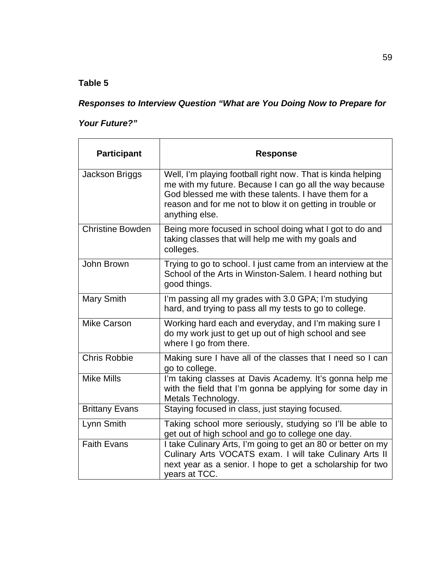# **Table 5**

# *Responses to Interview Question "What are You Doing Now to Prepare for*

# *Your Future?"*

| <b>Participant</b>      | <b>Response</b>                                                                                                                                                                                                                                               |
|-------------------------|---------------------------------------------------------------------------------------------------------------------------------------------------------------------------------------------------------------------------------------------------------------|
| Jackson Briggs          | Well, I'm playing football right now. That is kinda helping<br>me with my future. Because I can go all the way because<br>God blessed me with these talents. I have them for a<br>reason and for me not to blow it on getting in trouble or<br>anything else. |
| <b>Christine Bowden</b> | Being more focused in school doing what I got to do and<br>taking classes that will help me with my goals and<br>colleges.                                                                                                                                    |
| John Brown              | Trying to go to school. I just came from an interview at the<br>School of the Arts in Winston-Salem. I heard nothing but<br>good things.                                                                                                                      |
| Mary Smith              | I'm passing all my grades with 3.0 GPA; I'm studying<br>hard, and trying to pass all my tests to go to college.                                                                                                                                               |
| <b>Mike Carson</b>      | Working hard each and everyday, and I'm making sure I<br>do my work just to get up out of high school and see<br>where I go from there.                                                                                                                       |
| <b>Chris Robbie</b>     | Making sure I have all of the classes that I need so I can<br>go to college.                                                                                                                                                                                  |
| <b>Mike Mills</b>       | I'm taking classes at Davis Academy. It's gonna help me<br>with the field that I'm gonna be applying for some day in<br>Metals Technology.                                                                                                                    |
| <b>Brittany Evans</b>   | Staying focused in class, just staying focused.                                                                                                                                                                                                               |
| Lynn Smith              | Taking school more seriously, studying so I'll be able to<br>get out of high school and go to college one day.                                                                                                                                                |
| <b>Faith Evans</b>      | I take Culinary Arts, I'm going to get an 80 or better on my<br>Culinary Arts VOCATS exam. I will take Culinary Arts II<br>next year as a senior. I hope to get a scholarship for two<br>vears at TCC.                                                        |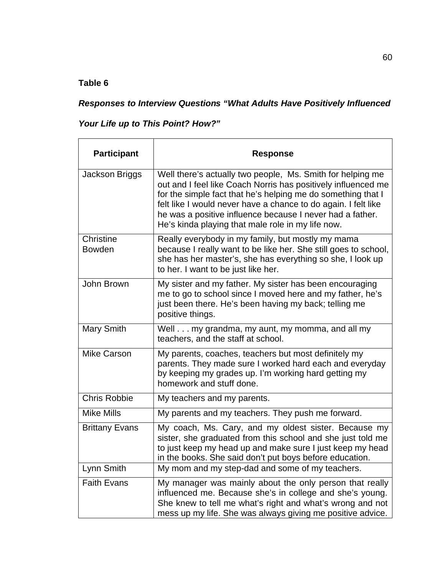## *Responses to Interview Questions "What Adults Have Positively Influenced*

## *Your Life up to This Point? How?"*

| <b>Participant</b>         | <b>Response</b>                                                                                                                                                                                                                                                                                                                                                                 |
|----------------------------|---------------------------------------------------------------------------------------------------------------------------------------------------------------------------------------------------------------------------------------------------------------------------------------------------------------------------------------------------------------------------------|
| Jackson Briggs             | Well there's actually two people, Ms. Smith for helping me<br>out and I feel like Coach Norris has positively influenced me<br>for the simple fact that he's helping me do something that I<br>felt like I would never have a chance to do again. I felt like<br>he was a positive influence because I never had a father.<br>He's kinda playing that male role in my life now. |
| Christine<br><b>Bowden</b> | Really everybody in my family, but mostly my mama<br>because I really want to be like her. She still goes to school,<br>she has her master's, she has everything so she, I look up<br>to her. I want to be just like her.                                                                                                                                                       |
| John Brown                 | My sister and my father. My sister has been encouraging<br>me to go to school since I moved here and my father, he's<br>just been there. He's been having my back; telling me<br>positive things.                                                                                                                                                                               |
| Mary Smith                 | Well my grandma, my aunt, my momma, and all my<br>teachers, and the staff at school.                                                                                                                                                                                                                                                                                            |
| <b>Mike Carson</b>         | My parents, coaches, teachers but most definitely my<br>parents. They made sure I worked hard each and everyday<br>by keeping my grades up. I'm working hard getting my<br>homework and stuff done.                                                                                                                                                                             |
| <b>Chris Robbie</b>        | My teachers and my parents.                                                                                                                                                                                                                                                                                                                                                     |
| <b>Mike Mills</b>          | My parents and my teachers. They push me forward.                                                                                                                                                                                                                                                                                                                               |
| <b>Brittany Evans</b>      | My coach, Ms. Cary, and my oldest sister. Because my<br>sister, she graduated from this school and she just told me<br>to just keep my head up and make sure I just keep my head<br>in the books. She said don't put boys before education.                                                                                                                                     |
| Lynn Smith                 | My mom and my step-dad and some of my teachers.                                                                                                                                                                                                                                                                                                                                 |
| <b>Faith Evans</b>         | My manager was mainly about the only person that really<br>influenced me. Because she's in college and she's young.<br>She knew to tell me what's right and what's wrong and not<br>mess up my life. She was always giving me positive advice.                                                                                                                                  |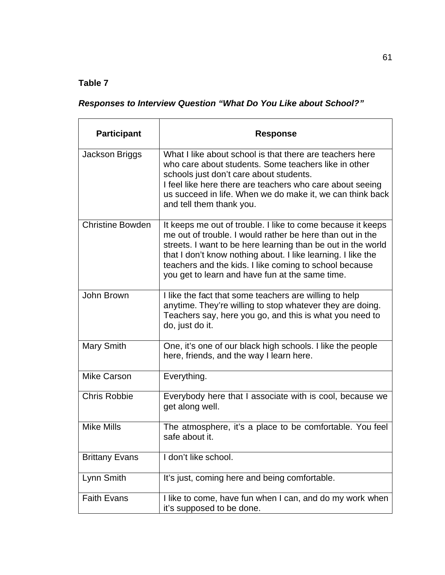# *Responses to Interview Question "What Do You Like about School?"*

| <b>Participant</b>      | <b>Response</b>                                                                                                                                                                                                                                                                                                                                                       |
|-------------------------|-----------------------------------------------------------------------------------------------------------------------------------------------------------------------------------------------------------------------------------------------------------------------------------------------------------------------------------------------------------------------|
| Jackson Briggs          | What I like about school is that there are teachers here<br>who care about students. Some teachers like in other<br>schools just don't care about students.<br>I feel like here there are teachers who care about seeing<br>us succeed in life. When we do make it, we can think back<br>and tell them thank you.                                                     |
| <b>Christine Bowden</b> | It keeps me out of trouble. I like to come because it keeps<br>me out of trouble. I would rather be here than out in the<br>streets. I want to be here learning than be out in the world<br>that I don't know nothing about. I like learning. I like the<br>teachers and the kids. I like coming to school because<br>you get to learn and have fun at the same time. |
| John Brown              | I like the fact that some teachers are willing to help<br>anytime. They're willing to stop whatever they are doing.<br>Teachers say, here you go, and this is what you need to<br>do, just do it.                                                                                                                                                                     |
| <b>Mary Smith</b>       | One, it's one of our black high schools. I like the people<br>here, friends, and the way I learn here.                                                                                                                                                                                                                                                                |
| <b>Mike Carson</b>      | Everything.                                                                                                                                                                                                                                                                                                                                                           |
| <b>Chris Robbie</b>     | Everybody here that I associate with is cool, because we<br>get along well.                                                                                                                                                                                                                                                                                           |
| <b>Mike Mills</b>       | The atmosphere, it's a place to be comfortable. You feel<br>safe about it.                                                                                                                                                                                                                                                                                            |
| <b>Brittany Evans</b>   | I don't like school.                                                                                                                                                                                                                                                                                                                                                  |
| Lynn Smith              | It's just, coming here and being comfortable.                                                                                                                                                                                                                                                                                                                         |
| <b>Faith Evans</b>      | I like to come, have fun when I can, and do my work when<br>it's supposed to be done.                                                                                                                                                                                                                                                                                 |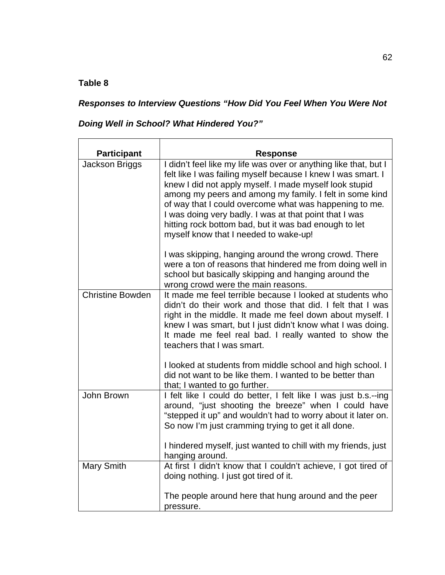$\blacksquare$ 

## *Responses to Interview Questions "How Did You Feel When You Were Not*

*Doing Well in School? What Hindered You?"*

| <b>Participant</b>      | <b>Response</b>                                                                                                                                                                                                                                                                                                                                                                                                                                                             |
|-------------------------|-----------------------------------------------------------------------------------------------------------------------------------------------------------------------------------------------------------------------------------------------------------------------------------------------------------------------------------------------------------------------------------------------------------------------------------------------------------------------------|
| Jackson Briggs          | I didn't feel like my life was over or anything like that, but I<br>felt like I was failing myself because I knew I was smart. I<br>knew I did not apply myself. I made myself look stupid<br>among my peers and among my family. I felt in some kind<br>of way that I could overcome what was happening to me.<br>I was doing very badly. I was at that point that I was<br>hitting rock bottom bad, but it was bad enough to let<br>myself know that I needed to wake-up! |
|                         | I was skipping, hanging around the wrong crowd. There<br>were a ton of reasons that hindered me from doing well in<br>school but basically skipping and hanging around the<br>wrong crowd were the main reasons.                                                                                                                                                                                                                                                            |
| <b>Christine Bowden</b> | It made me feel terrible because I looked at students who<br>didn't do their work and those that did. I felt that I was<br>right in the middle. It made me feel down about myself. I<br>knew I was smart, but I just didn't know what I was doing.<br>It made me feel real bad. I really wanted to show the<br>teachers that I was smart.<br>I looked at students from middle school and high school. I                                                                     |
|                         | did not want to be like them. I wanted to be better than<br>that; I wanted to go further.                                                                                                                                                                                                                                                                                                                                                                                   |
| John Brown              | I felt like I could do better, I felt like I was just b.s.--ing<br>around, "just shooting the breeze" when I could have<br>"stepped it up" and wouldn't had to worry about it later on.<br>So now I'm just cramming trying to get it all done.                                                                                                                                                                                                                              |
|                         | I hindered myself, just wanted to chill with my friends, just<br>hanging around.                                                                                                                                                                                                                                                                                                                                                                                            |
| Mary Smith              | At first I didn't know that I couldn't achieve, I got tired of<br>doing nothing. I just got tired of it.                                                                                                                                                                                                                                                                                                                                                                    |
|                         | The people around here that hung around and the peer<br>pressure.                                                                                                                                                                                                                                                                                                                                                                                                           |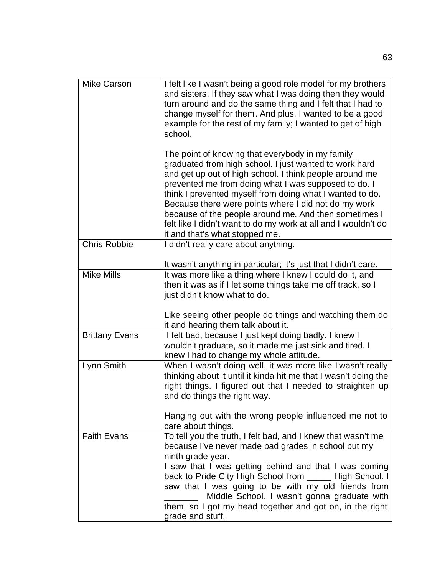| <b>Mike Carson</b>    | I felt like I wasn't being a good role model for my brothers<br>and sisters. If they saw what I was doing then they would<br>turn around and do the same thing and I felt that I had to<br>change myself for them. And plus, I wanted to be a good<br>example for the rest of my family; I wanted to get of high<br>school.                                                                                                                                                                                    |
|-----------------------|----------------------------------------------------------------------------------------------------------------------------------------------------------------------------------------------------------------------------------------------------------------------------------------------------------------------------------------------------------------------------------------------------------------------------------------------------------------------------------------------------------------|
|                       | The point of knowing that everybody in my family<br>graduated from high school. I just wanted to work hard<br>and get up out of high school. I think people around me<br>prevented me from doing what I was supposed to do. I<br>think I prevented myself from doing what I wanted to do.<br>Because there were points where I did not do my work<br>because of the people around me. And then sometimes I<br>felt like I didn't want to do my work at all and I wouldn't do<br>it and that's what stopped me. |
| <b>Chris Robbie</b>   | I didn't really care about anything.                                                                                                                                                                                                                                                                                                                                                                                                                                                                           |
|                       | It wasn't anything in particular; it's just that I didn't care.                                                                                                                                                                                                                                                                                                                                                                                                                                                |
| Mike Mills            | It was more like a thing where I knew I could do it, and<br>then it was as if I let some things take me off track, so I<br>just didn't know what to do.                                                                                                                                                                                                                                                                                                                                                        |
|                       | Like seeing other people do things and watching them do<br>it and hearing them talk about it.                                                                                                                                                                                                                                                                                                                                                                                                                  |
| <b>Brittany Evans</b> | I felt bad, because I just kept doing badly. I knew I<br>wouldn't graduate, so it made me just sick and tired. I<br>knew I had to change my whole attitude.                                                                                                                                                                                                                                                                                                                                                    |
| Lynn Smith            | When I wasn't doing well, it was more like I wasn't really<br>thinking about it until it kinda hit me that I wasn't doing the<br>right things. I figured out that I needed to straighten up<br>and do things the right way.                                                                                                                                                                                                                                                                                    |
|                       | Hanging out with the wrong people influenced me not to<br>care about things.                                                                                                                                                                                                                                                                                                                                                                                                                                   |
| <b>Faith Evans</b>    | To tell you the truth, I felt bad, and I knew that wasn't me<br>because I've never made bad grades in school but my<br>ninth grade year.<br>I saw that I was getting behind and that I was coming<br>back to Pride City High School from ______ High School. I<br>saw that I was going to be with my old friends from<br>Middle School. I wasn't gonna graduate with                                                                                                                                           |
|                       | them, so I got my head together and got on, in the right<br>grade and stuff.                                                                                                                                                                                                                                                                                                                                                                                                                                   |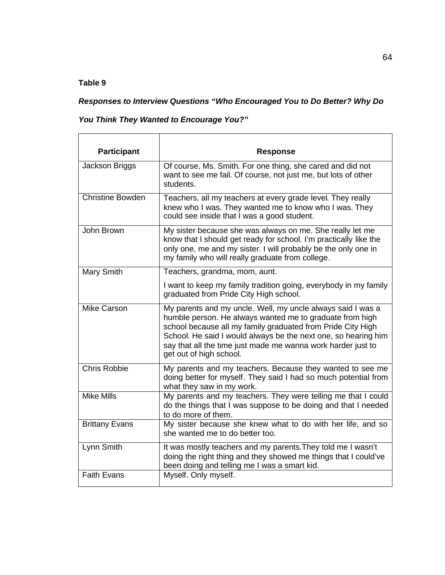## *Responses to Interview Questions "Who Encouraged You to Do Better? Why Do*

*You Think They Wanted to Encourage You?"*

| <b>Participant</b>      | <b>Response</b>                                                                                                                                                                                                                                                                                                                                     |
|-------------------------|-----------------------------------------------------------------------------------------------------------------------------------------------------------------------------------------------------------------------------------------------------------------------------------------------------------------------------------------------------|
| Jackson Briggs          | Of course, Ms. Smith. For one thing, she cared and did not<br>want to see me fail. Of course, not just me, but lots of other<br>students.                                                                                                                                                                                                           |
| <b>Christine Bowden</b> | Teachers, all my teachers at every grade level. They really<br>knew who I was. They wanted me to know who I was. They<br>could see inside that I was a good student.                                                                                                                                                                                |
| John Brown              | My sister because she was always on me. She really let me<br>know that I should get ready for school. I'm practically like the<br>only one, me and my sister. I will probably be the only one in<br>my family who will really graduate from college.                                                                                                |
| Mary Smith              | Teachers, grandma, mom, aunt.<br>I want to keep my family tradition going, everybody in my family<br>graduated from Pride City High school.                                                                                                                                                                                                         |
| Mike Carson             | My parents and my uncle. Well, my uncle always said I was a<br>humble person. He always wanted me to graduate from high<br>school because all my family graduated from Pride City High<br>School. He said I would always be the next one, so hearing him<br>say that all the time just made me wanna work harder just to<br>get out of high school. |
| <b>Chris Robbie</b>     | My parents and my teachers. Because they wanted to see me<br>doing better for myself. They said I had so much potential from<br>what they saw in my work.                                                                                                                                                                                           |
| <b>Mike Mills</b>       | My parents and my teachers. They were telling me that I could<br>do the things that I was suppose to be doing and that I needed<br>to do more of them.                                                                                                                                                                                              |
| <b>Brittany Evans</b>   | My sister because she knew what to do with her life, and so<br>she wanted me to do better too.                                                                                                                                                                                                                                                      |
| Lynn Smith              | It was mostly teachers and my parents. They told me I wasn't<br>doing the right thing and they showed me things that I could've<br>been doing and telling me I was a smart kid.                                                                                                                                                                     |
| <b>Faith Evans</b>      | Myself. Only myself.                                                                                                                                                                                                                                                                                                                                |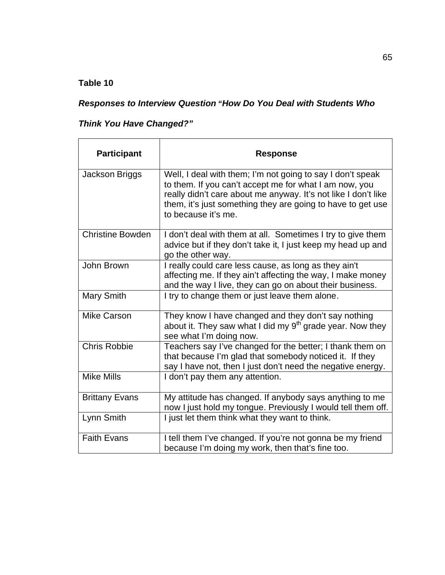## *Responses to Interview Question "How Do You Deal with Students Who*

## *Think You Have Changed?"*

| <b>Participant</b>      | <b>Response</b>                                                                                                                                                                                                                                                              |
|-------------------------|------------------------------------------------------------------------------------------------------------------------------------------------------------------------------------------------------------------------------------------------------------------------------|
| Jackson Briggs          | Well, I deal with them; I'm not going to say I don't speak<br>to them. If you can't accept me for what I am now, you<br>really didn't care about me anyway. It's not like I don't like<br>them, it's just something they are going to have to get use<br>to because it's me. |
| <b>Christine Bowden</b> | I don't deal with them at all. Sometimes I try to give them<br>advice but if they don't take it, I just keep my head up and<br>go the other way.                                                                                                                             |
| John Brown              | I really could care less cause, as long as they ain't<br>affecting me. If they ain't affecting the way, I make money<br>and the way I live, they can go on about their business.                                                                                             |
| Mary Smith              | I try to change them or just leave them alone.                                                                                                                                                                                                                               |
| <b>Mike Carson</b>      | They know I have changed and they don't say nothing<br>about it. They saw what I did my $9th$ grade year. Now they<br>see what I'm doing now.                                                                                                                                |
| <b>Chris Robbie</b>     | Teachers say I've changed for the better; I thank them on<br>that because I'm glad that somebody noticed it. If they<br>say I have not, then I just don't need the negative energy.                                                                                          |
| <b>Mike Mills</b>       | I don't pay them any attention.                                                                                                                                                                                                                                              |
| <b>Brittany Evans</b>   | My attitude has changed. If anybody says anything to me<br>now I just hold my tongue. Previously I would tell them off.                                                                                                                                                      |
| Lynn Smith              | I just let them think what they want to think.                                                                                                                                                                                                                               |
| <b>Faith Evans</b>      | I tell them I've changed. If you're not gonna be my friend<br>because I'm doing my work, then that's fine too.                                                                                                                                                               |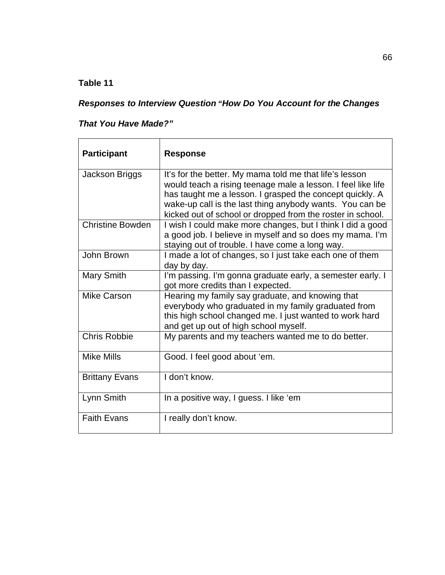## *Responses to Interview Question "How Do You Account for the Changes*

## *That You Have Made?"*

| <b>Participant</b>      | <b>Response</b>                                                                                                                                                                                                                                                                                               |
|-------------------------|---------------------------------------------------------------------------------------------------------------------------------------------------------------------------------------------------------------------------------------------------------------------------------------------------------------|
| Jackson Briggs          | It's for the better. My mama told me that life's lesson<br>would teach a rising teenage male a lesson. I feel like life<br>has taught me a lesson. I grasped the concept quickly. A<br>wake-up call is the last thing anybody wants. You can be<br>kicked out of school or dropped from the roster in school. |
| <b>Christine Bowden</b> | I wish I could make more changes, but I think I did a good<br>a good job. I believe in myself and so does my mama. I'm<br>staying out of trouble. I have come a long way.                                                                                                                                     |
| John Brown              | I made a lot of changes, so I just take each one of them<br>day by day.                                                                                                                                                                                                                                       |
| Mary Smith              | I'm passing. I'm gonna graduate early, a semester early. I<br>got more credits than I expected.                                                                                                                                                                                                               |
| <b>Mike Carson</b>      | Hearing my family say graduate, and knowing that<br>everybody who graduated in my family graduated from<br>this high school changed me. I just wanted to work hard<br>and get up out of high school myself.                                                                                                   |
| <b>Chris Robbie</b>     | My parents and my teachers wanted me to do better.                                                                                                                                                                                                                                                            |
| <b>Mike Mills</b>       | Good. I feel good about 'em.                                                                                                                                                                                                                                                                                  |
| <b>Brittany Evans</b>   | I don't know.                                                                                                                                                                                                                                                                                                 |
| Lynn Smith              | In a positive way, I guess. I like 'em                                                                                                                                                                                                                                                                        |
| <b>Faith Evans</b>      | I really don't know.                                                                                                                                                                                                                                                                                          |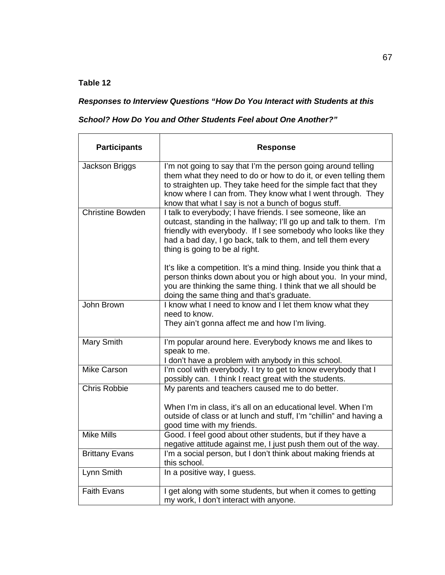### *Responses to Interview Questions "How Do You Interact with Students at this*

### *School? How Do You and Other Students Feel about One Another?"*

| <b>Participants</b>     | <b>Response</b>                                                                                                                                                                                                                                                                                                         |
|-------------------------|-------------------------------------------------------------------------------------------------------------------------------------------------------------------------------------------------------------------------------------------------------------------------------------------------------------------------|
| Jackson Briggs          | I'm not going to say that I'm the person going around telling<br>them what they need to do or how to do it, or even telling them<br>to straighten up. They take heed for the simple fact that they<br>know where I can from. They know what I went through. They<br>know that what I say is not a bunch of bogus stuff. |
| <b>Christine Bowden</b> | I talk to everybody; I have friends. I see someone, like an<br>outcast, standing in the hallway; I'll go up and talk to them. I'm<br>friendly with everybody. If I see somebody who looks like they<br>had a bad day, I go back, talk to them, and tell them every<br>thing is going to be al right.                    |
|                         | It's like a competition. It's a mind thing. Inside you think that a<br>person thinks down about you or high about you. In your mind,<br>you are thinking the same thing. I think that we all should be<br>doing the same thing and that's graduate.                                                                     |
| John Brown              | I know what I need to know and I let them know what they<br>need to know.<br>They ain't gonna affect me and how I'm living.                                                                                                                                                                                             |
| Mary Smith              | I'm popular around here. Everybody knows me and likes to<br>speak to me.<br>I don't have a problem with anybody in this school.                                                                                                                                                                                         |
| <b>Mike Carson</b>      | I'm cool with everybody. I try to get to know everybody that I<br>possibly can. I think I react great with the students.                                                                                                                                                                                                |
| <b>Chris Robbie</b>     | My parents and teachers caused me to do better.<br>When I'm in class, it's all on an educational level. When I'm<br>outside of class or at lunch and stuff, I'm "chillin" and having a<br>good time with my friends.                                                                                                    |
| <b>Mike Mills</b>       | Good. I feel good about other students, but if they have a<br>negative attitude against me, I just push them out of the way.                                                                                                                                                                                            |
| <b>Brittany Evans</b>   | I'm a social person, but I don't think about making friends at<br>this school.                                                                                                                                                                                                                                          |
| Lynn Smith              | In a positive way, I guess.                                                                                                                                                                                                                                                                                             |
| <b>Faith Evans</b>      | I get along with some students, but when it comes to getting<br>my work, I don't interact with anyone.                                                                                                                                                                                                                  |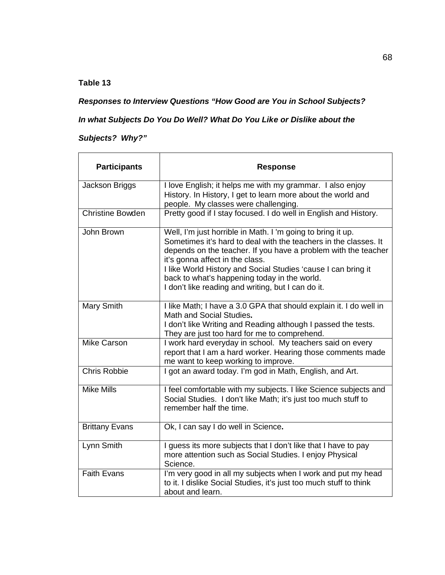*Responses to Interview Questions "How Good are You in School Subjects?* 

## *In what Subjects Do You Do Well? What Do You Like or Dislike about the*

## *Subjects? Why?"*

| <b>Participants</b>     | <b>Response</b>                                                                                                                                                                                                                                                                                                                                                                                            |
|-------------------------|------------------------------------------------------------------------------------------------------------------------------------------------------------------------------------------------------------------------------------------------------------------------------------------------------------------------------------------------------------------------------------------------------------|
| <b>Jackson Briggs</b>   | I love English; it helps me with my grammar. I also enjoy<br>History. In History, I get to learn more about the world and<br>people. My classes were challenging.                                                                                                                                                                                                                                          |
| <b>Christine Bowden</b> | Pretty good if I stay focused. I do well in English and History.                                                                                                                                                                                                                                                                                                                                           |
| John Brown              | Well, I'm just horrible in Math. I'm going to bring it up.<br>Sometimes it's hard to deal with the teachers in the classes. It<br>depends on the teacher. If you have a problem with the teacher<br>it's gonna affect in the class.<br>I like World History and Social Studies 'cause I can bring it<br>back to what's happening today in the world.<br>I don't like reading and writing, but I can do it. |
| Mary Smith              | I like Math; I have a 3.0 GPA that should explain it. I do well in<br>Math and Social Studies.<br>I don't like Writing and Reading although I passed the tests.<br>They are just too hard for me to comprehend.                                                                                                                                                                                            |
| <b>Mike Carson</b>      | I work hard everyday in school. My teachers said on every<br>report that I am a hard worker. Hearing those comments made<br>me want to keep working to improve.                                                                                                                                                                                                                                            |
| <b>Chris Robbie</b>     | I got an award today. I'm god in Math, English, and Art.                                                                                                                                                                                                                                                                                                                                                   |
| <b>Mike Mills</b>       | I feel comfortable with my subjects. I like Science subjects and<br>Social Studies. I don't like Math; it's just too much stuff to<br>remember half the time.                                                                                                                                                                                                                                              |
| <b>Brittany Evans</b>   | Ok, I can say I do well in Science.                                                                                                                                                                                                                                                                                                                                                                        |
| Lynn Smith              | I guess its more subjects that I don't like that I have to pay<br>more attention such as Social Studies. I enjoy Physical<br>Science.                                                                                                                                                                                                                                                                      |
| <b>Faith Evans</b>      | I'm very good in all my subjects when I work and put my head<br>to it. I dislike Social Studies, it's just too much stuff to think<br>about and learn.                                                                                                                                                                                                                                                     |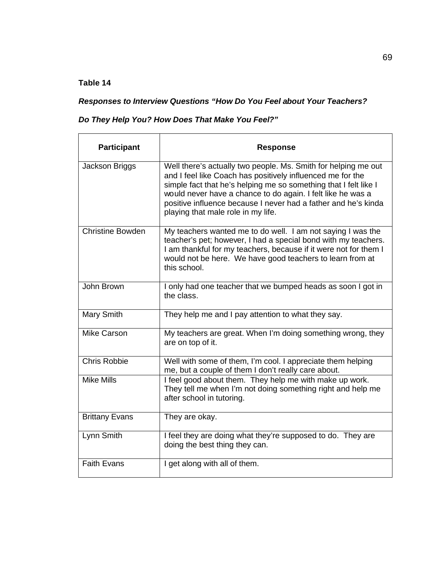# *Responses to Interview Questions "How Do You Feel about Your Teachers?*

## *Do They Help You? How Does That Make You Feel?"*

| <b>Participant</b>      | <b>Response</b>                                                                                                                                                                                                                                                                                                                                                         |
|-------------------------|-------------------------------------------------------------------------------------------------------------------------------------------------------------------------------------------------------------------------------------------------------------------------------------------------------------------------------------------------------------------------|
| Jackson Briggs          | Well there's actually two people. Ms. Smith for helping me out<br>and I feel like Coach has positively influenced me for the<br>simple fact that he's helping me so something that I felt like I<br>would never have a chance to do again. I felt like he was a<br>positive influence because I never had a father and he's kinda<br>playing that male role in my life. |
| <b>Christine Bowden</b> | My teachers wanted me to do well. I am not saying I was the<br>teacher's pet; however, I had a special bond with my teachers.<br>I am thankful for my teachers, because if it were not for them I<br>would not be here. We have good teachers to learn from at<br>this school.                                                                                          |
| John Brown              | I only had one teacher that we bumped heads as soon I got in<br>the class.                                                                                                                                                                                                                                                                                              |
| Mary Smith              | They help me and I pay attention to what they say.                                                                                                                                                                                                                                                                                                                      |
| Mike Carson             | My teachers are great. When I'm doing something wrong, they<br>are on top of it.                                                                                                                                                                                                                                                                                        |
| <b>Chris Robbie</b>     | Well with some of them, I'm cool. I appreciate them helping<br>me, but a couple of them I don't really care about.                                                                                                                                                                                                                                                      |
| <b>Mike Mills</b>       | I feel good about them. They help me with make up work.<br>They tell me when I'm not doing something right and help me<br>after school in tutoring.                                                                                                                                                                                                                     |
| <b>Brittany Evans</b>   | They are okay.                                                                                                                                                                                                                                                                                                                                                          |
| Lynn Smith              | I feel they are doing what they're supposed to do. They are<br>doing the best thing they can.                                                                                                                                                                                                                                                                           |
| <b>Faith Evans</b>      | I get along with all of them.                                                                                                                                                                                                                                                                                                                                           |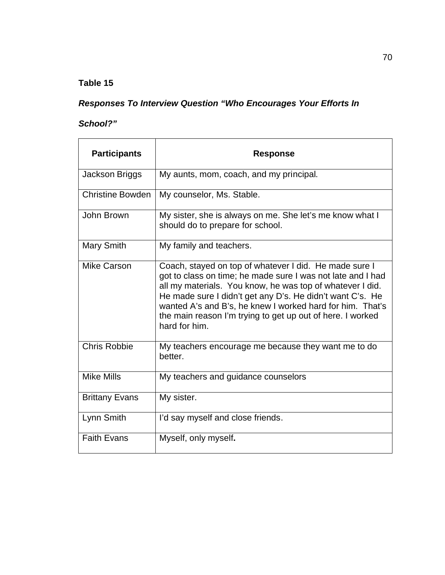# *Responses To Interview Question "Who Encourages Your Efforts In*

## *School?"*

| <b>Participants</b>     | Response                                                                                                                                                                                                                                                                                                                                                                                    |
|-------------------------|---------------------------------------------------------------------------------------------------------------------------------------------------------------------------------------------------------------------------------------------------------------------------------------------------------------------------------------------------------------------------------------------|
| Jackson Briggs          | My aunts, mom, coach, and my principal.                                                                                                                                                                                                                                                                                                                                                     |
| <b>Christine Bowden</b> | My counselor, Ms. Stable.                                                                                                                                                                                                                                                                                                                                                                   |
| John Brown              | My sister, she is always on me. She let's me know what I<br>should do to prepare for school.                                                                                                                                                                                                                                                                                                |
| <b>Mary Smith</b>       | My family and teachers.                                                                                                                                                                                                                                                                                                                                                                     |
| <b>Mike Carson</b>      | Coach, stayed on top of whatever I did. He made sure I<br>got to class on time; he made sure I was not late and I had<br>all my materials. You know, he was top of whatever I did.<br>He made sure I didn't get any D's. He didn't want C's. He<br>wanted A's and B's, he knew I worked hard for him. That's<br>the main reason I'm trying to get up out of here. I worked<br>hard for him. |
| <b>Chris Robbie</b>     | My teachers encourage me because they want me to do<br>better.                                                                                                                                                                                                                                                                                                                              |
| <b>Mike Mills</b>       | My teachers and guidance counselors                                                                                                                                                                                                                                                                                                                                                         |
| <b>Brittany Evans</b>   | My sister.                                                                                                                                                                                                                                                                                                                                                                                  |
| Lynn Smith              | I'd say myself and close friends.                                                                                                                                                                                                                                                                                                                                                           |
| <b>Faith Evans</b>      | Myself, only myself.                                                                                                                                                                                                                                                                                                                                                                        |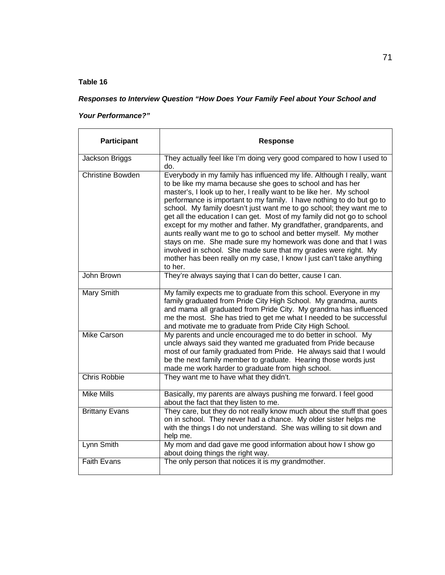### *Responses to Interview Question "How Does Your Family Feel about Your School and*

### *Your Performance?"*

| <b>Participant</b>      | <b>Response</b>                                                                                                                                                                                                                                                                                                                                                                                                                                                                                                                                                                                                                                                                                                                                                                                           |
|-------------------------|-----------------------------------------------------------------------------------------------------------------------------------------------------------------------------------------------------------------------------------------------------------------------------------------------------------------------------------------------------------------------------------------------------------------------------------------------------------------------------------------------------------------------------------------------------------------------------------------------------------------------------------------------------------------------------------------------------------------------------------------------------------------------------------------------------------|
| Jackson Briggs          | They actually feel like I'm doing very good compared to how I used to<br>do.                                                                                                                                                                                                                                                                                                                                                                                                                                                                                                                                                                                                                                                                                                                              |
| <b>Christine Bowden</b> | Everybody in my family has influenced my life. Although I really, want<br>to be like my mama because she goes to school and has her<br>master's, I look up to her, I really want to be like her. My school<br>performance is important to my family. I have nothing to do but go to<br>school. My family doesn't just want me to go school; they want me to<br>get all the education I can get. Most of my family did not go to school<br>except for my mother and father. My grandfather, grandparents, and<br>aunts really want me to go to school and better myself. My mother<br>stays on me. She made sure my homework was done and that I was<br>involved in school. She made sure that my grades were right. My<br>mother has been really on my case, I know I just can't take anything<br>to her. |
| John Brown              | They're always saying that I can do better, cause I can.                                                                                                                                                                                                                                                                                                                                                                                                                                                                                                                                                                                                                                                                                                                                                  |
| <b>Mary Smith</b>       | My family expects me to graduate from this school. Everyone in my<br>family graduated from Pride City High School. My grandma, aunts<br>and mama all graduated from Pride City. My grandma has influenced<br>me the most. She has tried to get me what I needed to be successful<br>and motivate me to graduate from Pride City High School.                                                                                                                                                                                                                                                                                                                                                                                                                                                              |
| <b>Mike Carson</b>      | My parents and uncle encouraged me to do better in school. My<br>uncle always said they wanted me graduated from Pride because<br>most of our family graduated from Pride. He always said that I would<br>be the next family member to graduate. Hearing those words just<br>made me work harder to graduate from high school.                                                                                                                                                                                                                                                                                                                                                                                                                                                                            |
| <b>Chris Robbie</b>     | They want me to have what they didn't.                                                                                                                                                                                                                                                                                                                                                                                                                                                                                                                                                                                                                                                                                                                                                                    |
| <b>Mike Mills</b>       | Basically, my parents are always pushing me forward. I feel good<br>about the fact that they listen to me.                                                                                                                                                                                                                                                                                                                                                                                                                                                                                                                                                                                                                                                                                                |
| <b>Brittany Evans</b>   | They care, but they do not really know much about the stuff that goes<br>on in school. They never had a chance. My older sister helps me<br>with the things I do not understand. She was willing to sit down and<br>help me.                                                                                                                                                                                                                                                                                                                                                                                                                                                                                                                                                                              |
| Lynn Smith              | My mom and dad gave me good information about how I show go<br>about doing things the right way.                                                                                                                                                                                                                                                                                                                                                                                                                                                                                                                                                                                                                                                                                                          |
| <b>Faith Evans</b>      | The only person that notices it is my grandmother.                                                                                                                                                                                                                                                                                                                                                                                                                                                                                                                                                                                                                                                                                                                                                        |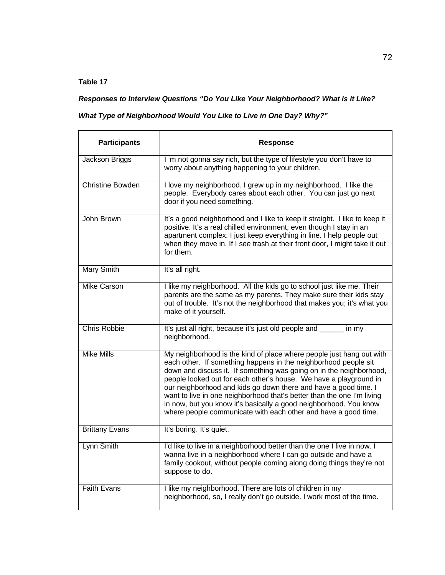*Responses to Interview Questions "Do You Like Your Neighborhood? What is it Like?* 

#### *What Type of Neighborhood Would You Like to Live in One Day? Why?"*

| <b>Participants</b>     | <b>Response</b>                                                                                                                                                                                                                                                                                                                                                                                                                                                                                                                                                         |
|-------------------------|-------------------------------------------------------------------------------------------------------------------------------------------------------------------------------------------------------------------------------------------------------------------------------------------------------------------------------------------------------------------------------------------------------------------------------------------------------------------------------------------------------------------------------------------------------------------------|
| Jackson Briggs          | I 'm not gonna say rich, but the type of lifestyle you don't have to<br>worry about anything happening to your children.                                                                                                                                                                                                                                                                                                                                                                                                                                                |
| <b>Christine Bowden</b> | I love my neighborhood. I grew up in my neighborhood. I like the<br>people. Everybody cares about each other. You can just go next<br>door if you need something.                                                                                                                                                                                                                                                                                                                                                                                                       |
| John Brown              | It's a good neighborhood and I like to keep it straight. I like to keep it<br>positive. It's a real chilled environment, even though I stay in an<br>apartment complex. I just keep everything in line. I help people out<br>when they move in. If I see trash at their front door, I might take it out<br>for them.                                                                                                                                                                                                                                                    |
| <b>Mary Smith</b>       | It's all right.                                                                                                                                                                                                                                                                                                                                                                                                                                                                                                                                                         |
| <b>Mike Carson</b>      | I like my neighborhood. All the kids go to school just like me. Their<br>parents are the same as my parents. They make sure their kids stay<br>out of trouble. It's not the neighborhood that makes you; it's what you<br>make of it yourself.                                                                                                                                                                                                                                                                                                                          |
| <b>Chris Robbie</b>     | It's just all right, because it's just old people and ______<br>in mv<br>neighborhood.                                                                                                                                                                                                                                                                                                                                                                                                                                                                                  |
| <b>Mike Mills</b>       | My neighborhood is the kind of place where people just hang out with<br>each other. If something happens in the neighborhood people sit<br>down and discuss it. If something was going on in the neighborhood,<br>people looked out for each other's house. We have a playground in<br>our neighborhood and kids go down there and have a good time. I<br>want to live in one neighborhood that's better than the one I'm living<br>in now, but you know it's basically a good neighborhood. You know<br>where people communicate with each other and have a good time. |
| <b>Brittany Evans</b>   | It's boring. It's quiet.                                                                                                                                                                                                                                                                                                                                                                                                                                                                                                                                                |
| Lynn Smith              | I'd like to live in a neighborhood better than the one I live in now. I<br>wanna live in a neighborhood where I can go outside and have a<br>family cookout, without people coming along doing things they're not<br>suppose to do.                                                                                                                                                                                                                                                                                                                                     |
| <b>Faith Evans</b>      | I like my neighborhood. There are lots of children in my<br>neighborhood, so, I really don't go outside. I work most of the time.                                                                                                                                                                                                                                                                                                                                                                                                                                       |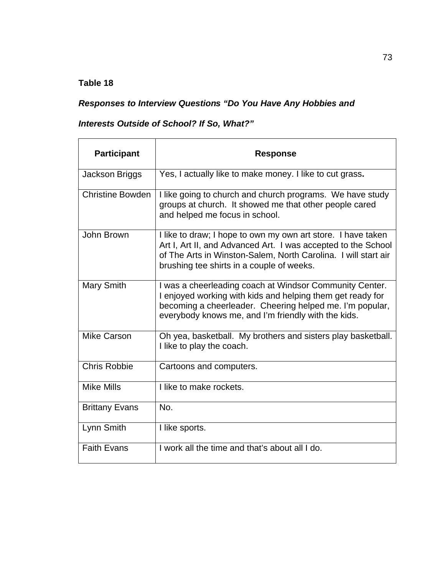## *Responses to Interview Questions "Do You Have Any Hobbies and*

## *Interests Outside of School? If So, What?"*

| <b>Participant</b>      | <b>Response</b>                                                                                                                                                                                                                              |
|-------------------------|----------------------------------------------------------------------------------------------------------------------------------------------------------------------------------------------------------------------------------------------|
| Jackson Briggs          | Yes, I actually like to make money. I like to cut grass.                                                                                                                                                                                     |
| <b>Christine Bowden</b> | I like going to church and church programs. We have study<br>groups at church. It showed me that other people cared<br>and helped me focus in school.                                                                                        |
| John Brown              | I like to draw; I hope to own my own art store. I have taken<br>Art I, Art II, and Advanced Art. I was accepted to the School<br>of The Arts in Winston-Salem, North Carolina. I will start air<br>brushing tee shirts in a couple of weeks. |
| <b>Mary Smith</b>       | I was a cheerleading coach at Windsor Community Center.<br>I enjoyed working with kids and helping them get ready for<br>becoming a cheerleader. Cheering helped me. I'm popular,<br>everybody knows me, and I'm friendly with the kids.     |
| Mike Carson             | Oh yea, basketball. My brothers and sisters play basketball.<br>I like to play the coach.                                                                                                                                                    |
| <b>Chris Robbie</b>     | Cartoons and computers.                                                                                                                                                                                                                      |
| <b>Mike Mills</b>       | I like to make rockets.                                                                                                                                                                                                                      |
| <b>Brittany Evans</b>   | No.                                                                                                                                                                                                                                          |
| Lynn Smith              | I like sports.                                                                                                                                                                                                                               |
| <b>Faith Evans</b>      | I work all the time and that's about all I do.                                                                                                                                                                                               |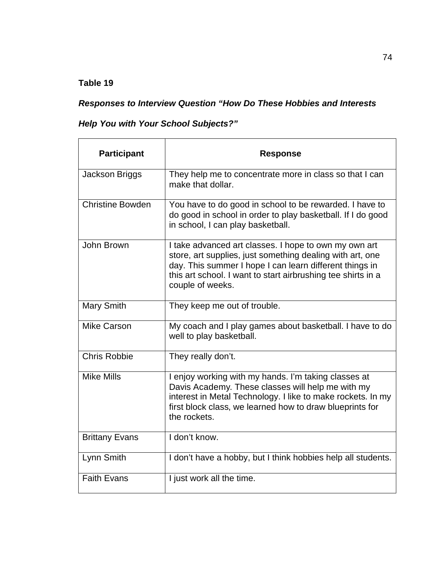## *Responses to Interview Question "How Do These Hobbies and Interests*

## *Help You with Your School Subjects?"*

| <b>Participant</b>      | <b>Response</b>                                                                                                                                                                                                                                                   |
|-------------------------|-------------------------------------------------------------------------------------------------------------------------------------------------------------------------------------------------------------------------------------------------------------------|
| Jackson Briggs          | They help me to concentrate more in class so that I can<br>make that dollar.                                                                                                                                                                                      |
| <b>Christine Bowden</b> | You have to do good in school to be rewarded. I have to<br>do good in school in order to play basketball. If I do good<br>in school, I can play basketball.                                                                                                       |
| John Brown              | I take advanced art classes. I hope to own my own art<br>store, art supplies, just something dealing with art, one<br>day. This summer I hope I can learn different things in<br>this art school. I want to start airbrushing tee shirts in a<br>couple of weeks. |
| Mary Smith              | They keep me out of trouble.                                                                                                                                                                                                                                      |
| <b>Mike Carson</b>      | My coach and I play games about basketball. I have to do<br>well to play basketball.                                                                                                                                                                              |
| <b>Chris Robbie</b>     | They really don't.                                                                                                                                                                                                                                                |
| <b>Mike Mills</b>       | I enjoy working with my hands. I'm taking classes at<br>Davis Academy. These classes will help me with my<br>interest in Metal Technology. I like to make rockets. In my<br>first block class, we learned how to draw blueprints for<br>the rockets.              |
| <b>Brittany Evans</b>   | I don't know.                                                                                                                                                                                                                                                     |
| Lynn Smith              | I don't have a hobby, but I think hobbies help all students.                                                                                                                                                                                                      |
| <b>Faith Evans</b>      | I just work all the time.                                                                                                                                                                                                                                         |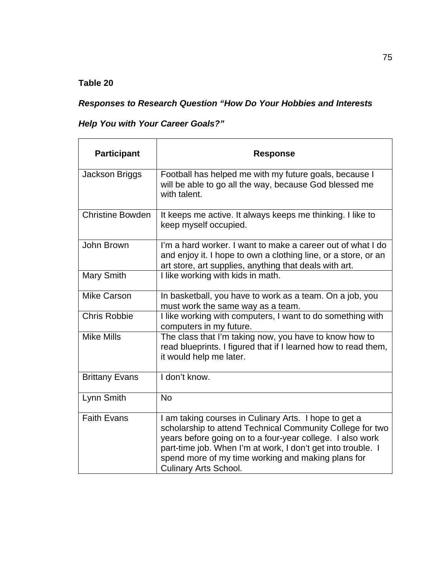## *Responses to Research Question "How Do Your Hobbies and Interests*

## *Help You with Your Career Goals?"*

| <b>Participant</b>      | <b>Response</b>                                                                                                                                                                                                                                                                                                                       |
|-------------------------|---------------------------------------------------------------------------------------------------------------------------------------------------------------------------------------------------------------------------------------------------------------------------------------------------------------------------------------|
| Jackson Briggs          | Football has helped me with my future goals, because I<br>will be able to go all the way, because God blessed me<br>with talent.                                                                                                                                                                                                      |
| <b>Christine Bowden</b> | It keeps me active. It always keeps me thinking. I like to<br>keep myself occupied.                                                                                                                                                                                                                                                   |
| John Brown              | I'm a hard worker. I want to make a career out of what I do<br>and enjoy it. I hope to own a clothing line, or a store, or an<br>art store, art supplies, anything that deals with art.                                                                                                                                               |
| Mary Smith              | I like working with kids in math.                                                                                                                                                                                                                                                                                                     |
| <b>Mike Carson</b>      | In basketball, you have to work as a team. On a job, you<br>must work the same way as a team.                                                                                                                                                                                                                                         |
| <b>Chris Robbie</b>     | I like working with computers, I want to do something with<br>computers in my future.                                                                                                                                                                                                                                                 |
| Mike Mills              | The class that I'm taking now, you have to know how to<br>read blueprints. I figured that if I learned how to read them,<br>it would help me later.                                                                                                                                                                                   |
| <b>Brittany Evans</b>   | I don't know.                                                                                                                                                                                                                                                                                                                         |
| Lynn Smith              | <b>No</b>                                                                                                                                                                                                                                                                                                                             |
| <b>Faith Evans</b>      | I am taking courses in Culinary Arts. I hope to get a<br>scholarship to attend Technical Community College for two<br>years before going on to a four-year college. I also work<br>part-time job. When I'm at work, I don't get into trouble. I<br>spend more of my time working and making plans for<br><b>Culinary Arts School.</b> |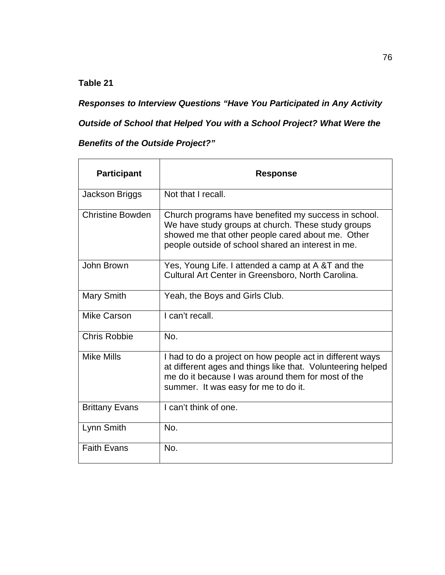*Responses to Interview Questions "Have You Participated in Any Activity* 

*Outside of School that Helped You with a School Project? What Were the* 

## *Benefits of the Outside Project?"*

| <b>Participant</b>      | <b>Response</b>                                                                                                                                                                                                        |
|-------------------------|------------------------------------------------------------------------------------------------------------------------------------------------------------------------------------------------------------------------|
| Jackson Briggs          | Not that I recall.                                                                                                                                                                                                     |
| <b>Christine Bowden</b> | Church programs have benefited my success in school.<br>We have study groups at church. These study groups<br>showed me that other people cared about me. Other<br>people outside of school shared an interest in me.  |
| John Brown              | Yes, Young Life. I attended a camp at A &T and the<br>Cultural Art Center in Greensboro, North Carolina.                                                                                                               |
| <b>Mary Smith</b>       | Yeah, the Boys and Girls Club.                                                                                                                                                                                         |
| Mike Carson             | I can't recall.                                                                                                                                                                                                        |
| <b>Chris Robbie</b>     | No.                                                                                                                                                                                                                    |
| <b>Mike Mills</b>       | I had to do a project on how people act in different ways<br>at different ages and things like that. Volunteering helped<br>me do it because I was around them for most of the<br>summer. It was easy for me to do it. |
| <b>Brittany Evans</b>   | I can't think of one.                                                                                                                                                                                                  |
| Lynn Smith              | No.                                                                                                                                                                                                                    |
| <b>Faith Evans</b>      | No.                                                                                                                                                                                                                    |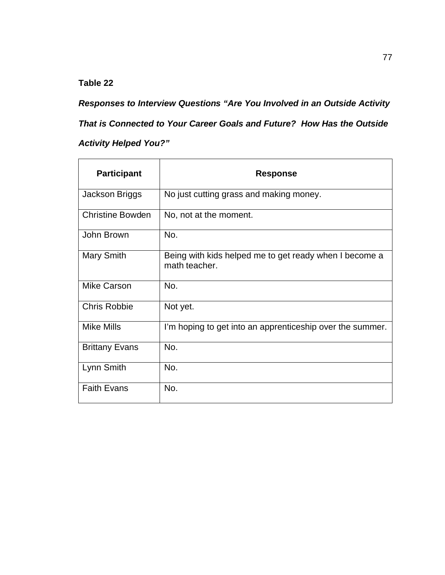*Responses to Interview Questions "Are You Involved in an Outside Activity That is Connected to Your Career Goals and Future? How Has the Outside Activity Helped You?"*

| <b>Participant</b>      | <b>Response</b>                                                         |
|-------------------------|-------------------------------------------------------------------------|
| Jackson Briggs          | No just cutting grass and making money.                                 |
| <b>Christine Bowden</b> | No, not at the moment.                                                  |
| John Brown              | No.                                                                     |
| Mary Smith              | Being with kids helped me to get ready when I become a<br>math teacher. |
| <b>Mike Carson</b>      | No.                                                                     |
| <b>Chris Robbie</b>     | Not yet.                                                                |
| <b>Mike Mills</b>       | I'm hoping to get into an apprenticeship over the summer.               |
| <b>Brittany Evans</b>   | No.                                                                     |
| Lynn Smith              | No.                                                                     |
| <b>Faith Evans</b>      | No.                                                                     |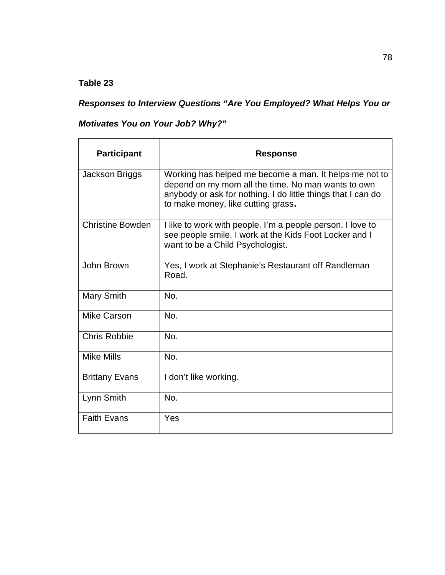## *Responses to Interview Questions "Are You Employed? What Helps You or*

## *Motivates You on Your Job? Why?"*

| <b>Participant</b>      | <b>Response</b>                                                                                                                                                                                                    |
|-------------------------|--------------------------------------------------------------------------------------------------------------------------------------------------------------------------------------------------------------------|
| Jackson Briggs          | Working has helped me become a man. It helps me not to<br>depend on my mom all the time. No man wants to own<br>anybody or ask for nothing. I do little things that I can do<br>to make money, like cutting grass. |
| <b>Christine Bowden</b> | I like to work with people. I'm a people person. I love to<br>see people smile. I work at the Kids Foot Locker and I<br>want to be a Child Psychologist.                                                           |
| John Brown              | Yes, I work at Stephanie's Restaurant off Randleman<br>Road.                                                                                                                                                       |
| <b>Mary Smith</b>       | No.                                                                                                                                                                                                                |
| Mike Carson             | No.                                                                                                                                                                                                                |
| <b>Chris Robbie</b>     | No.                                                                                                                                                                                                                |
| Mike Mills              | No.                                                                                                                                                                                                                |
| <b>Brittany Evans</b>   | I don't like working.                                                                                                                                                                                              |
| Lynn Smith              | No.                                                                                                                                                                                                                |
| <b>Faith Evans</b>      | Yes                                                                                                                                                                                                                |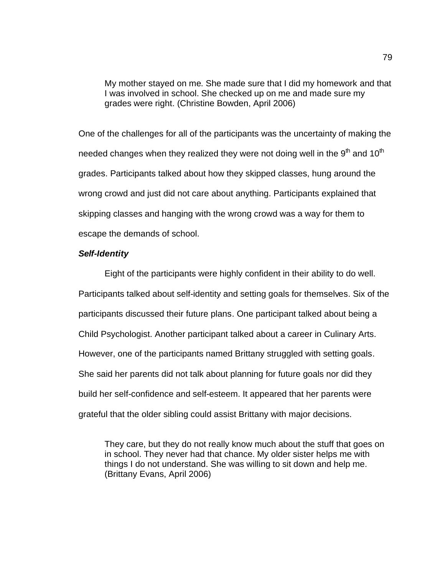My mother stayed on me. She made sure that I did my homework and that I was involved in school. She checked up on me and made sure my grades were right. (Christine Bowden, April 2006)

One of the challenges for all of the participants was the uncertainty of making the needed changes when they realized they were not doing well in the  $9<sup>th</sup>$  and 10<sup>th</sup> grades. Participants talked about how they skipped classes, hung around the wrong crowd and just did not care about anything. Participants explained that skipping classes and hanging with the wrong crowd was a way for them to escape the demands of school.

#### *Self-Identity*

Eight of the participants were highly confident in their ability to do well. Participants talked about self-identity and setting goals for themselves. Six of the participants discussed their future plans. One participant talked about being a Child Psychologist. Another participant talked about a career in Culinary Arts. However, one of the participants named Brittany struggled with setting goals. She said her parents did not talk about planning for future goals nor did they build her self-confidence and self-esteem. It appeared that her parents were grateful that the older sibling could assist Brittany with major decisions.

They care, but they do not really know much about the stuff that goes on in school. They never had that chance. My older sister helps me with things I do not understand. She was willing to sit down and help me. (Brittany Evans, April 2006)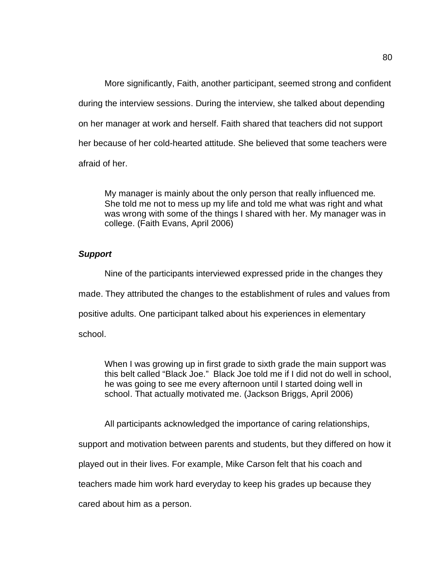More significantly, Faith, another participant, seemed strong and confident during the interview sessions. During the interview, she talked about depending on her manager at work and herself. Faith shared that teachers did not support her because of her cold-hearted attitude. She believed that some teachers were afraid of her.

My manager is mainly about the only person that really influenced me. She told me not to mess up my life and told me what was right and what was wrong with some of the things I shared with her. My manager was in college. (Faith Evans, April 2006)

#### *Support*

Nine of the participants interviewed expressed pride in the changes they

made. They attributed the changes to the establishment of rules and values from

positive adults. One participant talked about his experiences in elementary

school.

When I was growing up in first grade to sixth grade the main support was this belt called "Black Joe." Black Joe told me if I did not do well in school, he was going to see me every afternoon until I started doing well in school. That actually motivated me. (Jackson Briggs, April 2006)

All participants acknowledged the importance of caring relationships,

support and motivation between parents and students, but they differed on how it

played out in their lives. For example, Mike Carson felt that his coach and

teachers made him work hard everyday to keep his grades up because they

cared about him as a person.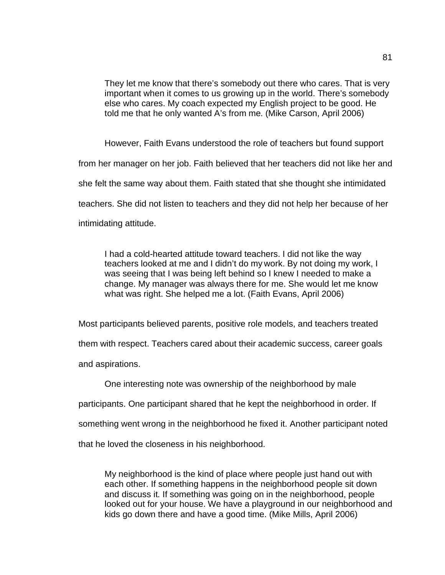They let me know that there's somebody out there who cares. That is very important when it comes to us growing up in the world. There's somebody else who cares. My coach expected my English project to be good. He told me that he only wanted A's from me. (Mike Carson, April 2006)

However, Faith Evans understood the role of teachers but found support from her manager on her job. Faith believed that her teachers did not like her and she felt the same way about them. Faith stated that she thought she intimidated teachers. She did not listen to teachers and they did not help her because of her intimidating attitude.

I had a cold-hearted attitude toward teachers. I did not like the way teachers looked at me and I didn't do my work. By not doing my work, I was seeing that I was being left behind so I knew I needed to make a change. My manager was always there for me. She would let me know what was right. She helped me a lot. (Faith Evans, April 2006)

Most participants believed parents, positive role models, and teachers treated them with respect. Teachers cared about their academic success, career goals and aspirations.

One interesting note was ownership of the neighborhood by male

participants. One participant shared that he kept the neighborhood in order. If

something went wrong in the neighborhood he fixed it. Another participant noted

that he loved the closeness in his neighborhood.

My neighborhood is the kind of place where people just hand out with each other. If something happens in the neighborhood people sit down and discuss it. If something was going on in the neighborhood, people looked out for your house. We have a playground in our neighborhood and kids go down there and have a good time. (Mike Mills, April 2006)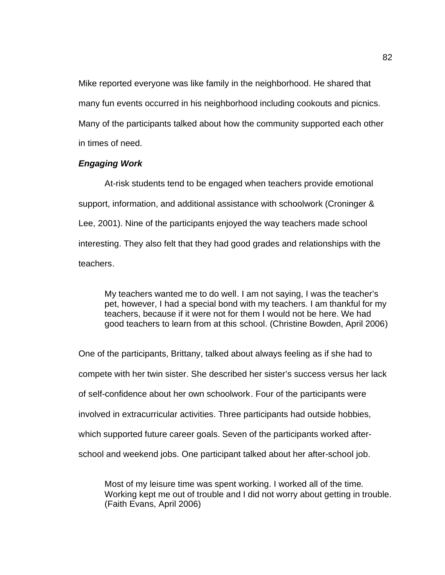Mike reported everyone was like family in the neighborhood. He shared that many fun events occurred in his neighborhood including cookouts and picnics. Many of the participants talked about how the community supported each other in times of need.

#### *Engaging Work*

At-risk students tend to be engaged when teachers provide emotional support, information, and additional assistance with schoolwork (Croninger & Lee, 2001). Nine of the participants enjoyed the way teachers made school interesting. They also felt that they had good grades and relationships with the teachers.

My teachers wanted me to do well. I am not saying, I was the teacher's pet, however, I had a special bond with my teachers. I am thankful for my teachers, because if it were not for them I would not be here. We had good teachers to learn from at this school. (Christine Bowden, April 2006)

One of the participants, Brittany, talked about always feeling as if she had to compete with her twin sister. She described her sister's success versus her lack of self-confidence about her own schoolwork. Four of the participants were involved in extracurricular activities. Three participants had outside hobbies, which supported future career goals. Seven of the participants worked afterschool and weekend jobs. One participant talked about her after-school job.

Most of my leisure time was spent working. I worked all of the time. Working kept me out of trouble and I did not worry about getting in trouble. (Faith Evans, April 2006)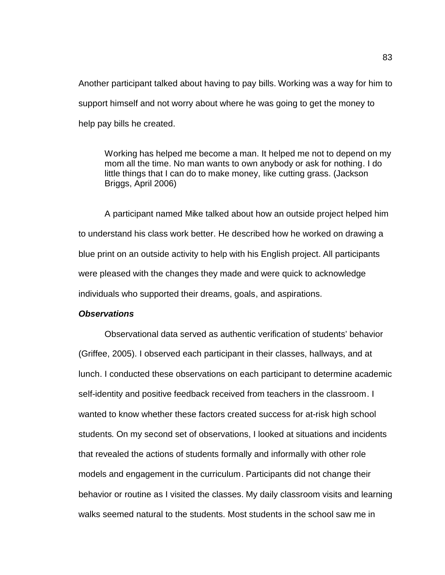Another participant talked about having to pay bills. Working was a way for him to support himself and not worry about where he was going to get the money to help pay bills he created.

Working has helped me become a man. It helped me not to depend on my mom all the time. No man wants to own anybody or ask for nothing. I do little things that I can do to make money, like cutting grass. (Jackson Briggs, April 2006)

A participant named Mike talked about how an outside project helped him to understand his class work better. He described how he worked on drawing a blue print on an outside activity to help with his English project. All participants were pleased with the changes they made and were quick to acknowledge individuals who supported their dreams, goals, and aspirations.

#### *Observations*

Observational data served as authentic verification of students' behavior (Griffee, 2005). I observed each participant in their classes, hallways, and at lunch. I conducted these observations on each participant to determine academic self-identity and positive feedback received from teachers in the classroom. I wanted to know whether these factors created success for at-risk high school students. On my second set of observations, I looked at situations and incidents that revealed the actions of students formally and informally with other role models and engagement in the curriculum. Participants did not change their behavior or routine as I visited the classes. My daily classroom visits and learning walks seemed natural to the students. Most students in the school saw me in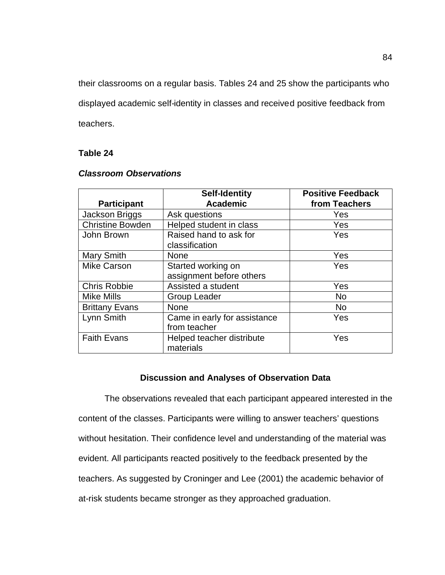their classrooms on a regular basis. Tables 24 and 25 show the participants who displayed academic self-identity in classes and received positive feedback from teachers.

#### **Table 24**

|                         | <b>Self-Identity</b>         | <b>Positive Feedback</b> |
|-------------------------|------------------------------|--------------------------|
| <b>Participant</b>      | <b>Academic</b>              | from Teachers            |
| Jackson Briggs          | Ask questions                | Yes                      |
| <b>Christine Bowden</b> | Helped student in class      | Yes                      |
| John Brown              | Raised hand to ask for       | Yes                      |
|                         | classification               |                          |
| <b>Mary Smith</b>       | <b>None</b>                  | Yes                      |
| <b>Mike Carson</b>      | Started working on           | Yes                      |
|                         | assignment before others     |                          |
| <b>Chris Robbie</b>     | Assisted a student           | Yes                      |
| <b>Mike Mills</b>       | <b>Group Leader</b>          | <b>No</b>                |
| <b>Brittany Evans</b>   | <b>None</b>                  | <b>No</b>                |
| Lynn Smith              | Came in early for assistance | Yes                      |
|                         | from teacher                 |                          |
| <b>Faith Evans</b>      | Helped teacher distribute    | Yes                      |
|                         | materials                    |                          |

#### *Classroom Observations*

#### **Discussion and Analyses of Observation Data**

The observations revealed that each participant appeared interested in the content of the classes. Participants were willing to answer teachers' questions without hesitation. Their confidence level and understanding of the material was evident. All participants reacted positively to the feedback presented by the teachers. As suggested by Croninger and Lee (2001) the academic behavior of at-risk students became stronger as they approached graduation.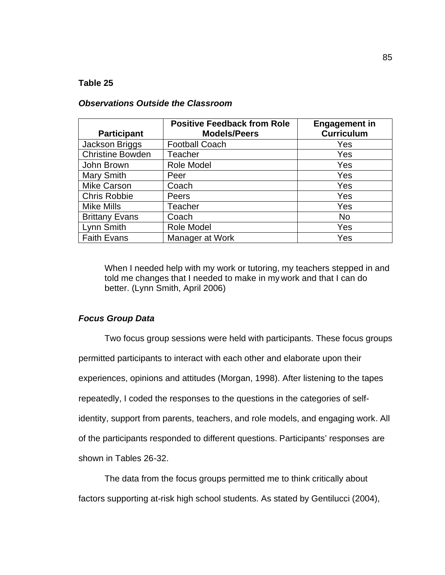#### *Observations Outside the Classroom*

| <b>Participant</b>      | <b>Positive Feedback from Role</b><br><b>Models/Peers</b> | <b>Engagement in</b><br><b>Curriculum</b> |
|-------------------------|-----------------------------------------------------------|-------------------------------------------|
| Jackson Briggs          | <b>Football Coach</b>                                     | Yes                                       |
|                         |                                                           |                                           |
| <b>Christine Bowden</b> | Teacher                                                   | Yes                                       |
| John Brown              | Role Model                                                | Yes                                       |
| <b>Mary Smith</b>       | Peer                                                      | Yes                                       |
| <b>Mike Carson</b>      | Coach                                                     | Yes                                       |
| <b>Chris Robbie</b>     | Peers                                                     | Yes                                       |
| <b>Mike Mills</b>       | <b>Teacher</b>                                            | Yes                                       |
| <b>Brittany Evans</b>   | Coach                                                     | <b>No</b>                                 |
| Lynn Smith              | Role Model                                                | Yes                                       |
| <b>Faith Evans</b>      | Manager at Work                                           | Yes                                       |

When I needed help with my work or tutoring, my teachers stepped in and told me changes that I needed to make in my work and that I can do better. (Lynn Smith, April 2006)

#### *Focus Group Data*

Two focus group sessions were held with participants. These focus groups permitted participants to interact with each other and elaborate upon their experiences, opinions and attitudes (Morgan, 1998). After listening to the tapes repeatedly, I coded the responses to the questions in the categories of selfidentity, support from parents, teachers, and role models, and engaging work. All of the participants responded to different questions. Participants' responses are shown in Tables 26-32.

The data from the focus groups permitted me to think critically about factors supporting at-risk high school students. As stated by Gentilucci (2004),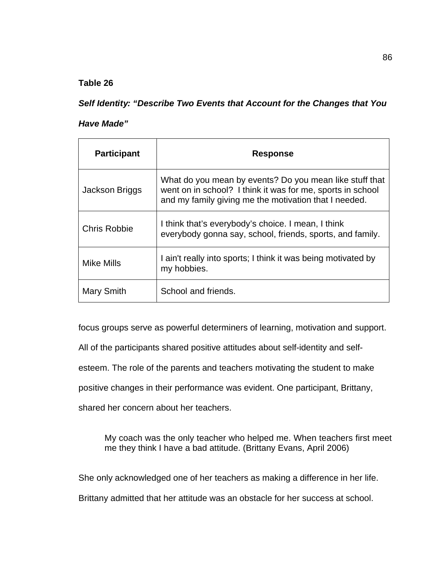*Self Identity: "Describe Two Events that Account for the Changes that You* 

#### *Have Made"*

| <b>Participant</b>  | <b>Response</b>                                                                                                                                                                |
|---------------------|--------------------------------------------------------------------------------------------------------------------------------------------------------------------------------|
| Jackson Briggs      | What do you mean by events? Do you mean like stuff that<br>went on in school? I think it was for me, sports in school<br>and my family giving me the motivation that I needed. |
| <b>Chris Robbie</b> | I think that's everybody's choice. I mean, I think<br>everybody gonna say, school, friends, sports, and family.                                                                |
| <b>Mike Mills</b>   | I ain't really into sports; I think it was being motivated by<br>my hobbies.                                                                                                   |
| Mary Smith          | School and friends.                                                                                                                                                            |

focus groups serve as powerful determiners of learning, motivation and support.

All of the participants shared positive attitudes about self-identity and self-

esteem. The role of the parents and teachers motivating the student to make

positive changes in their performance was evident. One participant, Brittany,

shared her concern about her teachers.

My coach was the only teacher who helped me. When teachers first meet me they think I have a bad attitude. (Brittany Evans, April 2006)

She only acknowledged one of her teachers as making a difference in her life.

Brittany admitted that her attitude was an obstacle for her success at school.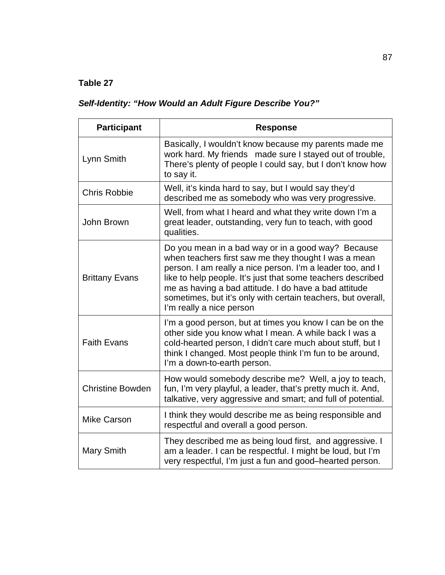# *Self-Identity: "How Would an Adult Figure Describe You?"*

| <b>Participant</b>      | <b>Response</b>                                                                                                                                                                                                                                                                                                                                                                              |
|-------------------------|----------------------------------------------------------------------------------------------------------------------------------------------------------------------------------------------------------------------------------------------------------------------------------------------------------------------------------------------------------------------------------------------|
| Lynn Smith              | Basically, I wouldn't know because my parents made me<br>work hard. My friends made sure I stayed out of trouble,<br>There's plenty of people I could say, but I don't know how<br>to say it.                                                                                                                                                                                                |
| <b>Chris Robbie</b>     | Well, it's kinda hard to say, but I would say they'd<br>described me as somebody who was very progressive.                                                                                                                                                                                                                                                                                   |
| John Brown              | Well, from what I heard and what they write down I'm a<br>great leader, outstanding, very fun to teach, with good<br>qualities.                                                                                                                                                                                                                                                              |
| <b>Brittany Evans</b>   | Do you mean in a bad way or in a good way? Because<br>when teachers first saw me they thought I was a mean<br>person. I am really a nice person. I'm a leader too, and I<br>like to help people. It's just that some teachers described<br>me as having a bad attitude. I do have a bad attitude<br>sometimes, but it's only with certain teachers, but overall,<br>I'm really a nice person |
| <b>Faith Evans</b>      | I'm a good person, but at times you know I can be on the<br>other side you know what I mean. A while back I was a<br>cold-hearted person, I didn't care much about stuff, but I<br>think I changed. Most people think I'm fun to be around,<br>I'm a down-to-earth person.                                                                                                                   |
| <b>Christine Bowden</b> | How would somebody describe me? Well, a joy to teach,<br>fun, I'm very playful, a leader, that's pretty much it. And,<br>talkative, very aggressive and smart; and full of potential.                                                                                                                                                                                                        |
| <b>Mike Carson</b>      | I think they would describe me as being responsible and<br>respectful and overall a good person.                                                                                                                                                                                                                                                                                             |
| <b>Mary Smith</b>       | They described me as being loud first, and aggressive. I<br>am a leader. I can be respectful. I might be loud, but I'm<br>very respectful, I'm just a fun and good-hearted person.                                                                                                                                                                                                           |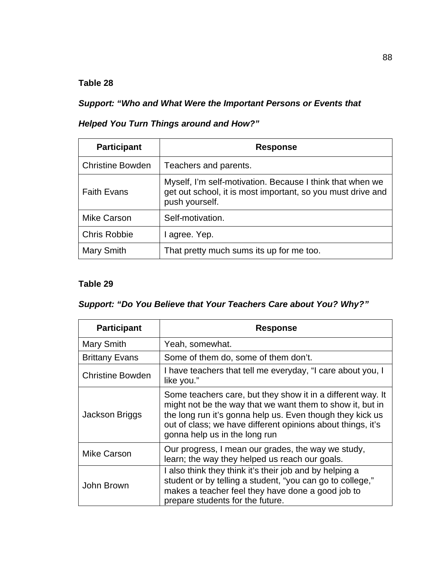*Support: "Who and What Were the Important Persons or Events that* 

## *Helped You Turn Things around and How?"*

| <b>Participant</b>      | <b>Response</b>                                                                                                                            |
|-------------------------|--------------------------------------------------------------------------------------------------------------------------------------------|
| <b>Christine Bowden</b> | Teachers and parents.                                                                                                                      |
| <b>Faith Evans</b>      | Myself, I'm self-motivation. Because I think that when we<br>get out school, it is most important, so you must drive and<br>push yourself. |
| <b>Mike Carson</b>      | Self-motivation.                                                                                                                           |
| <b>Chris Robbie</b>     | I agree. Yep.                                                                                                                              |
| <b>Mary Smith</b>       | That pretty much sums its up for me too.                                                                                                   |

## **Table 29**

# *Support: "Do You Believe that Your Teachers Care about You? Why?"*

| <b>Participant</b>      | <b>Response</b>                                                                                                                                                                                                                                                                       |
|-------------------------|---------------------------------------------------------------------------------------------------------------------------------------------------------------------------------------------------------------------------------------------------------------------------------------|
| Mary Smith              | Yeah, somewhat.                                                                                                                                                                                                                                                                       |
| <b>Brittany Evans</b>   | Some of them do, some of them don't.                                                                                                                                                                                                                                                  |
| <b>Christine Bowden</b> | I have teachers that tell me everyday, "I care about you, I<br>like you."                                                                                                                                                                                                             |
| Jackson Briggs          | Some teachers care, but they show it in a different way. It<br>might not be the way that we want them to show it, but in<br>the long run it's gonna help us. Even though they kick us<br>out of class; we have different opinions about things, it's<br>gonna help us in the long run |
| Mike Carson             | Our progress, I mean our grades, the way we study,<br>learn; the way they helped us reach our goals.                                                                                                                                                                                  |
| John Brown              | I also think they think it's their job and by helping a<br>student or by telling a student, "you can go to college,"<br>makes a teacher feel they have done a good job to<br>prepare students for the future.                                                                         |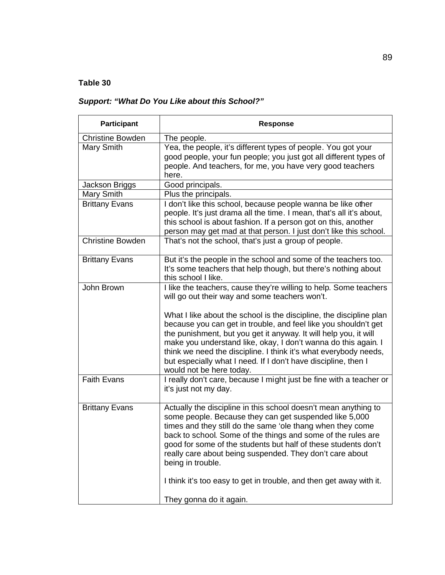## *Support: "What Do You Like about this School?"*

| Participant             | <b>Response</b>                                                                                                                                                                                                                                                                                                                                                                                                                                                                                                                                                       |
|-------------------------|-----------------------------------------------------------------------------------------------------------------------------------------------------------------------------------------------------------------------------------------------------------------------------------------------------------------------------------------------------------------------------------------------------------------------------------------------------------------------------------------------------------------------------------------------------------------------|
| <b>Christine Bowden</b> | The people.                                                                                                                                                                                                                                                                                                                                                                                                                                                                                                                                                           |
| Mary Smith              | Yea, the people, it's different types of people. You got your<br>good people, your fun people; you just got all different types of<br>people. And teachers, for me, you have very good teachers<br>here.                                                                                                                                                                                                                                                                                                                                                              |
| Jackson Briggs          | Good principals.                                                                                                                                                                                                                                                                                                                                                                                                                                                                                                                                                      |
| Mary Smith              | Plus the principals.                                                                                                                                                                                                                                                                                                                                                                                                                                                                                                                                                  |
| <b>Brittany Evans</b>   | I don't like this school, because people wanna be like other<br>people. It's just drama all the time. I mean, that's all it's about,<br>this school is about fashion. If a person got on this, another<br>person may get mad at that person. I just don't like this school.                                                                                                                                                                                                                                                                                           |
| <b>Christine Bowden</b> | That's not the school, that's just a group of people.                                                                                                                                                                                                                                                                                                                                                                                                                                                                                                                 |
| <b>Brittany Evans</b>   | But it's the people in the school and some of the teachers too.<br>It's some teachers that help though, but there's nothing about<br>this school I like.                                                                                                                                                                                                                                                                                                                                                                                                              |
| John Brown              | I like the teachers, cause they're willing to help. Some teachers<br>will go out their way and some teachers won't.<br>What I like about the school is the discipline, the discipline plan<br>because you can get in trouble, and feel like you shouldn't get<br>the punishment, but you get it anyway. It will help you, it will<br>make you understand like, okay, I don't wanna do this again. I<br>think we need the discipline. I think it's what everybody needs,<br>but especially what I need. If I don't have discipline, then I<br>would not be here today. |
| <b>Faith Evans</b>      | I really don't care, because I might just be fine with a teacher or<br>it's just not my day.                                                                                                                                                                                                                                                                                                                                                                                                                                                                          |
| <b>Brittany Evans</b>   | Actually the discipline in this school doesn't mean anything to<br>some people. Because they can get suspended like 5,000<br>times and they still do the same 'ole thang when they come<br>back to school. Some of the things and some of the rules are<br>good for some of the students but half of these students don't<br>really care about being suspended. They don't care about<br>being in trouble.<br>I think it's too easy to get in trouble, and then get away with it.<br>They gonna do it again.                                                          |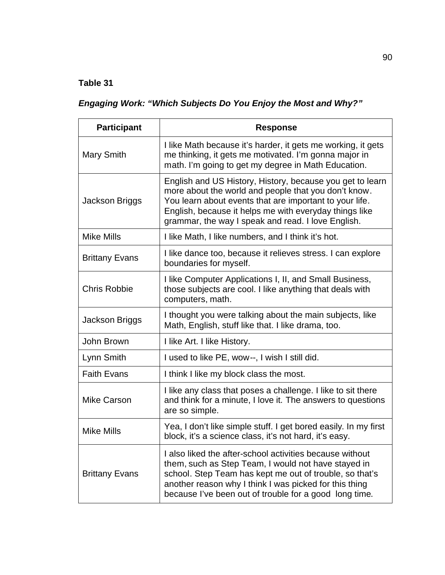# *Engaging Work: "Which Subjects Do You Enjoy the Most and Why?"*

| <b>Participant</b>    | <b>Response</b>                                                                                                                                                                                                                                                                                |
|-----------------------|------------------------------------------------------------------------------------------------------------------------------------------------------------------------------------------------------------------------------------------------------------------------------------------------|
| <b>Mary Smith</b>     | I like Math because it's harder, it gets me working, it gets<br>me thinking, it gets me motivated. I'm gonna major in<br>math. I'm going to get my degree in Math Education.                                                                                                                   |
| <b>Jackson Briggs</b> | English and US History, History, because you get to learn<br>more about the world and people that you don't know.<br>You learn about events that are important to your life.<br>English, because it helps me with everyday things like<br>grammar, the way I speak and read. I love English.   |
| <b>Mike Mills</b>     | I like Math, I like numbers, and I think it's hot.                                                                                                                                                                                                                                             |
| <b>Brittany Evans</b> | I like dance too, because it relieves stress. I can explore<br>boundaries for myself.                                                                                                                                                                                                          |
| <b>Chris Robbie</b>   | I like Computer Applications I, II, and Small Business,<br>those subjects are cool. I like anything that deals with<br>computers, math.                                                                                                                                                        |
| Jackson Briggs        | I thought you were talking about the main subjects, like<br>Math, English, stuff like that. I like drama, too.                                                                                                                                                                                 |
| John Brown            | I like Art. I like History.                                                                                                                                                                                                                                                                    |
| Lynn Smith            | I used to like PE, wow--, I wish I still did.                                                                                                                                                                                                                                                  |
| <b>Faith Evans</b>    | I think I like my block class the most.                                                                                                                                                                                                                                                        |
| <b>Mike Carson</b>    | I like any class that poses a challenge. I like to sit there<br>and think for a minute, I love it. The answers to questions<br>are so simple.                                                                                                                                                  |
| <b>Mike Mills</b>     | Yea, I don't like simple stuff. I get bored easily. In my first<br>block, it's a science class, it's not hard, it's easy.                                                                                                                                                                      |
| <b>Brittany Evans</b> | I also liked the after-school activities because without<br>them, such as Step Team, I would not have stayed in<br>school. Step Team has kept me out of trouble, so that's<br>another reason why I think I was picked for this thing<br>because I've been out of trouble for a good long time. |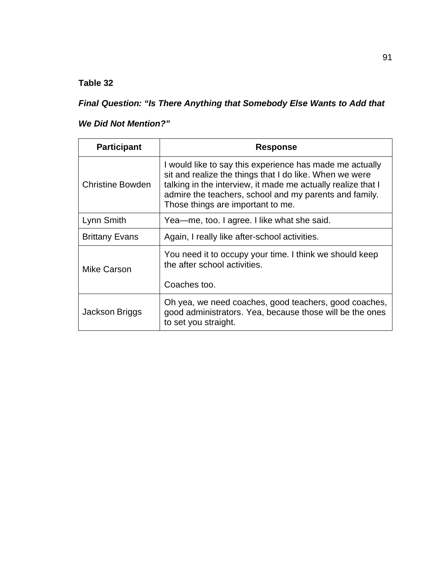*Final Question: "Is There Anything that Somebody Else Wants to Add that* 

## *We Did Not Mention?"*

| <b>Participant</b>    | <b>Response</b>                                                                                                                                                                                                                                                                    |
|-----------------------|------------------------------------------------------------------------------------------------------------------------------------------------------------------------------------------------------------------------------------------------------------------------------------|
| Christine Bowden      | I would like to say this experience has made me actually<br>sit and realize the things that I do like. When we were<br>talking in the interview, it made me actually realize that I<br>admire the teachers, school and my parents and family.<br>Those things are important to me. |
| Lynn Smith            | Yea—me, too. I agree. I like what she said.                                                                                                                                                                                                                                        |
| <b>Brittany Evans</b> | Again, I really like after-school activities.                                                                                                                                                                                                                                      |
| Mike Carson           | You need it to occupy your time. I think we should keep<br>the after school activities.<br>Coaches too.                                                                                                                                                                            |
| Jackson Briggs        | Oh yea, we need coaches, good teachers, good coaches,<br>good administrators. Yea, because those will be the ones<br>to set you straight.                                                                                                                                          |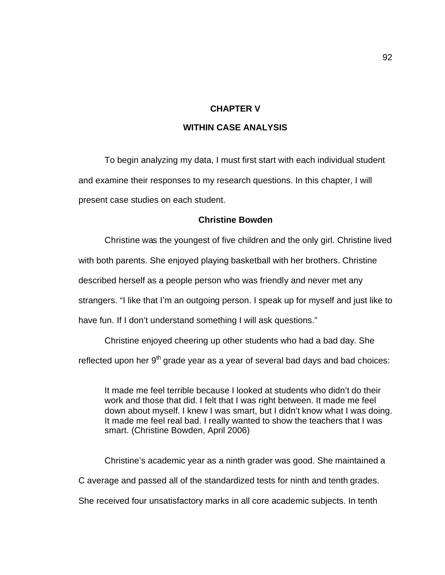#### **CHAPTER V**

#### **WITHIN CASE ANALYSIS**

To begin analyzing my data, I must first start with each individual student and examine their responses to my research questions. In this chapter, I will present case studies on each student.

#### **Christine Bowden**

Christine was the youngest of five children and the only girl. Christine lived

with both parents. She enjoyed playing basketball with her brothers. Christine

described herself as a people person who was friendly and never met any

strangers. "I like that I'm an outgoing person. I speak up for myself and just like to

have fun. If I don't understand something I will ask questions."

Christine enjoyed cheering up other students who had a bad day. She

reflected upon her  $9<sup>th</sup>$  grade year as a year of several bad days and bad choices:

It made me feel terrible because I looked at students who didn't do their work and those that did. I felt that I was right between. It made me feel down about myself. I knew I was smart, but I didn't know what I was doing. It made me feel real bad. I really wanted to show the teachers that I was smart. (Christine Bowden, April 2006)

Christine's academic year as a ninth grader was good. She maintained a C average and passed all of the standardized tests for ninth and tenth grades. She received four unsatisfactory marks in all core academic subjects. In tenth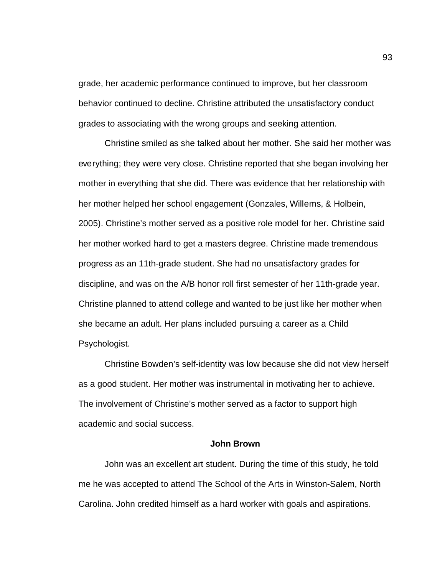grade, her academic performance continued to improve, but her classroom behavior continued to decline. Christine attributed the unsatisfactory conduct grades to associating with the wrong groups and seeking attention.

Christine smiled as she talked about her mother. She said her mother was everything; they were very close. Christine reported that she began involving her mother in everything that she did. There was evidence that her relationship with her mother helped her school engagement (Gonzales, Willems, & Holbein, 2005). Christine's mother served as a positive role model for her. Christine said her mother worked hard to get a masters degree. Christine made tremendous progress as an 11th-grade student. She had no unsatisfactory grades for discipline, and was on the A/B honor roll first semester of her 11th-grade year. Christine planned to attend college and wanted to be just like her mother when she became an adult. Her plans included pursuing a career as a Child Psychologist.

Christine Bowden's self-identity was low because she did not view herself as a good student. Her mother was instrumental in motivating her to achieve. The involvement of Christine's mother served as a factor to support high academic and social success.

#### **John Brown**

John was an excellent art student. During the time of this study, he told me he was accepted to attend The School of the Arts in Winston-Salem, North Carolina. John credited himself as a hard worker with goals and aspirations.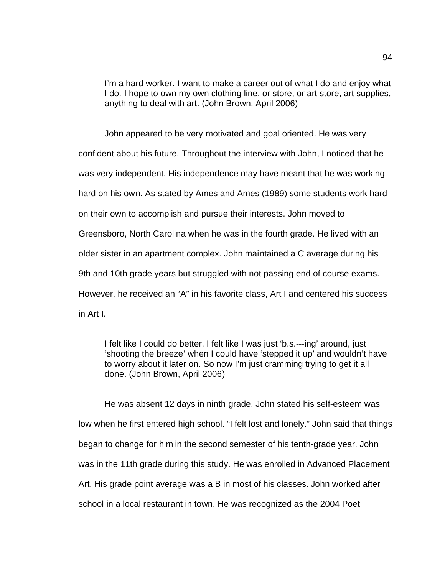I'm a hard worker. I want to make a career out of what I do and enjoy what I do. I hope to own my own clothing line, or store, or art store, art supplies, anything to deal with art. (John Brown, April 2006)

John appeared to be very motivated and goal oriented. He was very confident about his future. Throughout the interview with John, I noticed that he was very independent. His independence may have meant that he was working hard on his own. As stated by Ames and Ames (1989) some students work hard on their own to accomplish and pursue their interests. John moved to Greensboro, North Carolina when he was in the fourth grade. He lived with an older sister in an apartment complex. John maintained a C average during his 9th and 10th grade years but struggled with not passing end of course exams. However, he received an "A" in his favorite class, Art I and centered his success in Art I.

I felt like I could do better. I felt like I was just 'b.s.---ing' around, just 'shooting the breeze' when I could have 'stepped it up' and wouldn't have to worry about it later on. So now I'm just cramming trying to get it all done. (John Brown, April 2006)

He was absent 12 days in ninth grade. John stated his self-esteem was low when he first entered high school. "I felt lost and lonely." John said that things began to change for him in the second semester of his tenth-grade year. John was in the 11th grade during this study. He was enrolled in Advanced Placement Art. His grade point average was a B in most of his classes. John worked after school in a local restaurant in town. He was recognized as the 2004 Poet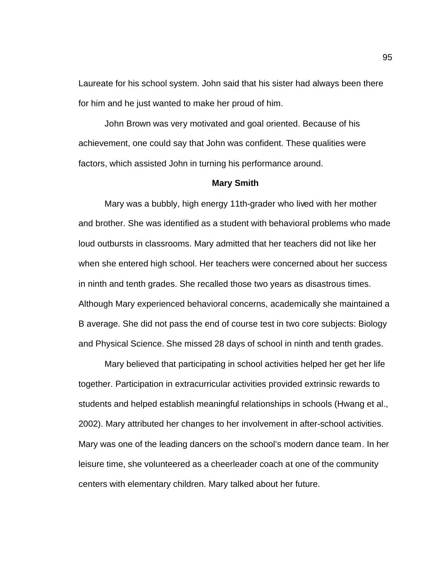Laureate for his school system. John said that his sister had always been there for him and he just wanted to make her proud of him.

John Brown was very motivated and goal oriented. Because of his achievement, one could say that John was confident. These qualities were factors, which assisted John in turning his performance around.

#### **Mary Smith**

Mary was a bubbly, high energy 11th-grader who lived with her mother and brother. She was identified as a student with behavioral problems who made loud outbursts in classrooms. Mary admitted that her teachers did not like her when she entered high school. Her teachers were concerned about her success in ninth and tenth grades. She recalled those two years as disastrous times. Although Mary experienced behavioral concerns, academically she maintained a B average. She did not pass the end of course test in two core subjects: Biology and Physical Science. She missed 28 days of school in ninth and tenth grades.

Mary believed that participating in school activities helped her get her life together. Participation in extracurricular activities provided extrinsic rewards to students and helped establish meaningful relationships in schools (Hwang et al., 2002). Mary attributed her changes to her involvement in after-school activities. Mary was one of the leading dancers on the school's modern dance team. In her leisure time, she volunteered as a cheerleader coach at one of the community centers with elementary children. Mary talked about her future.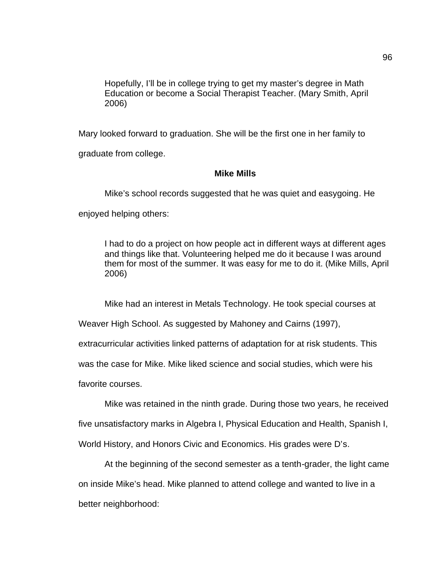Hopefully, I'll be in college trying to get my master's degree in Math Education or become a Social Therapist Teacher. (Mary Smith, April 2006)

Mary looked forward to graduation. She will be the first one in her family to graduate from college.

## **Mike Mills**

Mike's school records suggested that he was quiet and easygoing. He enjoyed helping others:

I had to do a project on how people act in different ways at different ages and things like that. Volunteering helped me do it because I was around them for most of the summer. It was easy for me to do it. (Mike Mills, April 2006)

Mike had an interest in Metals Technology. He took special courses at

Weaver High School. As suggested by Mahoney and Cairns (1997),

extracurricular activities linked patterns of adaptation for at risk students. This

was the case for Mike. Mike liked science and social studies, which were his

favorite courses.

Mike was retained in the ninth grade. During those two years, he received five unsatisfactory marks in Algebra I, Physical Education and Health, Spanish I, World History, and Honors Civic and Economics. His grades were D's.

At the beginning of the second semester as a tenth-grader, the light came on inside Mike's head. Mike planned to attend college and wanted to live in a better neighborhood: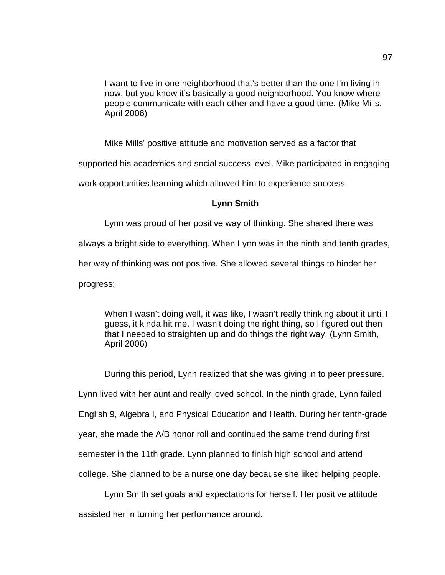I want to live in one neighborhood that's better than the one I'm living in now, but you know it's basically a good neighborhood. You know where people communicate with each other and have a good time. (Mike Mills, April 2006)

Mike Mills' positive attitude and motivation served as a factor that

supported his academics and social success level. Mike participated in engaging

work opportunities learning which allowed him to experience success.

### **Lynn Smith**

Lynn was proud of her positive way of thinking. She shared there was always a bright side to everything. When Lynn was in the ninth and tenth grades, her way of thinking was not positive. She allowed several things to hinder her progress:

When I wasn't doing well, it was like, I wasn't really thinking about it until I guess, it kinda hit me. I wasn't doing the right thing, so I figured out then that I needed to straighten up and do things the right way. (Lynn Smith, April 2006)

During this period, Lynn realized that she was giving in to peer pressure. Lynn lived with her aunt and really loved school. In the ninth grade, Lynn failed English 9, Algebra I, and Physical Education and Health. During her tenth-grade year, she made the A/B honor roll and continued the same trend during first semester in the 11th grade. Lynn planned to finish high school and attend college. She planned to be a nurse one day because she liked helping people.

Lynn Smith set goals and expectations for herself. Her positive attitude assisted her in turning her performance around.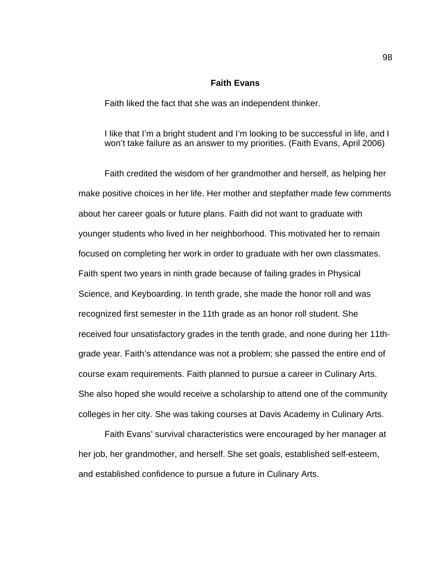#### **Faith Evans**

Faith liked the fact that she was an independent thinker.

I like that I'm a bright student and I'm looking to be successful in life, and I won't take failure as an answer to my priorities. (Faith Evans, April 2006)

Faith credited the wisdom of her grandmother and herself, as helping her make positive choices in her life. Her mother and stepfather made few comments about her career goals or future plans. Faith did not want to graduate with younger students who lived in her neighborhood. This motivated her to remain focused on completing her work in order to graduate with her own classmates. Faith spent two years in ninth grade because of failing grades in Physical Science, and Keyboarding. In tenth grade, she made the honor roll and was recognized first semester in the 11th grade as an honor roll student. She received four unsatisfactory grades in the tenth grade, and none during her 11thgrade year. Faith's attendance was not a problem; she passed the entire end of course exam requirements. Faith planned to pursue a career in Culinary Arts. She also hoped she would receive a scholarship to attend one of the community colleges in her city. She was taking courses at Davis Academy in Culinary Arts.

Faith Evans' survival characteristics were encouraged by her manager at her job, her grandmother, and herself. She set goals, established self-esteem, and established confidence to pursue a future in Culinary Arts.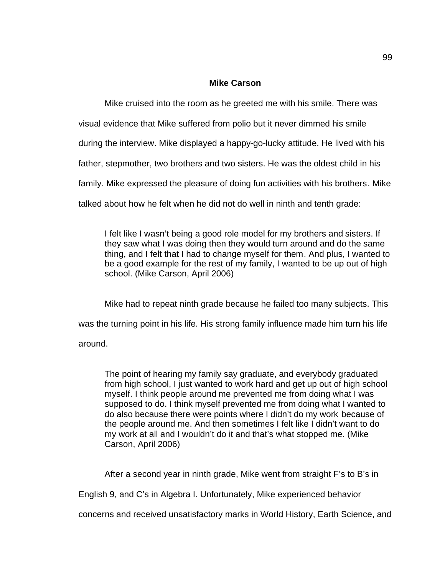## **Mike Carson**

Mike cruised into the room as he greeted me with his smile. There was

visual evidence that Mike suffered from polio but it never dimmed his smile

during the interview. Mike displayed a happy-go-lucky attitude. He lived with his

father, stepmother, two brothers and two sisters. He was the oldest child in his

family. Mike expressed the pleasure of doing fun activities with his brothers. Mike

talked about how he felt when he did not do well in ninth and tenth grade:

I felt like I wasn't being a good role model for my brothers and sisters. If they saw what I was doing then they would turn around and do the same thing, and I felt that I had to change myself for them. And plus, I wanted to be a good example for the rest of my family, I wanted to be up out of high school. (Mike Carson, April 2006)

Mike had to repeat ninth grade because he failed too many subjects. This was the turning point in his life. His strong family influence made him turn his life around.

The point of hearing my family say graduate, and everybody graduated from high school, I just wanted to work hard and get up out of high school myself. I think people around me prevented me from doing what I was supposed to do. I think myself prevented me from doing what I wanted to do also because there were points where I didn't do my work because of the people around me. And then sometimes I felt like I didn't want to do my work at all and I wouldn't do it and that's what stopped me. (Mike Carson, April 2006)

After a second year in ninth grade, Mike went from straight F's to B's in

English 9, and C's in Algebra I. Unfortunately, Mike experienced behavior

concerns and received unsatisfactory marks in World History, Earth Science, and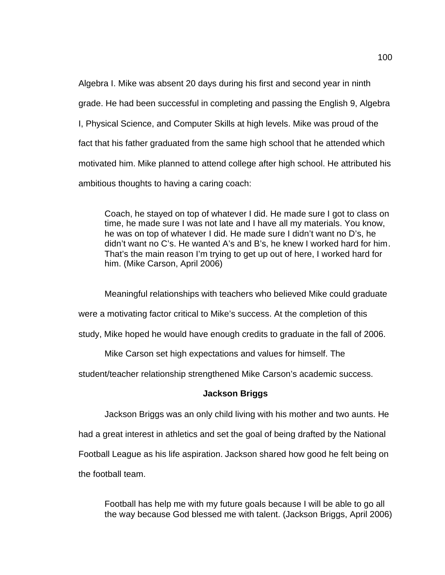Algebra I. Mike was absent 20 days during his first and second year in ninth grade. He had been successful in completing and passing the English 9, Algebra I, Physical Science, and Computer Skills at high levels. Mike was proud of the fact that his father graduated from the same high school that he attended which motivated him. Mike planned to attend college after high school. He attributed his ambitious thoughts to having a caring coach:

Coach, he stayed on top of whatever I did. He made sure I got to class on time, he made sure I was not late and I have all my materials. You know, he was on top of whatever I did. He made sure I didn't want no D's, he didn't want no C's. He wanted A's and B's, he knew I worked hard for him. That's the main reason I'm trying to get up out of here, I worked hard for him. (Mike Carson, April 2006)

Meaningful relationships with teachers who believed Mike could graduate

were a motivating factor critical to Mike's success. At the completion of this

study, Mike hoped he would have enough credits to graduate in the fall of 2006.

Mike Carson set high expectations and values for himself. The

student/teacher relationship strengthened Mike Carson's academic success.

## **Jackson Briggs**

Jackson Briggs was an only child living with his mother and two aunts. He

had a great interest in athletics and set the goal of being drafted by the National

Football League as his life aspiration. Jackson shared how good he felt being on

the football team.

Football has help me with my future goals because I will be able to go all the way because God blessed me with talent. (Jackson Briggs, April 2006)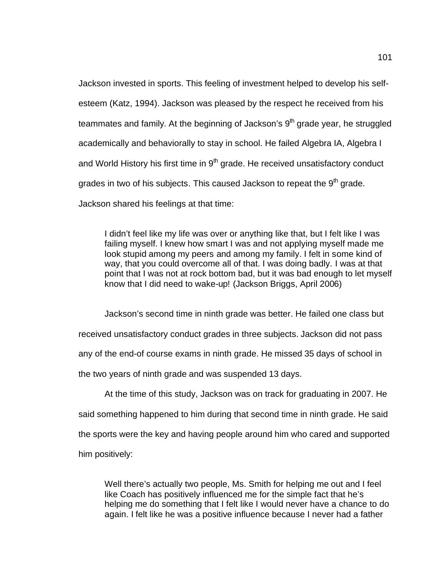Jackson invested in sports. This feeling of investment helped to develop his selfesteem (Katz, 1994). Jackson was pleased by the respect he received from his teammates and family. At the beginning of Jackson's  $9<sup>th</sup>$  grade year, he struggled academically and behaviorally to stay in school. He failed Algebra IA, Algebra I and World History his first time in  $9<sup>th</sup>$  grade. He received unsatisfactory conduct grades in two of his subjects. This caused Jackson to repeat the  $9<sup>th</sup>$  grade. Jackson shared his feelings at that time:

I didn't feel like my life was over or anything like that, but I felt like I was failing myself. I knew how smart I was and not applying myself made me look stupid among my peers and among my family. I felt in some kind of way, that you could overcome all of that. I was doing badly. I was at that point that I was not at rock bottom bad, but it was bad enough to let myself know that I did need to wake-up! (Jackson Briggs, April 2006)

Jackson's second time in ninth grade was better. He failed one class but received unsatisfactory conduct grades in three subjects. Jackson did not pass any of the end-of course exams in ninth grade. He missed 35 days of school in the two years of ninth grade and was suspended 13 days.

At the time of this study, Jackson was on track for graduating in 2007. He said something happened to him during that second time in ninth grade. He said the sports were the key and having people around him who cared and supported him positively:

Well there's actually two people, Ms. Smith for helping me out and I feel like Coach has positively influenced me for the simple fact that he's helping me do something that I felt like I would never have a chance to do again. I felt like he was a positive influence because I never had a father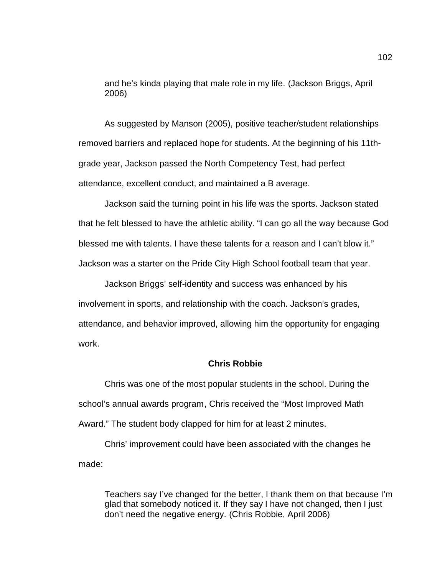and he's kinda playing that male role in my life. (Jackson Briggs, April 2006)

As suggested by Manson (2005), positive teacher/student relationships removed barriers and replaced hope for students. At the beginning of his 11thgrade year, Jackson passed the North Competency Test, had perfect attendance, excellent conduct, and maintained a B average.

Jackson said the turning point in his life was the sports. Jackson stated that he felt blessed to have the athletic ability. "I can go all the way because God blessed me with talents. I have these talents for a reason and I can't blow it." Jackson was a starter on the Pride City High School football team that year.

Jackson Briggs' self-identity and success was enhanced by his involvement in sports, and relationship with the coach. Jackson's grades, attendance, and behavior improved, allowing him the opportunity for engaging work.

## **Chris Robbie**

Chris was one of the most popular students in the school. During the school's annual awards program, Chris received the "Most Improved Math Award." The student body clapped for him for at least 2 minutes.

Chris' improvement could have been associated with the changes he made:

Teachers say I've changed for the better, I thank them on that because I'm glad that somebody noticed it. If they say I have not changed, then I just don't need the negative energy. (Chris Robbie, April 2006)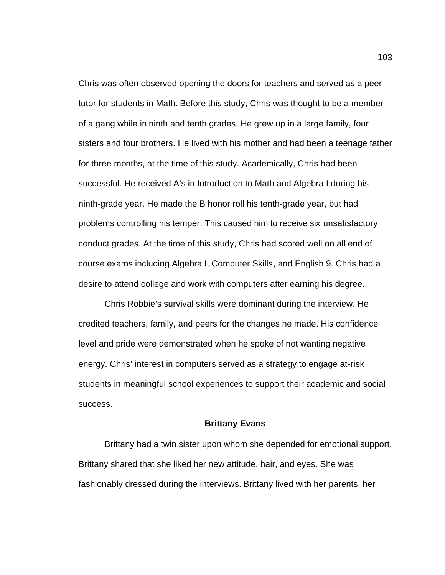Chris was often observed opening the doors for teachers and served as a peer tutor for students in Math. Before this study, Chris was thought to be a member of a gang while in ninth and tenth grades. He grew up in a large family, four sisters and four brothers. He lived with his mother and had been a teenage father for three months, at the time of this study. Academically, Chris had been successful. He received A's in Introduction to Math and Algebra I during his ninth-grade year. He made the B honor roll his tenth-grade year, but had problems controlling his temper. This caused him to receive six unsatisfactory conduct grades. At the time of this study, Chris had scored well on all end of course exams including Algebra I, Computer Skills, and English 9. Chris had a desire to attend college and work with computers after earning his degree.

Chris Robbie's survival skills were dominant during the interview. He credited teachers, family, and peers for the changes he made. His confidence level and pride were demonstrated when he spoke of not wanting negative energy. Chris' interest in computers served as a strategy to engage at-risk students in meaningful school experiences to support their academic and social success.

#### **Brittany Evans**

Brittany had a twin sister upon whom she depended for emotional support. Brittany shared that she liked her new attitude, hair, and eyes. She was fashionably dressed during the interviews. Brittany lived with her parents, her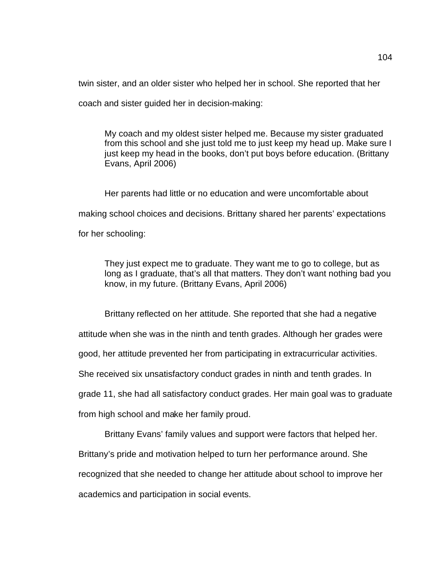twin sister, and an older sister who helped her in school. She reported that her

coach and sister guided her in decision-making:

My coach and my oldest sister helped me. Because my sister graduated from this school and she just told me to just keep my head up. Make sure I just keep my head in the books, don't put boys before education. (Brittany Evans, April 2006)

Her parents had little or no education and were uncomfortable about making school choices and decisions. Brittany shared her parents' expectations for her schooling:

They just expect me to graduate. They want me to go to college, but as long as I graduate, that's all that matters. They don't want nothing bad you know, in my future. (Brittany Evans, April 2006)

Brittany reflected on her attitude. She reported that she had a negative

attitude when she was in the ninth and tenth grades. Although her grades were

good, her attitude prevented her from participating in extracurricular activities.

She received six unsatisfactory conduct grades in ninth and tenth grades. In

grade 11, she had all satisfactory conduct grades. Her main goal was to graduate

from high school and make her family proud.

Brittany Evans' family values and support were factors that helped her.

Brittany's pride and motivation helped to turn her performance around. She

recognized that she needed to change her attitude about school to improve her

academics and participation in social events.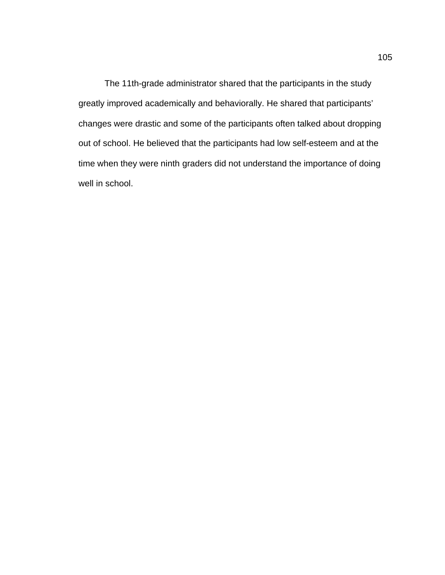The 11th-grade administrator shared that the participants in the study greatly improved academically and behaviorally. He shared that participants' changes were drastic and some of the participants often talked about dropping out of school. He believed that the participants had low self-esteem and at the time when they were ninth graders did not understand the importance of doing well in school.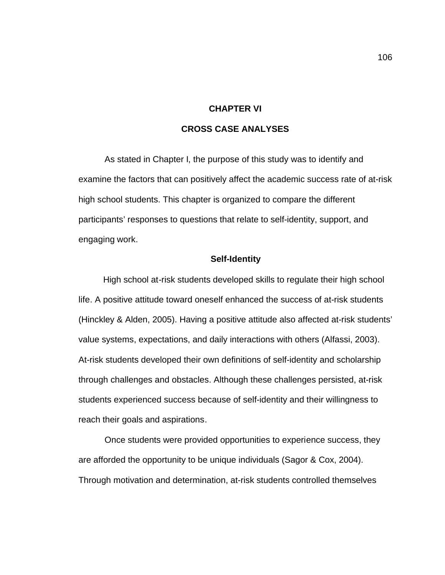#### **CHAPTER VI**

## **CROSS CASE ANALYSES**

As stated in Chapter I, the purpose of this study was to identify and examine the factors that can positively affect the academic success rate of at-risk high school students. This chapter is organized to compare the different participants' responses to questions that relate to self-identity, support, and engaging work.

#### **Self-Identity**

High school at-risk students developed skills to regulate their high school life. A positive attitude toward oneself enhanced the success of at-risk students (Hinckley & Alden, 2005). Having a positive attitude also affected at-risk students' value systems, expectations, and daily interactions with others (Alfassi, 2003). At-risk students developed their own definitions of self-identity and scholarship through challenges and obstacles. Although these challenges persisted, at-risk students experienced success because of self-identity and their willingness to reach their goals and aspirations.

Once students were provided opportunities to experience success, they are afforded the opportunity to be unique individuals (Sagor & Cox, 2004). Through motivation and determination, at-risk students controlled themselves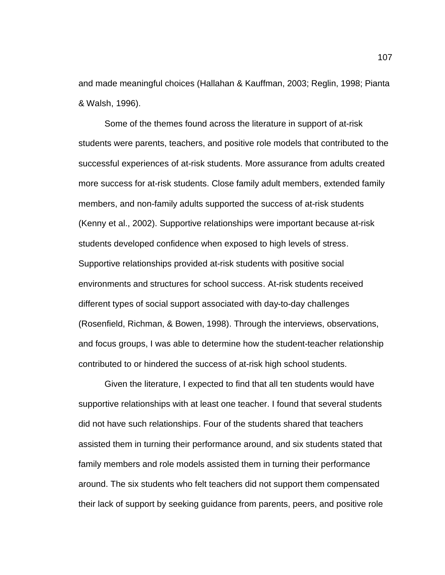and made meaningful choices (Hallahan & Kauffman, 2003; Reglin, 1998; Pianta & Walsh, 1996).

Some of the themes found across the literature in support of at-risk students were parents, teachers, and positive role models that contributed to the successful experiences of at-risk students. More assurance from adults created more success for at-risk students. Close family adult members, extended family members, and non-family adults supported the success of at-risk students (Kenny et al., 2002). Supportive relationships were important because at-risk students developed confidence when exposed to high levels of stress. Supportive relationships provided at-risk students with positive social environments and structures for school success. At-risk students received different types of social support associated with day-to-day challenges (Rosenfield, Richman, & Bowen, 1998). Through the interviews, observations, and focus groups, I was able to determine how the student-teacher relationship contributed to or hindered the success of at-risk high school students.

Given the literature, I expected to find that all ten students would have supportive relationships with at least one teacher. I found that several students did not have such relationships. Four of the students shared that teachers assisted them in turning their performance around, and six students stated that family members and role models assisted them in turning their performance around. The six students who felt teachers did not support them compensated their lack of support by seeking guidance from parents, peers, and positive role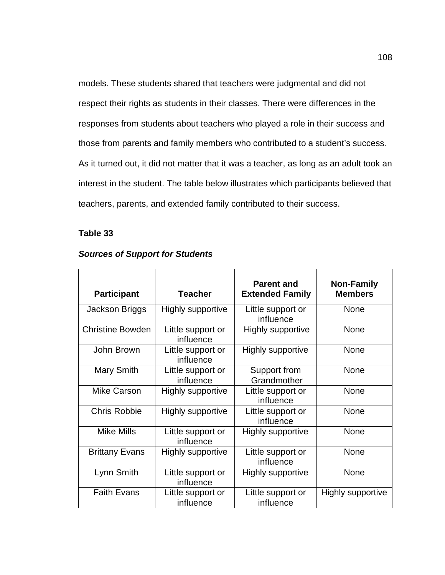models. These students shared that teachers were judgmental and did not respect their rights as students in their classes. There were differences in the responses from students about teachers who played a role in their success and those from parents and family members who contributed to a student's success. As it turned out, it did not matter that it was a teacher, as long as an adult took an interest in the student. The table below illustrates which participants believed that teachers, parents, and extended family contributed to their success.

## **Table 33**

| <b>Participant</b>      | <b>Teacher</b>                 | <b>Parent and</b><br><b>Extended Family</b> | <b>Non-Family</b><br><b>Members</b> |
|-------------------------|--------------------------------|---------------------------------------------|-------------------------------------|
| Jackson Briggs          | Highly supportive              | Little support or<br>influence              | <b>None</b>                         |
| <b>Christine Bowden</b> | Little support or<br>influence | Highly supportive                           | <b>None</b>                         |
| John Brown              | Little support or<br>influence | Highly supportive                           | <b>None</b>                         |
| Mary Smith              | Little support or<br>influence | Support from<br>Grandmother                 | <b>None</b>                         |
| Mike Carson             | Highly supportive              | Little support or<br>influence              | <b>None</b>                         |
| <b>Chris Robbie</b>     | <b>Highly supportive</b>       | Little support or<br>influence              | <b>None</b>                         |
| <b>Mike Mills</b>       | Little support or<br>influence | Highly supportive                           | <b>None</b>                         |
| <b>Brittany Evans</b>   | Highly supportive              | Little support or<br>influence              | <b>None</b>                         |
| Lynn Smith              | Little support or<br>influence | Highly supportive                           | <b>None</b>                         |
| <b>Faith Evans</b>      | Little support or<br>influence | Little support or<br>influence              | Highly supportive                   |

## *Sources of Support for Students*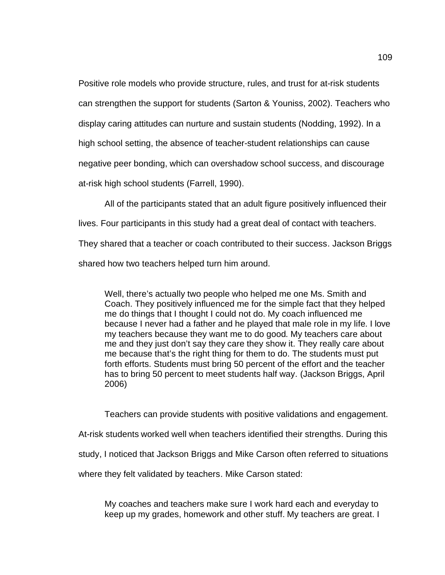Positive role models who provide structure, rules, and trust for at-risk students can strengthen the support for students (Sarton & Youniss, 2002). Teachers who display caring attitudes can nurture and sustain students (Nodding, 1992). In a high school setting, the absence of teacher-student relationships can cause negative peer bonding, which can overshadow school success, and discourage at-risk high school students (Farrell, 1990).

All of the participants stated that an adult figure positively influenced their

lives. Four participants in this study had a great deal of contact with teachers.

They shared that a teacher or coach contributed to their success. Jackson Briggs

shared how two teachers helped turn him around.

Well, there's actually two people who helped me one Ms. Smith and Coach. They positively influenced me for the simple fact that they helped me do things that I thought I could not do. My coach influenced me because I never had a father and he played that male role in my life. I love my teachers because they want me to do good. My teachers care about me and they just don't say they care they show it. They really care about me because that's the right thing for them to do. The students must put forth efforts. Students must bring 50 percent of the effort and the teacher has to bring 50 percent to meet students half way. (Jackson Briggs, April 2006)

Teachers can provide students with positive validations and engagement. At-risk students worked well when teachers identified their strengths. During this study, I noticed that Jackson Briggs and Mike Carson often referred to situations where they felt validated by teachers. Mike Carson stated:

My coaches and teachers make sure I work hard each and everyday to keep up my grades, homework and other stuff. My teachers are great. I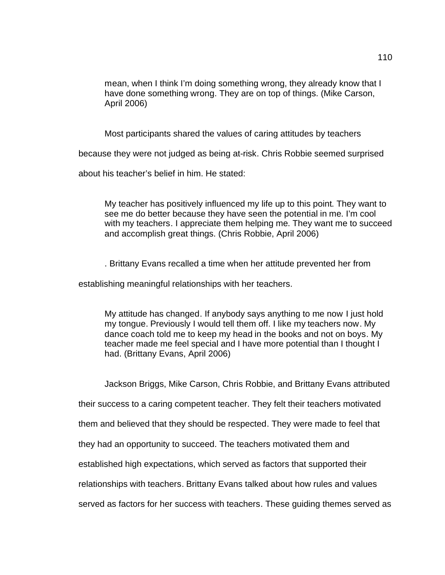mean, when I think I'm doing something wrong, they already know that I have done something wrong. They are on top of things. (Mike Carson, April 2006)

Most participants shared the values of caring attitudes by teachers

because they were not judged as being at-risk. Chris Robbie seemed surprised

about his teacher's belief in him. He stated:

My teacher has positively influenced my life up to this point. They want to see me do better because they have seen the potential in me. I'm cool with my teachers. I appreciate them helping me. They want me to succeed and accomplish great things. (Chris Robbie, April 2006)

. Brittany Evans recalled a time when her attitude prevented her from

establishing meaningful relationships with her teachers.

My attitude has changed. If anybody says anything to me now I just hold my tongue. Previously I would tell them off. I like my teachers now. My dance coach told me to keep my head in the books and not on boys. My teacher made me feel special and I have more potential than I thought I had. (Brittany Evans, April 2006)

Jackson Briggs, Mike Carson, Chris Robbie, and Brittany Evans attributed

their success to a caring competent teacher. They felt their teachers motivated

them and believed that they should be respected. They were made to feel that

they had an opportunity to succeed. The teachers motivated them and

established high expectations, which served as factors that supported their

relationships with teachers. Brittany Evans talked about how rules and values

served as factors for her success with teachers. These guiding themes served as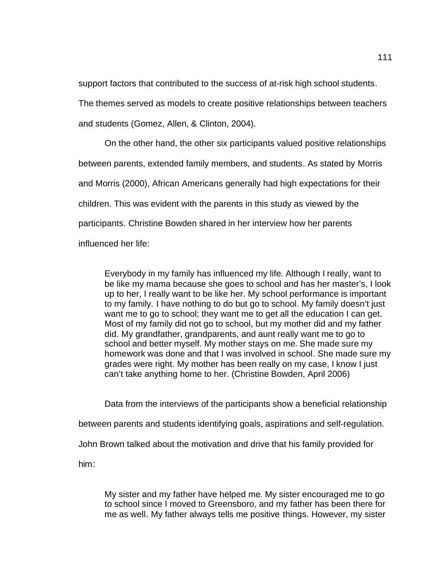support factors that contributed to the success of at-risk high school students.

The themes served as models to create positive relationships between teachers

and students (Gomez, Allen, & Clinton, 2004).

On the other hand, the other six participants valued positive relationships between parents, extended family members, and students. As stated by Morris and Morris (2000), African Americans generally had high expectations for their children. This was evident with the parents in this study as viewed by the participants. Christine Bowden shared in her interview how her parents influenced her life:

Everybody in my family has influenced my life. Although I really, want to be like my mama because she goes to school and has her master's, I look up to her, I really want to be like her. My school performance is important to my family. I have nothing to do but go to school. My family doesn't just want me to go to school; they want me to get all the education I can get. Most of my family did not go to school, but my mother did and my father did. My grandfather, grandparents, and aunt really want me to go to school and better myself. My mother stays on me. She made sure my homework was done and that I was involved in school. She made sure my grades were right. My mother has been really on my case, I know I just can't take anything home to her. (Christine Bowden, April 2006)

Data from the interviews of the participants show a beneficial relationship between parents and students identifying goals, aspirations and self-regulation. John Brown talked about the motivation and drive that his family provided for him:

My sister and my father have helped me. My sister encouraged me to go to school since I moved to Greensboro, and my father has been there for me as well. My father always tells me positive things. However, my sister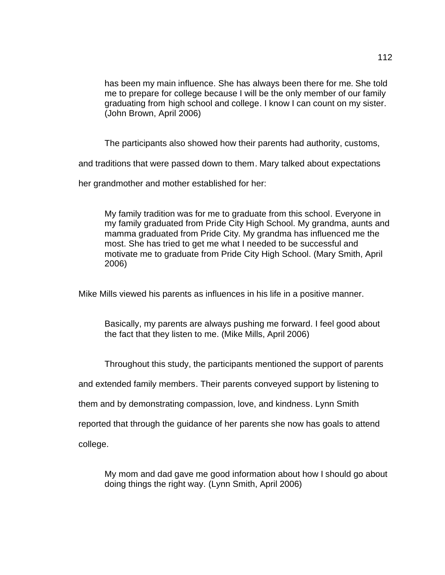has been my main influence. She has always been there for me. She told me to prepare for college because I will be the only member of our family graduating from high school and college. I know I can count on my sister. (John Brown, April 2006)

The participants also showed how their parents had authority, customs,

and traditions that were passed down to them. Mary talked about expectations

her grandmother and mother established for her:

My family tradition was for me to graduate from this school. Everyone in my family graduated from Pride City High School. My grandma, aunts and mamma graduated from Pride City. My grandma has influenced me the most. She has tried to get me what I needed to be successful and motivate me to graduate from Pride City High School. (Mary Smith, April 2006)

Mike Mills viewed his parents as influences in his life in a positive manner.

Basically, my parents are always pushing me forward. I feel good about the fact that they listen to me. (Mike Mills, April 2006)

Throughout this study, the participants mentioned the support of parents

and extended family members. Their parents conveyed support by listening to

them and by demonstrating compassion, love, and kindness. Lynn Smith

reported that through the guidance of her parents she now has goals to attend

college.

My mom and dad gave me good information about how I should go about doing things the right way. (Lynn Smith, April 2006)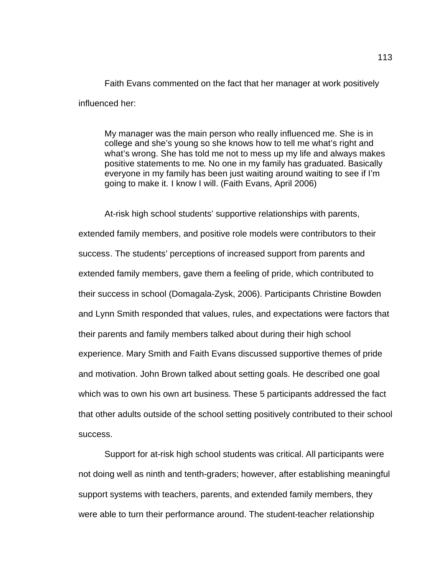Faith Evans commented on the fact that her manager at work positively influenced her:

My manager was the main person who really influenced me. She is in college and she's young so she knows how to tell me what's right and what's wrong. She has told me not to mess up my life and always makes positive statements to me. No one in my family has graduated. Basically everyone in my family has been just waiting around waiting to see if I'm going to make it. I know I will. (Faith Evans, April 2006)

At-risk high school students' supportive relationships with parents, extended family members, and positive role models were contributors to their success. The students' perceptions of increased support from parents and extended family members, gave them a feeling of pride, which contributed to their success in school (Domagala-Zysk, 2006). Participants Christine Bowden and Lynn Smith responded that values, rules, and expectations were factors that their parents and family members talked about during their high school experience. Mary Smith and Faith Evans discussed supportive themes of pride and motivation. John Brown talked about setting goals. He described one goal which was to own his own art business. These 5 participants addressed the fact that other adults outside of the school setting positively contributed to their school success.

Support for at-risk high school students was critical. All participants were not doing well as ninth and tenth-graders; however, after establishing meaningful support systems with teachers, parents, and extended family members, they were able to turn their performance around. The student-teacher relationship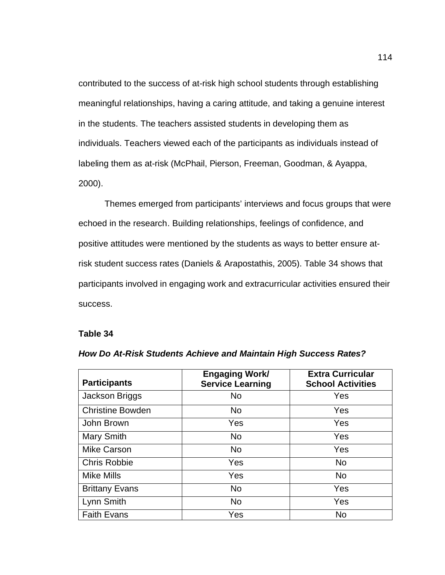contributed to the success of at-risk high school students through establishing meaningful relationships, having a caring attitude, and taking a genuine interest in the students. The teachers assisted students in developing them as individuals. Teachers viewed each of the participants as individuals instead of labeling them as at-risk (McPhail, Pierson, Freeman, Goodman, & Ayappa, 2000).

Themes emerged from participants' interviews and focus groups that were echoed in the research. Building relationships, feelings of confidence, and positive attitudes were mentioned by the students as ways to better ensure atrisk student success rates (Daniels & Arapostathis, 2005). Table 34 shows that participants involved in engaging work and extracurricular activities ensured their success.

#### **Table 34**

| <b>Participants</b>     | <b>Engaging Work/</b><br><b>Service Learning</b> | <b>Extra Curricular</b><br><b>School Activities</b> |
|-------------------------|--------------------------------------------------|-----------------------------------------------------|
| Jackson Briggs          | No                                               | Yes                                                 |
| <b>Christine Bowden</b> | <b>No</b>                                        | Yes                                                 |
| John Brown              | Yes                                              | Yes                                                 |
| Mary Smith              | <b>No</b>                                        | Yes                                                 |
| <b>Mike Carson</b>      | No.                                              | Yes                                                 |
| <b>Chris Robbie</b>     | Yes                                              | <b>No</b>                                           |
| <b>Mike Mills</b>       | Yes                                              | <b>No</b>                                           |
| <b>Brittany Evans</b>   | <b>No</b>                                        | Yes                                                 |
| Lynn Smith              | <b>No</b>                                        | Yes                                                 |
| <b>Faith Evans</b>      | Yes                                              | <b>No</b>                                           |

#### *How Do At-Risk Students Achieve and Maintain High Success Rates?*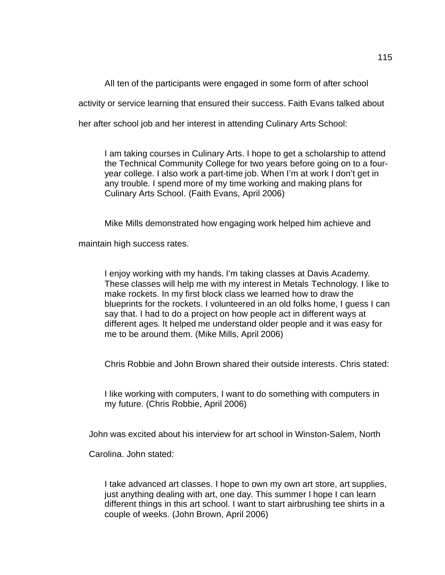All ten of the participants were engaged in some form of after school

activity or service learning that ensured their success. Faith Evans talked about

her after school job and her interest in attending Culinary Arts School:

I am taking courses in Culinary Arts. I hope to get a scholarship to attend the Technical Community College for two years before going on to a fouryear college. I also work a part-time job. When I'm at work I don't get in any trouble. I spend more of my time working and making plans for Culinary Arts School. (Faith Evans, April 2006)

Mike Mills demonstrated how engaging work helped him achieve and

maintain high success rates.

I enjoy working with my hands. I'm taking classes at Davis Academy. These classes will help me with my interest in Metals Technology. I like to make rockets. In my first block class we learned how to draw the blueprints for the rockets. I volunteered in an old folks home, I guess I can say that. I had to do a project on how people act in different ways at different ages. It helped me understand older people and it was easy for me to be around them. (Mike Mills, April 2006)

Chris Robbie and John Brown shared their outside interests. Chris stated:

I like working with computers, I want to do something with computers in my future. (Chris Robbie, April 2006)

John was excited about his interview for art school in Winston-Salem, North

Carolina. John stated:

I take advanced art classes. I hope to own my own art store, art supplies, just anything dealing with art, one day. This summer I hope I can learn different things in this art school. I want to start airbrushing tee shirts in a couple of weeks. (John Brown, April 2006)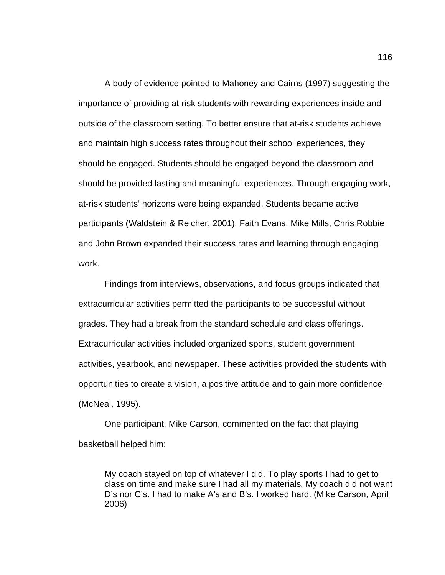A body of evidence pointed to Mahoney and Cairns (1997) suggesting the importance of providing at-risk students with rewarding experiences inside and outside of the classroom setting. To better ensure that at-risk students achieve and maintain high success rates throughout their school experiences, they should be engaged. Students should be engaged beyond the classroom and should be provided lasting and meaningful experiences. Through engaging work, at-risk students' horizons were being expanded. Students became active participants (Waldstein & Reicher, 2001). Faith Evans, Mike Mills, Chris Robbie and John Brown expanded their success rates and learning through engaging work.

Findings from interviews, observations, and focus groups indicated that extracurricular activities permitted the participants to be successful without grades. They had a break from the standard schedule and class offerings. Extracurricular activities included organized sports, student government activities, yearbook, and newspaper. These activities provided the students with opportunities to create a vision, a positive attitude and to gain more confidence (McNeal, 1995).

One participant, Mike Carson, commented on the fact that playing basketball helped him:

My coach stayed on top of whatever I did. To play sports I had to get to class on time and make sure I had all my materials. My coach did not want D's nor C's. I had to make A's and B's. I worked hard. (Mike Carson, April 2006)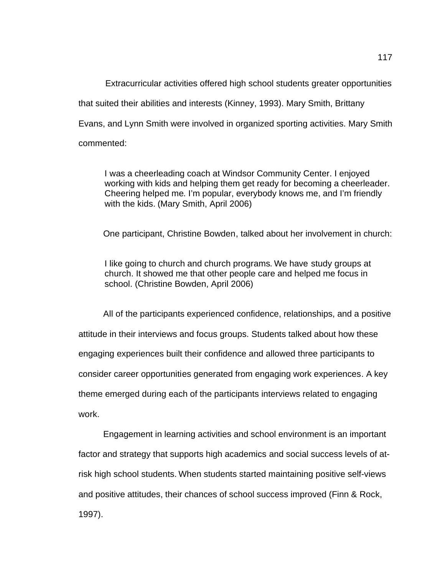Extracurricular activities offered high school students greater opportunities that suited their abilities and interests (Kinney, 1993). Mary Smith, Brittany Evans, and Lynn Smith were involved in organized sporting activities. Mary Smith commented:

I was a cheerleading coach at Windsor Community Center. I enjoyed working with kids and helping them get ready for becoming a cheerleader. Cheering helped me. I'm popular, everybody knows me, and I'm friendly with the kids. (Mary Smith, April 2006)

One participant, Christine Bowden, talked about her involvement in church:

I like going to church and church programs. We have study groups at church. It showed me that other people care and helped me focus in school. (Christine Bowden, April 2006)

All of the participants experienced confidence, relationships, and a positive attitude in their interviews and focus groups. Students talked about how these engaging experiences built their confidence and allowed three participants to consider career opportunities generated from engaging work experiences. A key theme emerged during each of the participants interviews related to engaging work.

Engagement in learning activities and school environment is an important factor and strategy that supports high academics and social success levels of atrisk high school students. When students started maintaining positive self-views and positive attitudes, their chances of school success improved (Finn & Rock, 1997).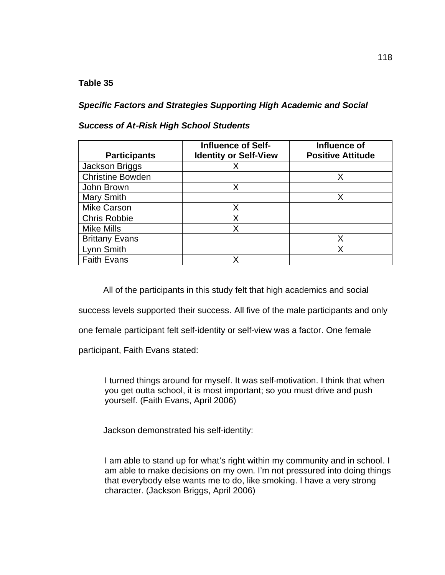## **Table 35**

*Specific Factors and Strategies Supporting High Academic and Social* 

## *Success of At-Risk High School Students*

| <b>Participants</b>     | <b>Influence of Self-</b><br><b>Identity or Self-View</b> | Influence of<br><b>Positive Attitude</b> |
|-------------------------|-----------------------------------------------------------|------------------------------------------|
| Jackson Briggs          |                                                           |                                          |
| <b>Christine Bowden</b> |                                                           | Χ                                        |
| John Brown              |                                                           |                                          |
| <b>Mary Smith</b>       |                                                           |                                          |
| <b>Mike Carson</b>      | Χ                                                         |                                          |
| <b>Chris Robbie</b>     | Χ                                                         |                                          |
| <b>Mike Mills</b>       | Χ                                                         |                                          |
| <b>Brittany Evans</b>   |                                                           | Χ                                        |
| Lynn Smith              |                                                           | x                                        |
| <b>Faith Evans</b>      |                                                           |                                          |

All of the participants in this study felt that high academics and social

success levels supported their success. All five of the male participants and only

one female participant felt self-identity or self-view was a factor. One female

participant, Faith Evans stated:

I turned things around for myself. It was self-motivation. I think that when you get outta school, it is most important; so you must drive and push yourself. (Faith Evans, April 2006)

Jackson demonstrated his self-identity:

I am able to stand up for what's right within my community and in school. I am able to make decisions on my own. I'm not pressured into doing things that everybody else wants me to do, like smoking. I have a very strong character. (Jackson Briggs, April 2006)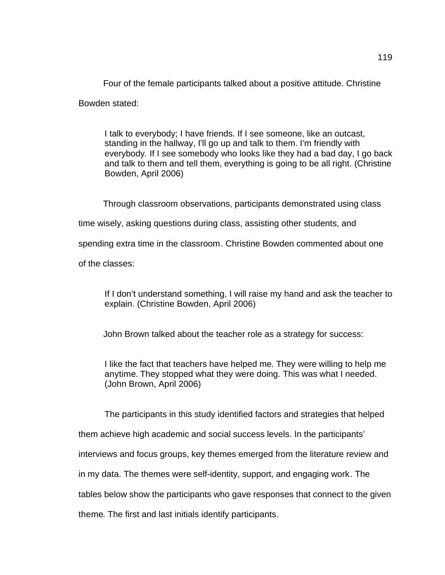Four of the female participants talked about a positive attitude. Christine

Bowden stated:

I talk to everybody; I have friends. If I see someone, like an outcast, standing in the hallway, I'll go up and talk to them. I'm friendly with everybody. If I see somebody who looks like they had a bad day, I go back and talk to them and tell them, everything is going to be all right. (Christine Bowden, April 2006)

Through classroom observations, participants demonstrated using class

time wisely, asking questions during class, assisting other students, and

spending extra time in the classroom. Christine Bowden commented about one

of the classes:

If I don't understand something, I will raise my hand and ask the teacher to explain. (Christine Bowden, April 2006)

John Brown talked about the teacher role as a strategy for success:

I like the fact that teachers have helped me. They were willing to help me anytime. They stopped what they were doing. This was what I needed. (John Brown, April 2006)

The participants in this study identified factors and strategies that helped

them achieve high academic and social success levels. In the participants'

interviews and focus groups, key themes emerged from the literature review and

in my data. The themes were self-identity, support, and engaging work. The

tables below show the participants who gave responses that connect to the given

theme. The first and last initials identify participants.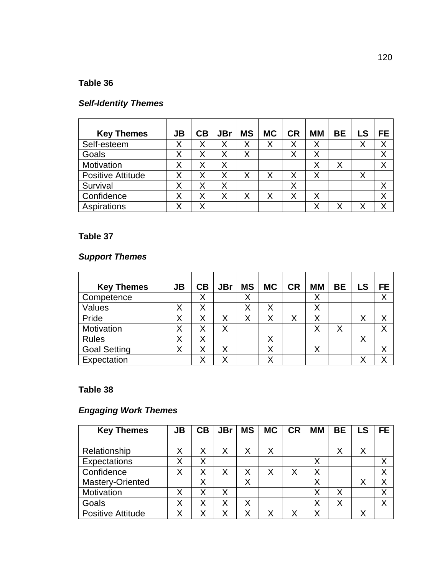## **Table 36**

## *Self-Identity Themes*

| <b>Key Themes</b>        | <b>JB</b> | CB | <b>JBr</b> | <b>MS</b> | <b>MC</b> | <b>CR</b> | <b>MM</b> | <b>BE</b> | LS | FE |
|--------------------------|-----------|----|------------|-----------|-----------|-----------|-----------|-----------|----|----|
| Self-esteem              | Χ         | Χ  | Χ          | Χ         | Χ         |           | X         |           |    | Χ  |
| Goals                    | Χ         | Χ  | Χ          | Χ         |           | Χ         | Χ         |           |    | Χ  |
| Motivation               | Χ         | Χ  | Χ          |           |           |           | Χ         | Χ         |    | Χ  |
| <b>Positive Attitude</b> | Χ         | Χ  | X          | Χ         | Χ         | Χ         | Χ         |           | Χ  |    |
| Survival                 | Χ         | Χ  | Χ          |           |           | Χ         |           |           |    | Χ  |
| Confidence               | Χ         | Χ  | Χ          | Χ         | Χ         | ∨         | Χ         |           |    | Χ  |
| Aspirations              |           |    |            |           |           |           | Χ         | Χ         |    | Х  |

## **Table 37**

## *Support Themes*

| <b>Key Themes</b>   | <b>JB</b> | CB | <b>JBr</b> | <b>MS</b> | <b>MC</b> | <b>CR</b> | <b>MM</b> | <b>BE</b> | LS | <b>FE</b> |
|---------------------|-----------|----|------------|-----------|-----------|-----------|-----------|-----------|----|-----------|
| Competence          |           | Χ  |            | Χ         |           |           | Χ         |           |    | Χ         |
| Values              | Χ         | Χ  |            | Χ         | Χ         |           | Χ         |           |    |           |
| Pride               | Χ         | Χ  | Χ          | Χ         | Χ         | Χ         | Χ         |           | Χ  | Χ         |
| Motivation          | Χ         | Χ  | Χ          |           |           |           | Χ         | Χ         |    | Χ         |
| <b>Rules</b>        | Χ         | Χ  |            |           | Χ         |           |           |           | v  |           |
| <b>Goal Setting</b> | Χ         | Χ  | Χ          |           | Χ         |           | Χ         |           |    | Χ         |
| Expectation         |           | v  | Χ          |           | v         |           |           |           |    | ◡         |

## **Table 38**

## *Engaging Work Themes*

| <b>Key Themes</b>        | <b>JB</b> | CB | <b>JBr</b> | <b>MS</b> | <b>MC</b> | <b>CR</b> | MМ | <b>BE</b> | <b>LS</b> | <b>FE</b>   |
|--------------------------|-----------|----|------------|-----------|-----------|-----------|----|-----------|-----------|-------------|
|                          |           |    |            |           |           |           |    |           |           |             |
| Relationship             | Χ         | Χ  | Χ          | Χ         | Χ         |           |    | Χ         | Χ         |             |
| Expectations             | Χ         | Χ  |            |           |           |           | Χ  |           |           |             |
| Confidence               | Χ         | Χ  | Χ          | Χ         | Χ         | Χ         | X  |           |           | Χ           |
| Mastery-Oriented         |           | Χ  |            | Χ         |           |           | X  |           |           | Χ           |
| Motivation               | Χ         | Χ  | Χ          |           |           |           | Χ  | Χ         |           | Χ           |
| Goals                    | Χ         | Χ  | Χ          | Χ         |           |           | Χ  | Χ         |           | $\check{ }$ |
| <b>Positive Attitude</b> | Χ         | Χ  |            | Χ         | Χ         |           | Χ  |           |           |             |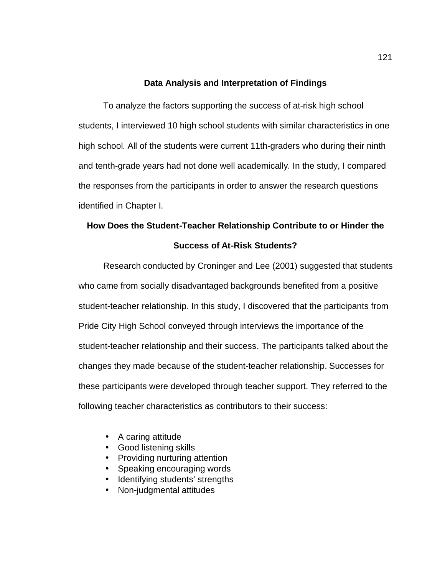## **Data Analysis and Interpretation of Findings**

To analyze the factors supporting the success of at-risk high school students, I interviewed 10 high school students with similar characteristics in one high school. All of the students were current 11th-graders who during their ninth and tenth-grade years had not done well academically. In the study, I compared the responses from the participants in order to answer the research questions identified in Chapter I.

# **How Does the Student-Teacher Relationship Contribute to or Hinder the Success of At-Risk Students?**

Research conducted by Croninger and Lee (2001) suggested that students who came from socially disadvantaged backgrounds benefited from a positive student-teacher relationship. In this study, I discovered that the participants from Pride City High School conveyed through interviews the importance of the student-teacher relationship and their success. The participants talked about the changes they made because of the student-teacher relationship. Successes for these participants were developed through teacher support. They referred to the following teacher characteristics as contributors to their success:

- A caring attitude
- Good listening skills
- Providing nurturing attention
- Speaking encouraging words
- Identifying students' strengths
- Non-judgmental attitudes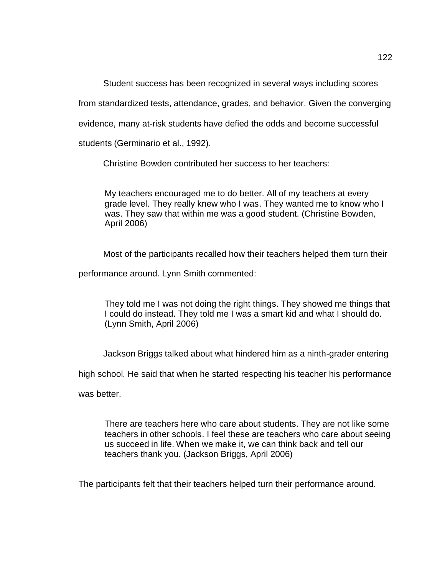Student success has been recognized in several ways including scores

from standardized tests, attendance, grades, and behavior. Given the converging

evidence, many at-risk students have defied the odds and become successful

students (Germinario et al., 1992).

Christine Bowden contributed her success to her teachers:

My teachers encouraged me to do better. All of my teachers at every grade level. They really knew who I was. They wanted me to know who I was. They saw that within me was a good student. (Christine Bowden, April 2006)

Most of the participants recalled how their teachers helped them turn their

performance around. Lynn Smith commented:

They told me I was not doing the right things. They showed me things that I could do instead. They told me I was a smart kid and what I should do. (Lynn Smith, April 2006)

Jackson Briggs talked about what hindered him as a ninth-grader entering

high school. He said that when he started respecting his teacher his performance

was better.

There are teachers here who care about students. They are not like some teachers in other schools. I feel these are teachers who care about seeing us succeed in life. When we make it, we can think back and tell our teachers thank you. (Jackson Briggs, April 2006)

The participants felt that their teachers helped turn their performance around.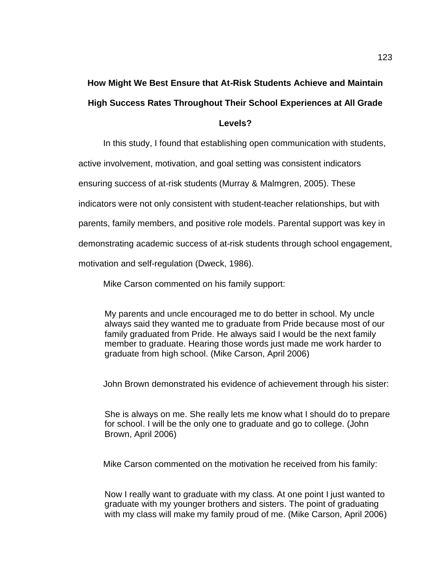# **How Might We Best Ensure that At-Risk Students Achieve and Maintain High Success Rates Throughout Their School Experiences at All Grade**

## **Levels?**

In this study, I found that establishing open communication with students,

active involvement, motivation, and goal setting was consistent indicators

ensuring success of at-risk students (Murray & Malmgren, 2005). These

indicators were not only consistent with student-teacher relationships, but with

parents, family members, and positive role models. Parental support was key in

demonstrating academic success of at-risk students through school engagement,

motivation and self-regulation (Dweck, 1986).

Mike Carson commented on his family support:

My parents and uncle encouraged me to do better in school. My uncle always said they wanted me to graduate from Pride because most of our family graduated from Pride. He always said I would be the next family member to graduate. Hearing those words just made me work harder to graduate from high school. (Mike Carson, April 2006)

John Brown demonstrated his evidence of achievement through his sister:

She is always on me. She really lets me know what I should do to prepare for school. I will be the only one to graduate and go to college. (John Brown, April 2006)

Mike Carson commented on the motivation he received from his family:

Now I really want to graduate with my class. At one point I just wanted to graduate with my younger brothers and sisters. The point of graduating with my class will make my family proud of me. (Mike Carson, April 2006)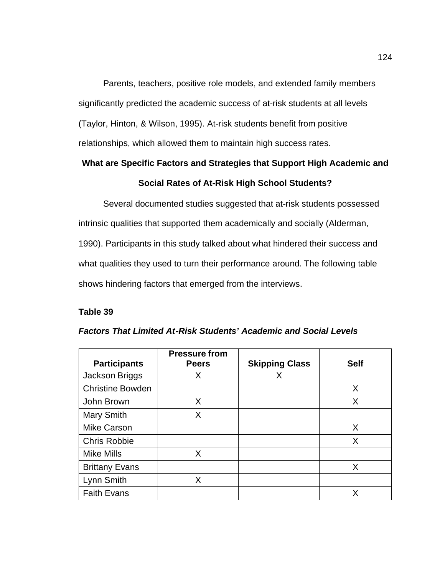Parents, teachers, positive role models, and extended family members significantly predicted the academic success of at-risk students at all levels (Taylor, Hinton, & Wilson, 1995). At-risk students benefit from positive relationships, which allowed them to maintain high success rates.

# **What are Specific Factors and Strategies that Support High Academic and Social Rates of At-Risk High School Students?**

Several documented studies suggested that at-risk students possessed intrinsic qualities that supported them academically and socially (Alderman, 1990). Participants in this study talked about what hindered their success and what qualities they used to turn their performance around. The following table shows hindering factors that emerged from the interviews.

## **Table 39**

|                         | <b>Pressure from</b> |                       |             |
|-------------------------|----------------------|-----------------------|-------------|
| <b>Participants</b>     | <b>Peers</b>         | <b>Skipping Class</b> | <b>Self</b> |
| Jackson Briggs          | X                    | X                     |             |
| <b>Christine Bowden</b> |                      |                       | X           |
| John Brown              | X                    |                       | X           |
| Mary Smith              | X                    |                       |             |
| <b>Mike Carson</b>      |                      |                       | X           |
| <b>Chris Robbie</b>     |                      |                       | X           |
| <b>Mike Mills</b>       | X                    |                       |             |
| <b>Brittany Evans</b>   |                      |                       | X           |
| Lynn Smith              | Χ                    |                       |             |
| <b>Faith Evans</b>      |                      |                       | X           |

## *Factors That Limited At-Risk Students' Academic and Social Levels*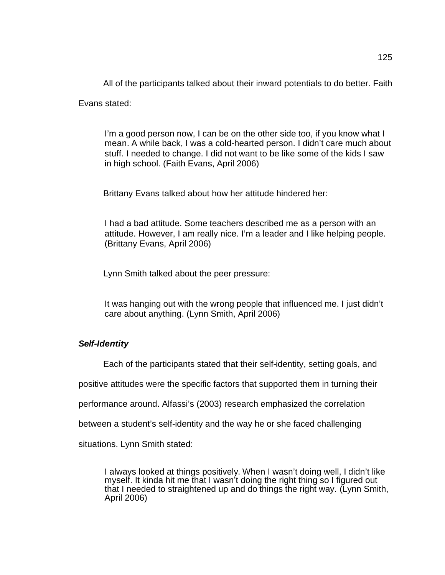All of the participants talked about their inward potentials to do better. Faith

Evans stated:

I'm a good person now, I can be on the other side too, if you know what I mean. A while back, I was a cold-hearted person. I didn't care much about stuff. I needed to change. I did not want to be like some of the kids I saw in high school. (Faith Evans, April 2006)

Brittany Evans talked about how her attitude hindered her:

I had a bad attitude. Some teachers described me as a person with an attitude. However, I am really nice. I'm a leader and I like helping people. (Brittany Evans, April 2006)

Lynn Smith talked about the peer pressure:

It was hanging out with the wrong people that influenced me. I just didn't care about anything. (Lynn Smith, April 2006)

## *Self-Identity*

Each of the participants stated that their self-identity, setting goals, and

positive attitudes were the specific factors that supported them in turning their

performance around. Alfassi's (2003) research emphasized the correlation

between a student's self-identity and the way he or she faced challenging

situations. Lynn Smith stated:

I always looked at things positively. When I wasn't doing well, I didn't like myself. It kinda hit me that I wasn't doing the right thing so I figured out that I needed to straightened up and do things the right way. (Lynn Smith, April 2006)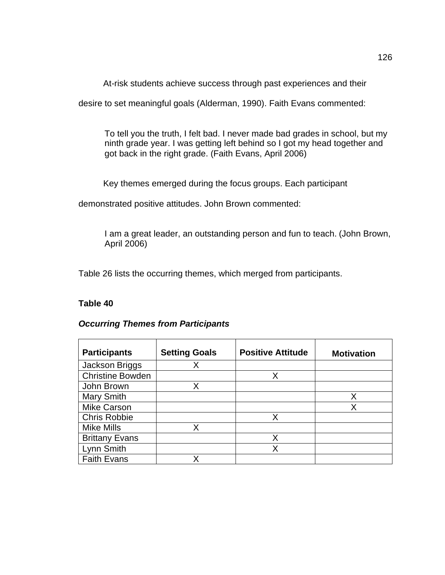At-risk students achieve success through past experiences and their

desire to set meaningful goals (Alderman, 1990). Faith Evans commented:

To tell you the truth, I felt bad. I never made bad grades in school, but my ninth grade year. I was getting left behind so I got my head together and got back in the right grade. (Faith Evans, April 2006)

Key themes emerged during the focus groups. Each participant

demonstrated positive attitudes. John Brown commented:

I am a great leader, an outstanding person and fun to teach. (John Brown, April 2006)

Table 26 lists the occurring themes, which merged from participants.

## **Table 40**

| <b>Occurring Themes from Participants</b> |  |  |
|-------------------------------------------|--|--|
|                                           |  |  |

| <b>Participants</b>     | <b>Setting Goals</b> | <b>Positive Attitude</b> | <b>Motivation</b> |
|-------------------------|----------------------|--------------------------|-------------------|
| Jackson Briggs          | Х                    |                          |                   |
| <b>Christine Bowden</b> |                      | X                        |                   |
| John Brown              | Χ                    |                          |                   |
| Mary Smith              |                      |                          | Χ                 |
| <b>Mike Carson</b>      |                      |                          |                   |
| <b>Chris Robbie</b>     |                      | x                        |                   |
| <b>Mike Mills</b>       | X                    |                          |                   |
| <b>Brittany Evans</b>   |                      | Χ                        |                   |
| Lynn Smith              |                      | x                        |                   |
| <b>Faith Evans</b>      | x                    |                          |                   |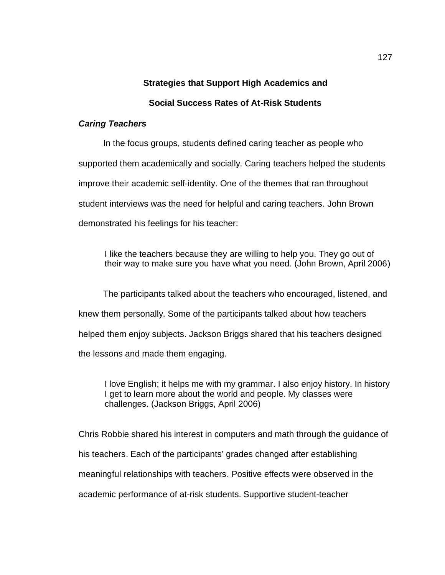## **Strategies that Support High Academics and**

## **Social Success Rates of At-Risk Students**

#### *Caring Teachers*

In the focus groups, students defined caring teacher as people who supported them academically and socially. Caring teachers helped the students improve their academic self-identity. One of the themes that ran throughout student interviews was the need for helpful and caring teachers. John Brown demonstrated his feelings for his teacher:

I like the teachers because they are willing to help you. They go out of their way to make sure you have what you need. (John Brown, April 2006)

The participants talked about the teachers who encouraged, listened, and knew them personally. Some of the participants talked about how teachers helped them enjoy subjects. Jackson Briggs shared that his teachers designed the lessons and made them engaging.

I love English; it helps me with my grammar. I also enjoy history. In history I get to learn more about the world and people. My classes were challenges. (Jackson Briggs, April 2006)

Chris Robbie shared his interest in computers and math through the guidance of his teachers. Each of the participants' grades changed after establishing meaningful relationships with teachers. Positive effects were observed in the academic performance of at-risk students. Supportive student-teacher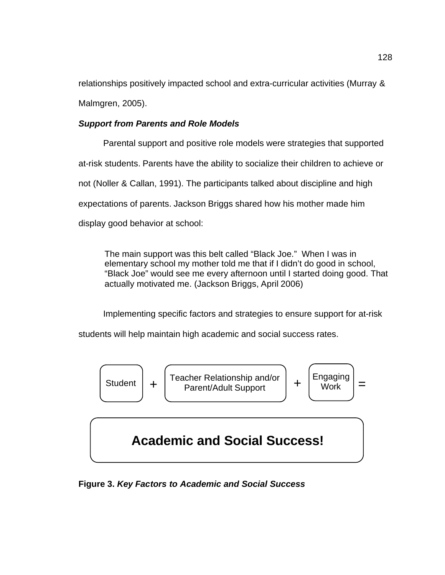relationships positively impacted school and extra-curricular activities (Murray & Malmgren, 2005).

## *Support from Parents and Role Models*

Parental support and positive role models were strategies that supported at-risk students. Parents have the ability to socialize their children to achieve or not (Noller & Callan, 1991). The participants talked about discipline and high expectations of parents. Jackson Briggs shared how his mother made him display good behavior at school:

The main support was this belt called "Black Joe." When I was in elementary school my mother told me that if I didn't do good in school, "Black Joe" would see me every afternoon until I started doing good. That actually motivated me. (Jackson Briggs, April 2006)

Implementing specific factors and strategies to ensure support for at-risk

students will help maintain high academic and social success rates.



**Figure 3.** *Key Factors to Academic and Social Success*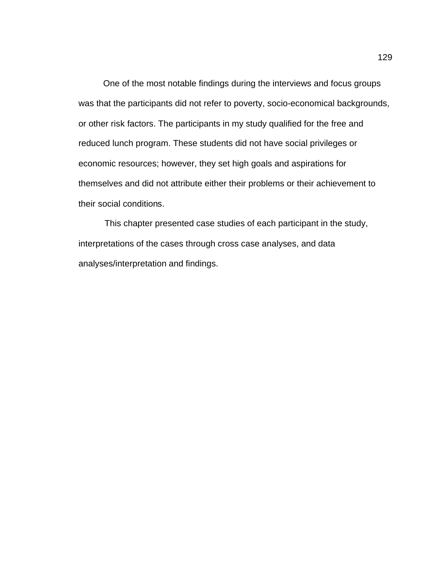One of the most notable findings during the interviews and focus groups was that the participants did not refer to poverty, socio-economical backgrounds, or other risk factors. The participants in my study qualified for the free and reduced lunch program. These students did not have social privileges or economic resources; however, they set high goals and aspirations for themselves and did not attribute either their problems or their achievement to their social conditions.

This chapter presented case studies of each participant in the study, interpretations of the cases through cross case analyses, and data analyses/interpretation and findings.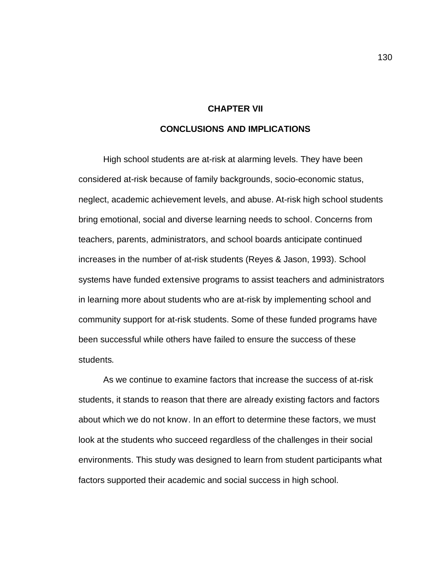#### **CHAPTER VII**

### **CONCLUSIONS AND IMPLICATIONS**

High school students are at-risk at alarming levels. They have been considered at-risk because of family backgrounds, socio-economic status, neglect, academic achievement levels, and abuse. At-risk high school students bring emotional, social and diverse learning needs to school. Concerns from teachers, parents, administrators, and school boards anticipate continued increases in the number of at-risk students (Reyes & Jason, 1993). School systems have funded extensive programs to assist teachers and administrators in learning more about students who are at-risk by implementing school and community support for at-risk students. Some of these funded programs have been successful while others have failed to ensure the success of these students.

As we continue to examine factors that increase the success of at-risk students, it stands to reason that there are already existing factors and factors about which we do not know. In an effort to determine these factors, we must look at the students who succeed regardless of the challenges in their social environments. This study was designed to learn from student participants what factors supported their academic and social success in high school.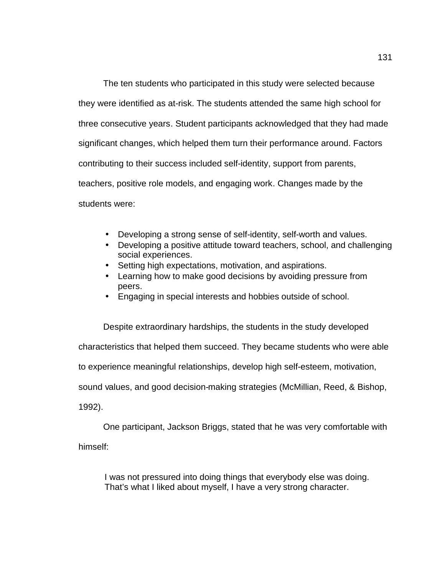The ten students who participated in this study were selected because they were identified as at-risk. The students attended the same high school for three consecutive years. Student participants acknowledged that they had made significant changes, which helped them turn their performance around. Factors contributing to their success included self-identity, support from parents, teachers, positive role models, and engaging work. Changes made by the students were:

- Developing a strong sense of self-identity, self-worth and values.
- Developing a positive attitude toward teachers, school, and challenging social experiences.
- Setting high expectations, motivation, and aspirations.
- Learning how to make good decisions by avoiding pressure from peers.
- Engaging in special interests and hobbies outside of school.

Despite extraordinary hardships, the students in the study developed characteristics that helped them succeed. They became students who were able to experience meaningful relationships, develop high self-esteem, motivation, sound values, and good decision-making strategies (McMillian, Reed, & Bishop, 1992).

One participant, Jackson Briggs, stated that he was very comfortable with himself:

I was not pressured into doing things that everybody else was doing. That's what I liked about myself, I have a very strong character.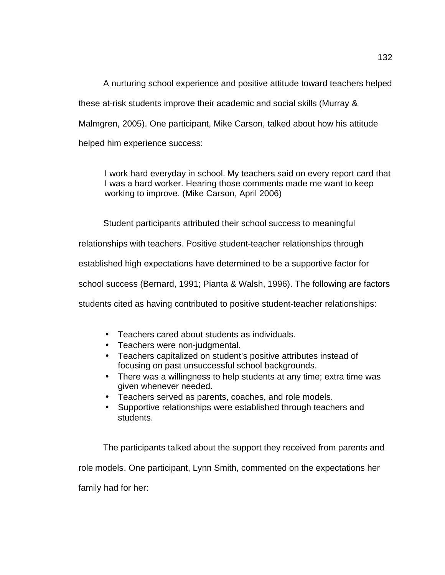A nurturing school experience and positive attitude toward teachers helped these at-risk students improve their academic and social skills (Murray & Malmgren, 2005). One participant, Mike Carson, talked about how his attitude helped him experience success:

I work hard everyday in school. My teachers said on every report card that I was a hard worker. Hearing those comments made me want to keep working to improve. (Mike Carson, April 2006)

Student participants attributed their school success to meaningful

relationships with teachers. Positive student-teacher relationships through

established high expectations have determined to be a supportive factor for

school success (Bernard, 1991; Pianta & Walsh, 1996). The following are factors

students cited as having contributed to positive student-teacher relationships:

- Teachers cared about students as individuals.
- Teachers were non-judgmental.
- Teachers capitalized on student's positive attributes instead of focusing on past unsuccessful school backgrounds.
- There was a willingness to help students at any time; extra time was given whenever needed.
- Teachers served as parents, coaches, and role models.
- Supportive relationships were established through teachers and students.

The participants talked about the support they received from parents and role models. One participant, Lynn Smith, commented on the expectations her family had for her: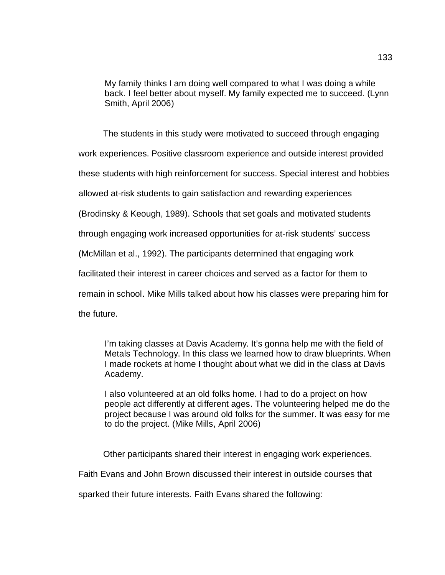My family thinks I am doing well compared to what I was doing a while back. I feel better about myself. My family expected me to succeed. (Lynn Smith, April 2006)

The students in this study were motivated to succeed through engaging

work experiences. Positive classroom experience and outside interest provided

these students with high reinforcement for success. Special interest and hobbies

allowed at-risk students to gain satisfaction and rewarding experiences

(Brodinsky & Keough, 1989). Schools that set goals and motivated students

through engaging work increased opportunities for at-risk students' success

(McMillan et al., 1992). The participants determined that engaging work

facilitated their interest in career choices and served as a factor for them to

remain in school. Mike Mills talked about how his classes were preparing him for

the future.

I'm taking classes at Davis Academy. It's gonna help me with the field of Metals Technology. In this class we learned how to draw blueprints. When I made rockets at home I thought about what we did in the class at Davis Academy.

I also volunteered at an old folks home. I had to do a project on how people act differently at different ages. The volunteering helped me do the project because I was around old folks for the summer. It was easy for me to do the project. (Mike Mills, April 2006)

Other participants shared their interest in engaging work experiences.

Faith Evans and John Brown discussed their interest in outside courses that

sparked their future interests. Faith Evans shared the following: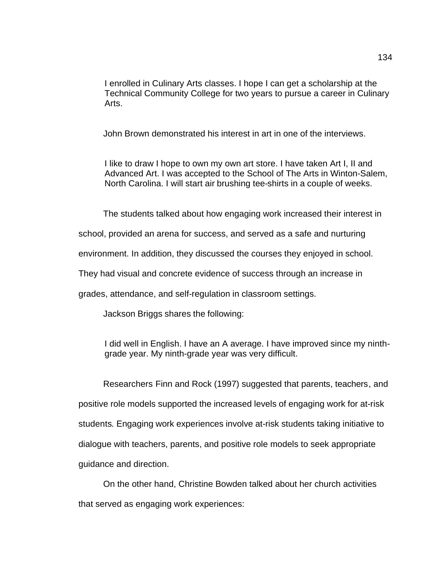I enrolled in Culinary Arts classes. I hope I can get a scholarship at the Technical Community College for two years to pursue a career in Culinary Arts.

John Brown demonstrated his interest in art in one of the interviews.

I like to draw I hope to own my own art store. I have taken Art I, II and Advanced Art. I was accepted to the School of The Arts in Winton-Salem, North Carolina. I will start air brushing tee-shirts in a couple of weeks.

The students talked about how engaging work increased their interest in

school, provided an arena for success, and served as a safe and nurturing

environment. In addition, they discussed the courses they enjoyed in school.

They had visual and concrete evidence of success through an increase in

grades, attendance, and self-regulation in classroom settings.

Jackson Briggs shares the following:

I did well in English. I have an A average. I have improved since my ninthgrade year. My ninth-grade year was very difficult.

Researchers Finn and Rock (1997) suggested that parents, teachers, and positive role models supported the increased levels of engaging work for at-risk students. Engaging work experiences involve at-risk students taking initiative to dialogue with teachers, parents, and positive role models to seek appropriate guidance and direction.

On the other hand, Christine Bowden talked about her church activities that served as engaging work experiences: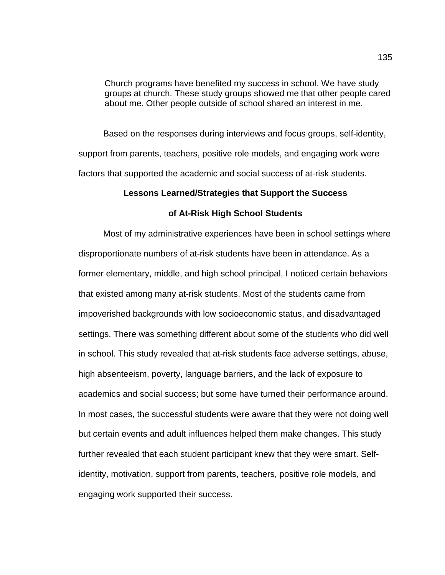Church programs have benefited my success in school. We have study groups at church. These study groups showed me that other people cared about me. Other people outside of school shared an interest in me.

Based on the responses during interviews and focus groups, self-identity, support from parents, teachers, positive role models, and engaging work were factors that supported the academic and social success of at-risk students.

#### **Lessons Learned/Strategies that Support the Success**

#### **of At-Risk High School Students**

Most of my administrative experiences have been in school settings where disproportionate numbers of at-risk students have been in attendance. As a former elementary, middle, and high school principal, I noticed certain behaviors that existed among many at-risk students. Most of the students came from impoverished backgrounds with low socioeconomic status, and disadvantaged settings. There was something different about some of the students who did well in school. This study revealed that at-risk students face adverse settings, abuse, high absenteeism, poverty, language barriers, and the lack of exposure to academics and social success; but some have turned their performance around. In most cases, the successful students were aware that they were not doing well but certain events and adult influences helped them make changes. This study further revealed that each student participant knew that they were smart. Selfidentity, motivation, support from parents, teachers, positive role models, and engaging work supported their success.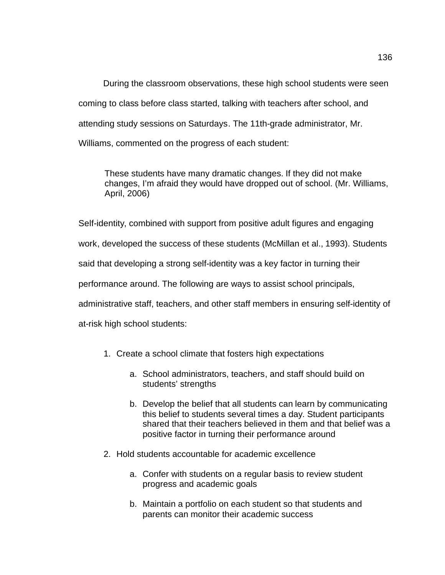During the classroom observations, these high school students were seen coming to class before class started, talking with teachers after school, and attending study sessions on Saturdays. The 11th-grade administrator, Mr. Williams, commented on the progress of each student:

These students have many dramatic changes. If they did not make changes, I'm afraid they would have dropped out of school. (Mr. Williams, April, 2006)

Self-identity, combined with support from positive adult figures and engaging work, developed the success of these students (McMillan et al., 1993). Students said that developing a strong self-identity was a key factor in turning their performance around. The following are ways to assist school principals, administrative staff, teachers, and other staff members in ensuring self-identity of at-risk high school students:

- 1. Create a school climate that fosters high expectations
	- a. School administrators, teachers, and staff should build on students' strengths
	- b. Develop the belief that all students can learn by communicating this belief to students several times a day. Student participants shared that their teachers believed in them and that belief was a positive factor in turning their performance around
- 2. Hold students accountable for academic excellence
	- a. Confer with students on a regular basis to review student progress and academic goals
	- b. Maintain a portfolio on each student so that students and parents can monitor their academic success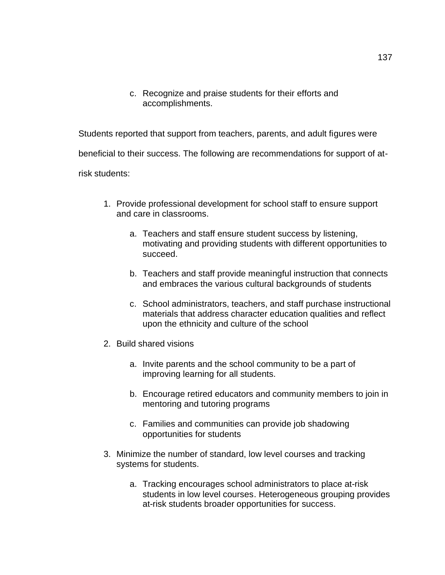c. Recognize and praise students for their efforts and accomplishments.

Students reported that support from teachers, parents, and adult figures were

beneficial to their success. The following are recommendations for support of at-

risk students:

- 1. Provide professional development for school staff to ensure support and care in classrooms.
	- a. Teachers and staff ensure student success by listening, motivating and providing students with different opportunities to succeed.
	- b. Teachers and staff provide meaningful instruction that connects and embraces the various cultural backgrounds of students
	- c. School administrators, teachers, and staff purchase instructional materials that address character education qualities and reflect upon the ethnicity and culture of the school
- 2. Build shared visions
	- a. Invite parents and the school community to be a part of improving learning for all students.
	- b. Encourage retired educators and community members to join in mentoring and tutoring programs
	- c. Families and communities can provide job shadowing opportunities for students
- 3. Minimize the number of standard, low level courses and tracking systems for students.
	- a. Tracking encourages school administrators to place at-risk students in low level courses. Heterogeneous grouping provides at-risk students broader opportunities for success.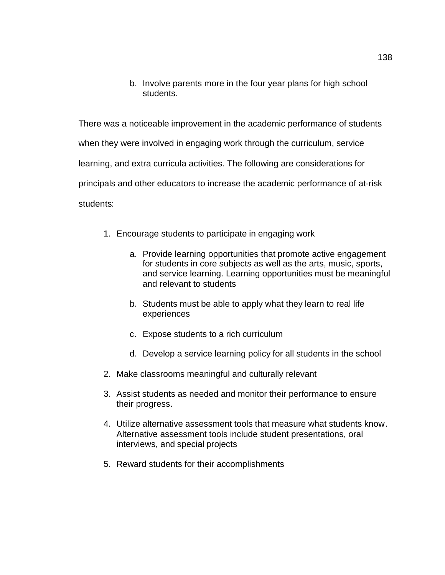b. Involve parents more in the four year plans for high school students.

There was a noticeable improvement in the academic performance of students when they were involved in engaging work through the curriculum, service learning, and extra curricula activities. The following are considerations for principals and other educators to increase the academic performance of at-risk students:

- 1. Encourage students to participate in engaging work
	- a. Provide learning opportunities that promote active engagement for students in core subjects as well as the arts, music, sports, and service learning. Learning opportunities must be meaningful and relevant to students
	- b. Students must be able to apply what they learn to real life experiences
	- c. Expose students to a rich curriculum
	- d. Develop a service learning policy for all students in the school
- 2. Make classrooms meaningful and culturally relevant
- 3. Assist students as needed and monitor their performance to ensure their progress.
- 4. Utilize alternative assessment tools that measure what students know. Alternative assessment tools include student presentations, oral interviews, and special projects
- 5. Reward students for their accomplishments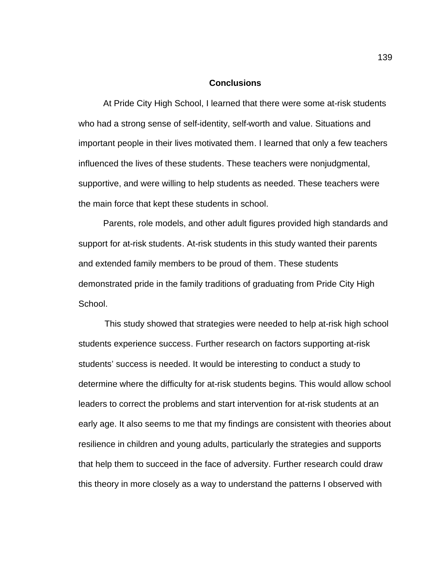#### **Conclusions**

At Pride City High School, I learned that there were some at-risk students who had a strong sense of self-identity, self-worth and value. Situations and important people in their lives motivated them. I learned that only a few teachers influenced the lives of these students. These teachers were nonjudgmental, supportive, and were willing to help students as needed. These teachers were the main force that kept these students in school.

Parents, role models, and other adult figures provided high standards and support for at-risk students. At-risk students in this study wanted their parents and extended family members to be proud of them. These students demonstrated pride in the family traditions of graduating from Pride City High School.

This study showed that strategies were needed to help at-risk high school students experience success. Further research on factors supporting at-risk students' success is needed. It would be interesting to conduct a study to determine where the difficulty for at-risk students begins. This would allow school leaders to correct the problems and start intervention for at-risk students at an early age. It also seems to me that my findings are consistent with theories about resilience in children and young adults, particularly the strategies and supports that help them to succeed in the face of adversity. Further research could draw this theory in more closely as a way to understand the patterns I observed with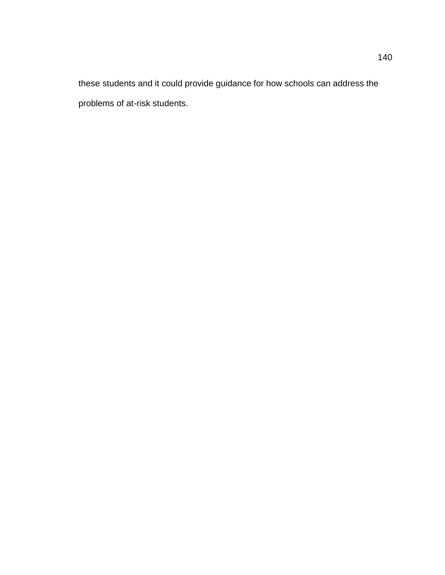these students and it could provide guidance for how schools can address the problems of at-risk students.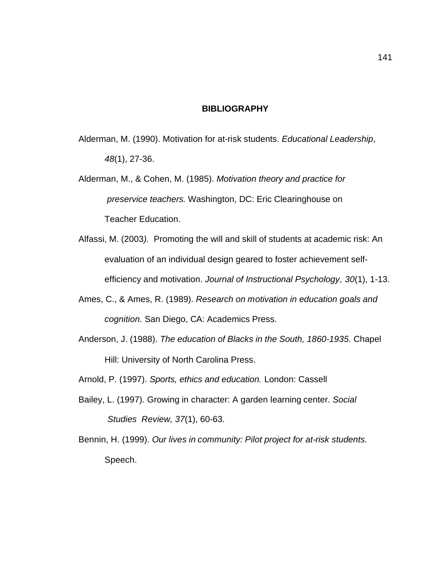#### **BIBLIOGRAPHY**

- Alderman, M. (1990). Motivation for at-risk students. *Educational Leadership*, *48*(1), 27-36.
- Alderman, M., & Cohen, M. (1985). *Motivation theory and practice for preservice teachers.* Washington, DC: Eric Clearinghouse on Teacher Education.
- Alfassi, M. (2003*).* Promoting the will and skill of students at academic risk: An evaluation of an individual design geared to foster achievement selfefficiency and motivation. *Journal of Instructional Psychology, 30*(1), 1-13.
- Ames, C., & Ames, R. (1989). *Research on motivation in education goals and cognition.* San Diego, CA: Academics Press.
- Anderson, J. (1988). *The education of Blacks in the South, 1860-1935.* Chapel Hill: University of North Carolina Press.
- Arnold, P. (1997). *Sports, ethics and education.* London: Cassell
- Bailey, L. (1997). Growing in character: A garden learning center. *Social Studies Review, 37*(1), 60-63.
- Bennin, H. (1999). *Our lives in community: Pilot project for at-risk students.* Speech.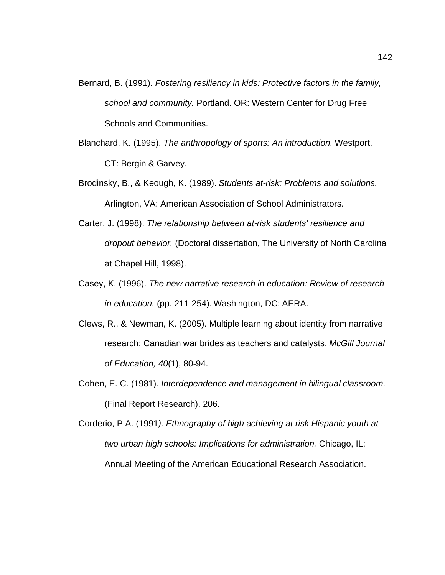- Bernard, B. (1991). *Fostering resiliency in kids: Protective factors in the family, school and community.* Portland. OR: Western Center for Drug Free Schools and Communities.
- Blanchard, K. (1995). *The anthropology of sports: An introduction.* Westport, CT: Bergin & Garvey.
- Brodinsky, B., & Keough, K. (1989). *Students at-risk: Problems and solutions.* Arlington, VA: American Association of School Administrators.
- Carter, J. (1998). *The relationship between at-risk students' resilience and dropout behavior.* (Doctoral dissertation, The University of North Carolina at Chapel Hill, 1998).
- Casey, K. (1996). *The new narrative research in education: Review of research in education.* (pp. 211-254). Washington, DC: AERA.
- Clews, R., & Newman, K. (2005). Multiple learning about identity from narrative research: Canadian war brides as teachers and catalysts. *McGill Journal of Education, 40*(1), 80-94.
- Cohen, E. C. (1981). *Interdependence and management in bilingual classroom.* (Final Report Research), 206.

Corderio, P A. (1991*). Ethnography of high achieving at risk Hispanic youth at two urban high schools: Implications for administration.* Chicago, IL: Annual Meeting of the American Educational Research Association.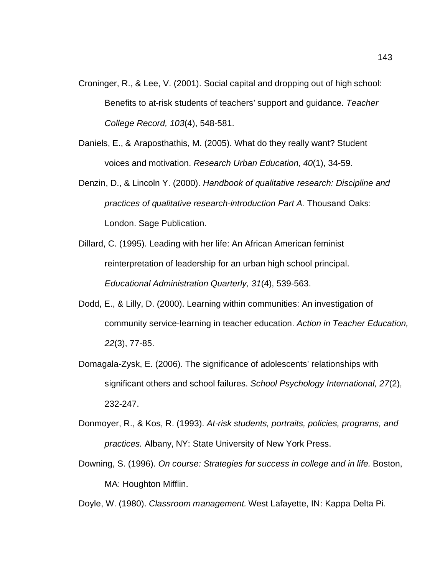- Croninger, R., & Lee, V. (2001). Social capital and dropping out of high school: Benefits to at-risk students of teachers' support and guidance. *Teacher College Record, 103*(4), 548-581.
- Daniels, E., & Araposthathis, M. (2005). What do they really want? Student voices and motivation. *Research Urban Education, 40*(1), 34-59.
- Denzin, D., & Lincoln Y. (2000). *Handbook of qualitative research: Discipline and practices of qualitative research-introduction Part A.* Thousand Oaks: London. Sage Publication.
- Dillard, C. (1995). Leading with her life: An African American feminist reinterpretation of leadership for an urban high school principal. *Educational Administration Quarterly, 31*(4), 539-563.
- Dodd, E., & Lilly, D. (2000). Learning within communities: An investigation of community service-learning in teacher education. *Action in Teacher Education, 22*(3), 77-85.
- Domagala-Zysk, E. (2006). The significance of adolescents' relationships with significant others and school failures. *School Psychology International, 27*(2), 232-247.
- Donmoyer, R., & Kos, R. (1993). *At-risk students, portraits, policies, programs, and practices.* Albany, NY: State University of New York Press.
- Downing, S. (1996). *On course: Strategies for success in college and in life.* Boston, MA: Houghton Mifflin.

Doyle, W. (1980). *Classroom management.* West Lafayette, IN: Kappa Delta Pi.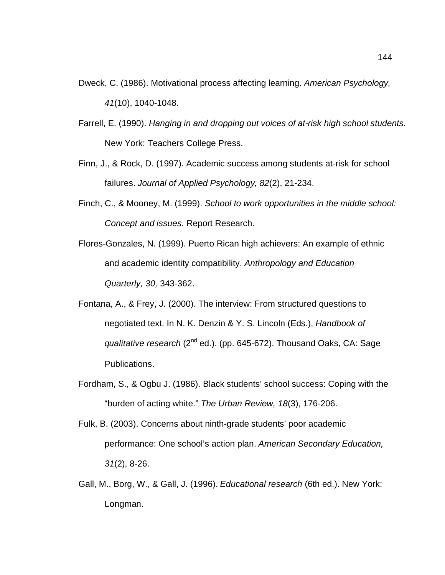- Dweck, C. (1986). Motivational process affecting learning. *American Psychology, 41*(10), 1040-1048.
- Farrell, E. (1990). *Hanging in and dropping out voices of at-risk high school students.* New York: Teachers College Press.
- Finn, J., & Rock, D. (1997). Academic success among students at-risk for school failures. *Journal of Applied Psychology, 82*(2), 21-234.
- Finch, C., & Mooney, M. (1999). *School to work opportunities in the middle school: Concept and issues.* Report Research.
- Flores-Gonzales, N. (1999). Puerto Rican high achievers: An example of ethnic and academic identity compatibility. *Anthropology and Education Quarterly, 30,* 343-362.
- Fontana, A., & Frey, J. (2000). The interview: From structured questions to negotiated text. In N. K. Denzin & Y. S. Lincoln (Eds.), *Handbook of qualitative research* (2<sup>nd</sup> ed.). (pp. 645-672). Thousand Oaks, CA: Sage Publications.
- Fordham, S., & Ogbu J. (1986). Black students' school success: Coping with the "burden of acting white." *The Urban Review, 18*(3), 176-206.
- Fulk, B. (2003). Concerns about ninth-grade students' poor academic performance: One school's action plan. *American Secondary Education, 31*(2), 8-26.
- Gall, M., Borg, W., & Gall, J. (1996). *Educational research* (6th ed.). New York: Longman.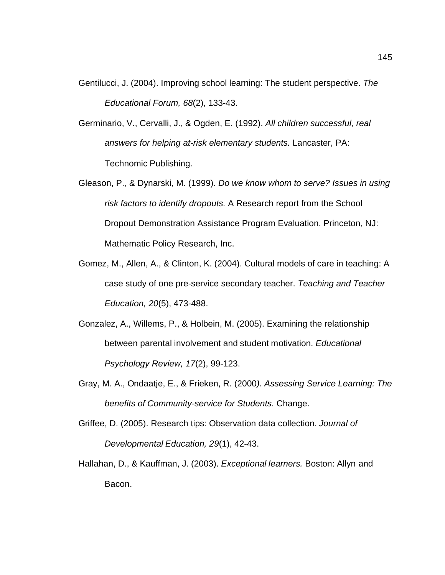- Gentilucci, J. (2004). Improving school learning: The student perspective. *The Educational Forum, 68*(2), 133-43.
- Germinario, V., Cervalli, J., & Ogden, E. (1992). *All children successful, real answers for helping at-risk elementary students.* Lancaster, PA: Technomic Publishing.
- Gleason, P., & Dynarski, M. (1999). *Do we know whom to serve? Issues in using risk factors to identify dropouts.* A Research report from the School Dropout Demonstration Assistance Program Evaluation. Princeton, NJ: Mathematic Policy Research, Inc.
- Gomez, M., Allen, A., & Clinton, K. (2004). Cultural models of care in teaching: A case study of one pre-service secondary teacher. *Teaching and Teacher Education, 20*(5), 473-488.
- Gonzalez, A., Willems, P., & Holbein, M. (2005). Examining the relationship between parental involvement and student motivation. *Educational Psychology Review, 17*(2), 99-123.
- Gray, M. A., Ondaatje, E., & Frieken, R. (2000*). Assessing Service Learning: The benefits of Community-service for Students.* Change.
- Griffee, D. (2005). Research tips: Observation data collection. *Journal of Developmental Education, 29*(1), 42-43.
- Hallahan, D., & Kauffman, J. (2003). *Exceptional learners.* Boston: Allyn and Bacon.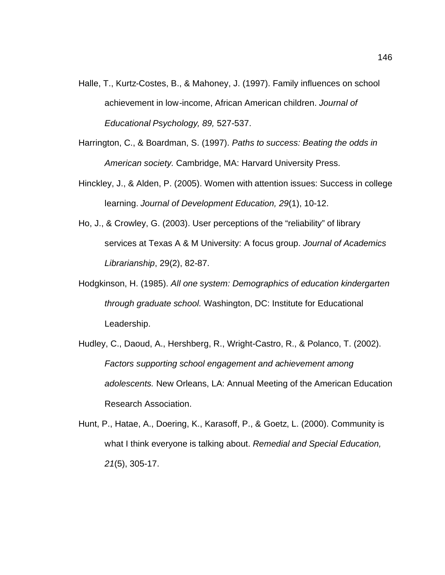- Halle, T., Kurtz-Costes, B., & Mahoney, J. (1997). Family influences on school achievement in low-income, African American children. *Journal of Educational Psychology, 89,* 527-537.
- Harrington, C., & Boardman, S. (1997). *Paths to success: Beating the odds in American society.* Cambridge, MA: Harvard University Press.
- Hinckley, J., & Alden, P. (2005). Women with attention issues: Success in college learning. *Journal of Development Education, 29*(1), 10-12.
- Ho, J., & Crowley, G. (2003). User perceptions of the "reliability" of library services at Texas A & M University: A focus group. *Journal of Academics Librarianship*, 29(2), 82-87.
- Hodgkinson, H. (1985). *All one system: Demographics of education kindergarten through graduate school.* Washington, DC: Institute for Educational Leadership.
- Hudley, C., Daoud, A., Hershberg, R., Wright-Castro, R., & Polanco, T. (2002). *Factors supporting school engagement and achievement among adolescents.* New Orleans, LA: Annual Meeting of the American Education Research Association.
- Hunt, P., Hatae, A., Doering, K., Karasoff, P., & Goetz, L. (2000). Community is what I think everyone is talking about. *Remedial and Special Education, 21*(5), 305-17.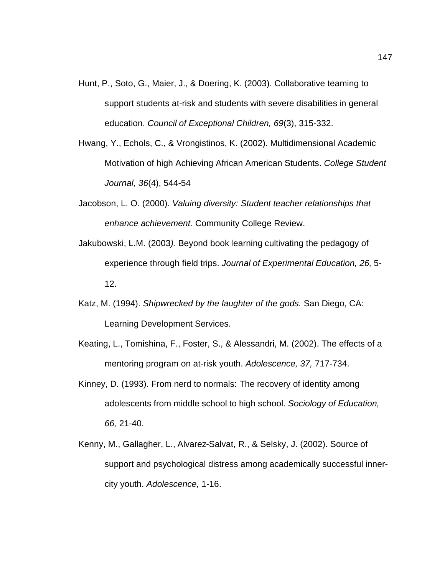- Hunt, P., Soto, G., Maier, J., & Doering, K. (2003). Collaborative teaming to support students at-risk and students with severe disabilities in general education. *Council of Exceptional Children, 69*(3), 315-332.
- Hwang, Y., Echols, C., & Vrongistinos, K. (2002). Multidimensional Academic Motivation of high Achieving African American Students. *College Student Journal, 36*(4), 544-54
- Jacobson, L. O. (2000). *Valuing diversity: Student teacher relationships that enhance achievement.* Community College Review.
- Jakubowski, L.M. (2003*).* Beyond book learning cultivating the pedagogy of experience through field trips. *Journal of Experimental Education, 26,* 5- 12.
- Katz, M. (1994). *Shipwrecked by the laughter of the gods.* San Diego, CA: Learning Development Services.
- Keating, L., Tomishina, F., Foster, S., & Alessandri, M. (2002). The effects of a mentoring program on at-risk youth. *Adolescence, 37,* 717-734.
- Kinney, D. (1993). From nerd to normals: The recovery of identity among adolescents from middle school to high school. *Sociology of Education, 66,* 21-40.
- Kenny, M., Gallagher, L., Alvarez-Salvat, R., & Selsky, J. (2002). Source of support and psychological distress among academically successful innercity youth. *Adolescence,* 1-16.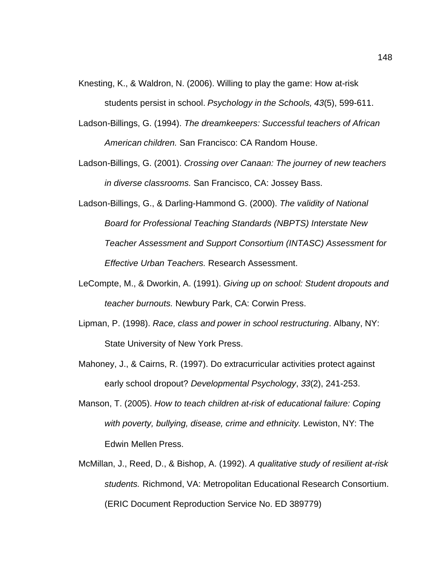- Knesting, K., & Waldron, N. (2006). Willing to play the game: How at-risk students persist in school. *Psychology in the Schools, 43*(5), 599-611.
- Ladson-Billings, G. (1994). *The dreamkeepers: Successful teachers of African American children.* San Francisco: CA Random House.
- Ladson-Billings, G. (2001). *Crossing over Canaan: The journey of new teachers in diverse classrooms.* San Francisco, CA: Jossey Bass.
- Ladson-Billings, G., & Darling-Hammond G. (2000). *The validity of National Board for Professional Teaching Standards (NBPTS) Interstate New Teacher Assessment and Support Consortium (INTASC) Assessment for Effective Urban Teachers.* Research Assessment.
- LeCompte, M., & Dworkin, A. (1991). *Giving up on school: Student dropouts and teacher burnouts.* Newbury Park, CA: Corwin Press.
- Lipman, P. (1998). *Race, class and power in school restructuring*. Albany, NY: State University of New York Press.
- Mahoney, J., & Cairns, R. (1997). Do extracurricular activities protect against early school dropout? *Developmental Psychology*, *33*(2), 241-253.
- Manson, T. (2005). *How to teach children at-risk of educational failure: Coping with poverty, bullying, disease, crime and ethnicity.* Lewiston, NY: The Edwin Mellen Press.
- McMillan, J., Reed, D., & Bishop, A. (1992). *A qualitative study of resilient at-risk students.* Richmond, VA: Metropolitan Educational Research Consortium. (ERIC Document Reproduction Service No. ED 389779)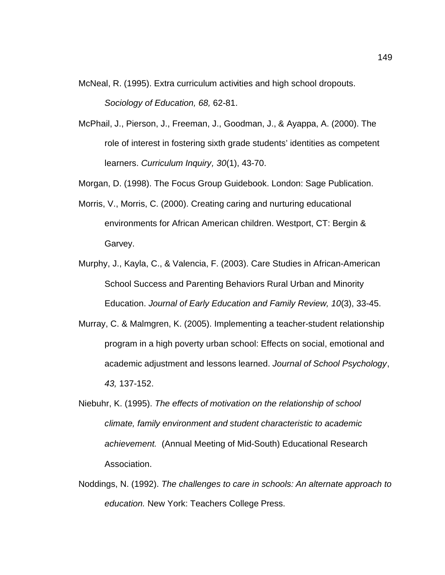- McNeal, R. (1995). Extra curriculum activities and high school dropouts. *Sociology of Education, 68,* 62-81.
- McPhail, J., Pierson, J., Freeman, J., Goodman, J., & Ayappa, A. (2000). The role of interest in fostering sixth grade students' identities as competent learners. *Curriculum Inquiry, 30*(1), 43-70.
- Morgan, D. (1998). The Focus Group Guidebook. London: Sage Publication.
- Morris, V., Morris, C. (2000). Creating caring and nurturing educational environments for African American children. Westport, CT: Bergin & Garvey.
- Murphy, J., Kayla, C., & Valencia, F. (2003). Care Studies in African-American School Success and Parenting Behaviors Rural Urban and Minority Education. *Journal of Early Education and Family Review, 10*(3), 33-45.
- Murray, C. & Malmgren, K. (2005). Implementing a teacher-student relationship program in a high poverty urban school: Effects on social, emotional and academic adjustment and lessons learned. *Journal of School Psychology*, *43,* 137-152.
- Niebuhr, K. (1995). *The effects of motivation on the relationship of school climate, family environment and student characteristic to academic achievement.* (Annual Meeting of Mid-South) Educational Research Association.
- Noddings, N. (1992). *The challenges to care in schools: An alternate approach to education.* New York: Teachers College Press.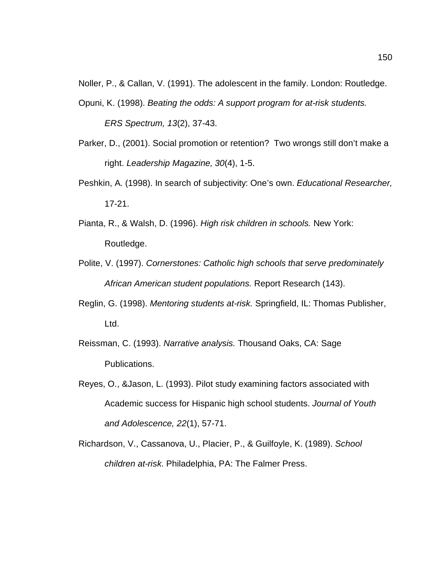Noller, P., & Callan, V. (1991). The adolescent in the family. London: Routledge.

- Opuni, K. (1998). *Beating the odds: A support program for at-risk students. ERS Spectrum, 13*(2), 37-43.
- Parker, D., (2001). Social promotion or retention? Two wrongs still don't make a right. *Leadership Magazine, 30*(4), 1-5.
- Peshkin, A. (1998). In search of subjectivity: One's own. *Educational Researcher,* 17-21.
- Pianta, R., & Walsh, D. (1996). *High risk children in schools.* New York: Routledge.
- Polite, V. (1997). *Cornerstones: Catholic high schools that serve predominately African American student populations.* Report Research (143).
- Reglin, G. (1998). *Mentoring students at-risk.* Springfield, IL: Thomas Publisher, Ltd.
- Reissman, C. (1993). *Narrative analysis.* Thousand Oaks, CA: Sage Publications.
- Reyes, O., &Jason, L. (1993). Pilot study examining factors associated with Academic success for Hispanic high school students. *Journal of Youth and Adolescence, 22*(1), 57-71.
- Richardson, V., Cassanova, U., Placier, P., & Guilfoyle, K. (1989). *School children at-risk.* Philadelphia, PA: The Falmer Press.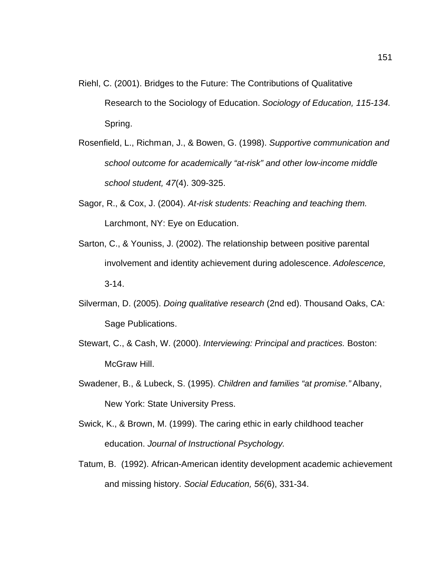- Riehl, C. (2001). Bridges to the Future: The Contributions of Qualitative Research to the Sociology of Education. *Sociology of Education, 115-134.* Spring.
- Rosenfield, L., Richman, J., & Bowen, G. (1998). *Supportive communication and school outcome for academically "at-risk" and other low-income middle school student, 47*(4). 309-325.
- Sagor, R., & Cox, J. (2004). *At-risk students: Reaching and teaching them.* Larchmont, NY: Eye on Education.
- Sarton, C., & Youniss, J. (2002). The relationship between positive parental involvement and identity achievement during adolescence. *Adolescence,* 3-14.
- Silverman, D. (2005). *Doing qualitative research* (2nd ed). Thousand Oaks, CA: Sage Publications.
- Stewart, C., & Cash, W. (2000). *Interviewing: Principal and practices.* Boston: McGraw Hill.
- Swadener, B., & Lubeck, S. (1995). *Children and families "at promise."* Albany, New York: State University Press.
- Swick, K., & Brown, M. (1999). The caring ethic in early childhood teacher education. *Journal of Instructional Psychology.*
- Tatum, B. (1992). African-American identity development academic achievement and missing history. *Social Education, 56*(6), 331-34.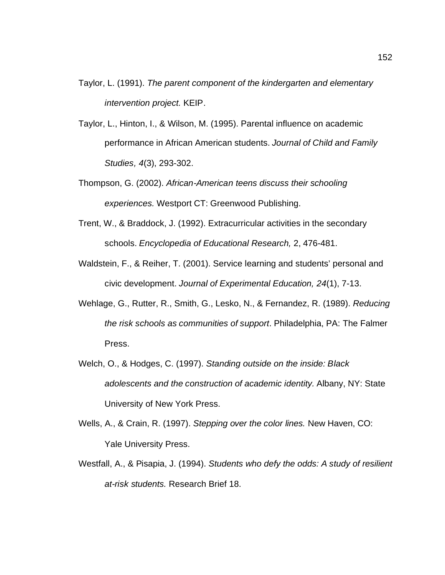- Taylor, L. (1991). *The parent component of the kindergarten and elementary intervention project.* KEIP.
- Taylor, L., Hinton, I., & Wilson, M. (1995). Parental influence on academic performance in African American students. *Journal of Child and Family Studies, 4*(3), 293-302.
- Thompson, G. (2002). *African-American teens discuss their schooling experiences.* Westport CT: Greenwood Publishing.
- Trent, W., & Braddock, J. (1992). Extracurricular activities in the secondary schools. *Encyclopedia of Educational Research,* 2, 476-481.
- Waldstein, F., & Reiher, T. (2001). Service learning and students' personal and civic development. *Journal of Experimental Education, 24*(1), 7-13.
- Wehlage, G., Rutter, R., Smith, G., Lesko, N., & Fernandez, R. (1989). *Reducing the risk schools as communities of support*. Philadelphia, PA: The Falmer Press.
- Welch, O., & Hodges, C. (1997). *Standing outside on the inside: Black adolescents and the construction of academic identity.* Albany, NY: State University of New York Press.
- Wells, A., & Crain, R. (1997). *Stepping over the color lines.* New Haven, CO: Yale University Press.
- Westfall, A., & Pisapia, J. (1994). *Students who defy the odds: A study of resilient at-risk students.* Research Brief 18.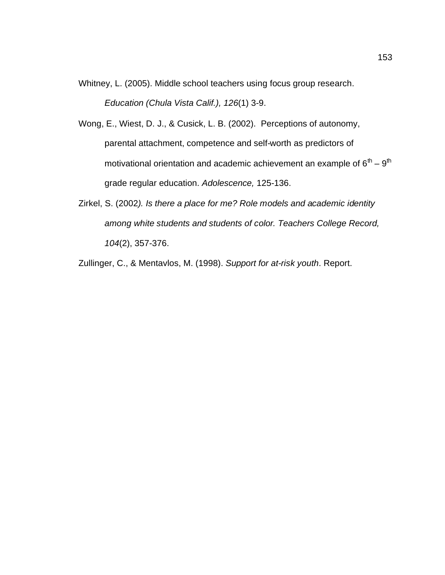- Whitney, L. (2005). Middle school teachers using focus group research. *Education (Chula Vista Calif.), 126*(1) 3-9.
- Wong, E., Wiest, D. J., & Cusick, L. B. (2002). Perceptions of autonomy, parental attachment, competence and self-worth as predictors of motivational orientation and academic achievement an example of  $6<sup>th</sup> - 9<sup>th</sup>$ grade regular education. *Adolescence,* 125-136.
- Zirkel, S. (2002*). Is there a place for me? Role models and academic identity among white students and students of color. Teachers College Record, 104*(2), 357-376.

Zullinger, C., & Mentavlos, M. (1998). *Support for at-risk youth*. Report.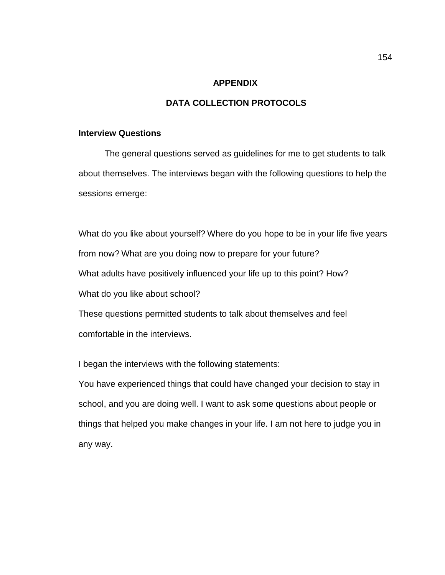#### **APPENDIX**

### **DATA COLLECTION PROTOCOLS**

#### **Interview Questions**

 The general questions served as guidelines for me to get students to talk about themselves. The interviews began with the following questions to help the sessions emerge:

What do you like about yourself? Where do you hope to be in your life five years from now? What are you doing now to prepare for your future? What adults have positively influenced your life up to this point? How? What do you like about school?

These questions permitted students to talk about themselves and feel comfortable in the interviews.

I began the interviews with the following statements:

You have experienced things that could have changed your decision to stay in school, and you are doing well. I want to ask some questions about people or things that helped you make changes in your life. I am not here to judge you in any way.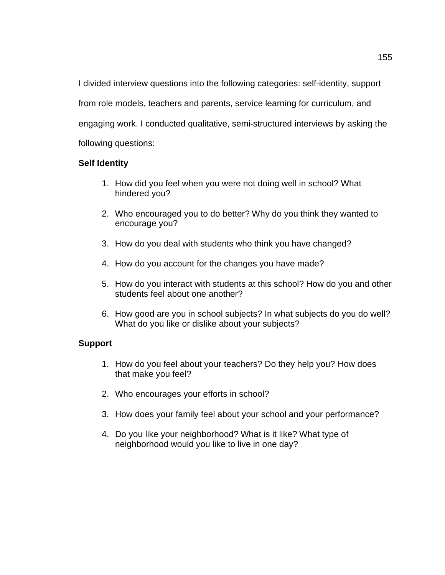I divided interview questions into the following categories: self-identity, support from role models, teachers and parents, service learning for curriculum, and engaging work. I conducted qualitative, semi-structured interviews by asking the following questions:

## **Self Identity**

- 1. How did you feel when you were not doing well in school? What hindered you?
- 2. Who encouraged you to do better? Why do you think they wanted to encourage you?
- 3. How do you deal with students who think you have changed?
- 4. How do you account for the changes you have made?
- 5. How do you interact with students at this school? How do you and other students feel about one another?
- 6. How good are you in school subjects? In what subjects do you do well? What do you like or dislike about your subjects?

# **Support**

- 1. How do you feel about your teachers? Do they help you? How does that make you feel?
- 2. Who encourages your efforts in school?
- 3. How does your family feel about your school and your performance?
- 4. Do you like your neighborhood? What is it like? What type of neighborhood would you like to live in one day?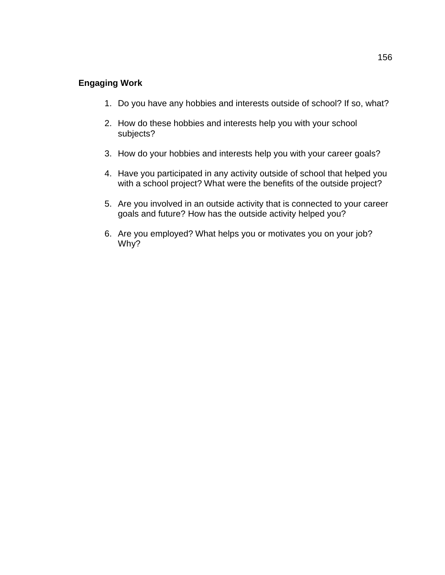# **Engaging Work**

- 1. Do you have any hobbies and interests outside of school? If so, what?
- 2. How do these hobbies and interests help you with your school subjects?
- 3. How do your hobbies and interests help you with your career goals?
- 4. Have you participated in any activity outside of school that helped you with a school project? What were the benefits of the outside project?
- 5. Are you involved in an outside activity that is connected to your career goals and future? How has the outside activity helped you?
- 6. Are you employed? What helps you or motivates you on your job? Why?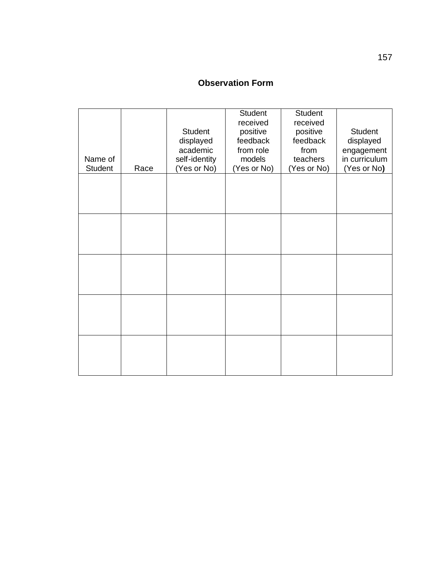# **Observation Form**

| Name of<br><b>Student</b> | Race | Student<br>displayed<br>academic<br>self-identity<br>(Yes or No) | Student<br>received<br>positive<br>feedback<br>from role<br>models<br>(Yes or No) | Student<br>received<br>positive<br>feedback<br>from<br>teachers<br>(Yes or No) | <b>Student</b><br>displayed<br>engagement<br>in curriculum<br>(Yes or No) |
|---------------------------|------|------------------------------------------------------------------|-----------------------------------------------------------------------------------|--------------------------------------------------------------------------------|---------------------------------------------------------------------------|
|                           |      |                                                                  |                                                                                   |                                                                                |                                                                           |
|                           |      |                                                                  |                                                                                   |                                                                                |                                                                           |
|                           |      |                                                                  |                                                                                   |                                                                                |                                                                           |
|                           |      |                                                                  |                                                                                   |                                                                                |                                                                           |
|                           |      |                                                                  |                                                                                   |                                                                                |                                                                           |